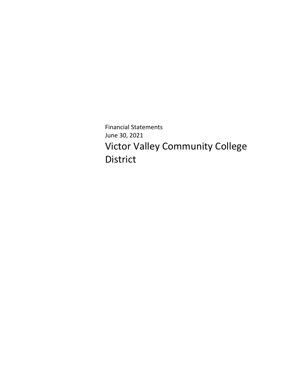

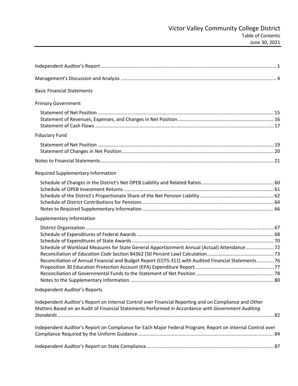| <b>Basic Financial Statements</b>                                                                                                                                                                           |  |
|-------------------------------------------------------------------------------------------------------------------------------------------------------------------------------------------------------------|--|
| <b>Primary Government</b>                                                                                                                                                                                   |  |
|                                                                                                                                                                                                             |  |
| <b>Fiduciary Fund</b>                                                                                                                                                                                       |  |
|                                                                                                                                                                                                             |  |
|                                                                                                                                                                                                             |  |
| Required Supplementary Information                                                                                                                                                                          |  |
|                                                                                                                                                                                                             |  |
| Supplementary Information                                                                                                                                                                                   |  |
| Schedule of Workload Measures for State General Apportionment Annual (Actual) Attendance72<br>Reconciliation of Annual Financial and Budget Report (CCFS-311) with Audited Financial Statements76           |  |
| Independent Auditor's Reports                                                                                                                                                                               |  |
| Independent Auditor's Report on Internal Control over Financial Reporting and on Compliance and Other<br>Matters Based on an Audit of Financial Statements Performed in Accordance with Government Auditing |  |
| Independent Auditor's Report on Compliance for Each Major Federal Program; Report on Internal Control over                                                                                                  |  |
|                                                                                                                                                                                                             |  |
|                                                                                                                                                                                                             |  |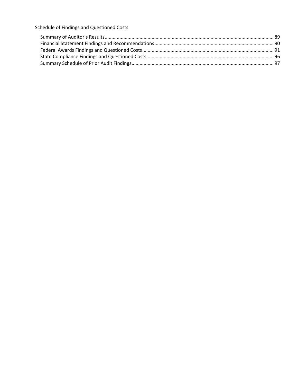Schedule of Findings and Questioned Costs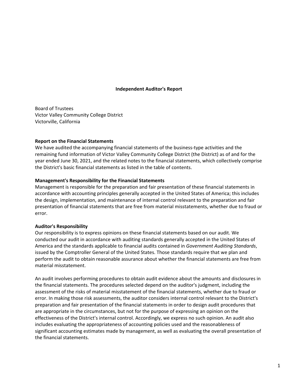

**CPAs & BUSINESS ADVISORS** 

#### **Independent Auditor's Report**

Board of Trustees Victor Valley Community College District Victorville, California

#### **Report on the Financial Statements**

We have audited the accompanying financial statements of the business-type activities and the remaining fund information of Victor Valley Community College District (the District) as of and for the year ended June 30, 2021, and the related notes to the financial statements, which collectively comprise the District's basic financial statements as listed in the table of contents.

#### **Management's Responsibility for the Financial Statements**

Management is responsible for the preparation and fair presentation of these financial statements in accordance with accounting principles generally accepted in the United States of America; this includes the design, implementation, and maintenance of internal control relevant to the preparation and fair presentation of financial statements that are free from material misstatements, whether due to fraud or error.

#### **Auditor's Responsibility**

Our responsibility is to express opinions on these financial statements based on our audit. We conducted our audit in accordance with auditing standards generally accepted in the United States of America and the standards applicable to financial audits contained in *Government Auditing Standards*, issued by the Comptroller General of the United States. Those standards require that we plan and perform the audit to obtain reasonable assurance about whether the financial statements are free from material misstatement.

An audit involves performing procedures to obtain audit evidence about the amounts and disclosures in the financial statements. The procedures selected depend on the auditor's judgment, including the assessment of the risks of material misstatement of the financial statements, whether due to fraud or error. In making those risk assessments, the auditor considers internal control relevant to the District's preparation and fair presentation of the financial statements in order to design audit procedures that are appropriate in the circumstances, but not for the purpose of expressing an opinion on the effectiveness of the District's internal control. Accordingly, we express no such opinion. An audit also includes evaluating the appropriateness of accounting policies used and the reasonableness of significant accounting estimates made by management, as well as evaluating the overall presentation of the financial statements.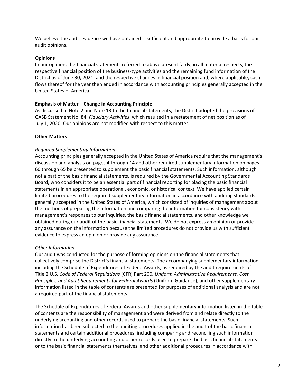We believe the audit evidence we have obtained is sufficient and appropriate to provide a basis for our audit opinions.

#### **Opinions**

In our opinion, the financial statements referred to above present fairly, in all material respects, the respective financial position of the business‐type activities and the remaining fund information of the District as of June 30, 2021, and the respective changes in financial position and, where applicable, cash flows thereof for the year then ended in accordance with accounting principles generally accepted in the United States of America.

#### **Emphasis of Matter – Change in Accounting Principle**

As discussed in Note 2 and Note 13 to the financial statements, the District adopted the provisions of GASB Statement No. 84, *Fiduciary Activities*, which resulted in a restatement of net position as of July 1, 2020. Our opinions are not modified with respect to this matter.

#### **Other Matters**

#### *Required Supplementary Information*

Accounting principles generally accepted in the United States of America require that the management's discussion and analysis on pages 4 through 14 and other required supplementary information on pages 60 through 65 be presented to supplement the basic financial statements. Such information, although not a part of the basic financial statements, is required by the Governmental Accounting Standards Board, who considers it to be an essential part of financial reporting for placing the basic financial statements in an appropriate operational, economic, or historical context. We have applied certain limited procedures to the required supplementary information in accordance with auditing standards generally accepted in the United States of America, which consisted of inquiries of management about the methods of preparing the information and comparing the information for consistency with management's responses to our inquiries, the basic financial statements, and other knowledge we obtained during our audit of the basic financial statements. We do not express an opinion or provide any assurance on the information because the limited procedures do not provide us with sufficient evidence to express an opinion or provide any assurance.

#### *Other Information*

Our audit was conducted for the purpose of forming opinions on the financial statements that collectively comprise the District's financial statements. The accompanying supplementary information, including the Schedule of Expenditures of Federal Awards, as required by the audit requirements of Title 2 U.S. *Code of Federal Regulations* (CFR) Part 200*, Uniform Administrative Requirements, Cost Principles, and Audit Requirements for Federal Awards* (Uniform Guidance), and other supplementary information listed in the table of contents are presented for purposes of additional analysis and are not a required part of the financial statements.

The Schedule of Expenditures of Federal Awards and other supplementary information listed in the table of contents are the responsibility of management and were derived from and relate directly to the underlying accounting and other records used to prepare the basic financial statements. Such information has been subjected to the auditing procedures applied in the audit of the basic financial statements and certain additional procedures, including comparing and reconciling such information directly to the underlying accounting and other records used to prepare the basic financial statements or to the basic financial statements themselves, and other additional procedures in accordance with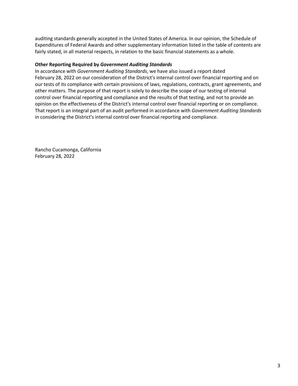auditing standards generally accepted in the United States of America. In our opinion, the Schedule of Expenditures of Federal Awards and other supplementary information listed in the table of contents are fairly stated, in all material respects, in relation to the basic financial statements as a whole.

#### **Other Reporting Required by** *Government Auditing Standards*

In accordance with *Government Auditing Standards*, we have also issued a report dated February 28, 2022 on our consideration of the District's internal control over financial reporting and on our tests of its compliance with certain provisions of laws, regulations, contracts, grant agreements, and other matters. The purpose of that report is solely to describe the scope of our testing of internal control over financial reporting and compliance and the results of that testing, and not to provide an opinion on the effectiveness of the District's internal control over financial reporting or on compliance. That report is an integral part of an audit performed in accordance with *Government Auditing Standards* in considering the District's internal control over financial reporting and compliance.

Ede Saelly LLP

Rancho Cucamonga, California February 28, 2022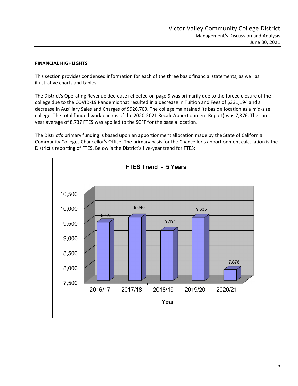## **FINANCIAL HIGHLIGHTS**

This section provides condensed information for each of the three basic financial statements, as well as illustrative charts and tables.

The District's Operating Revenue decrease reflected on page 9 was primarily due to the forced closure of the college due to the COVID‐19 Pandemic that resulted in a decrease in Tuition and Fees of \$331,194 and a decrease in Auxiliary Sales and Charges of \$926,709. The college maintained its basic allocation as a mid‐size college. The total funded workload (as of the 2020‐2021 Recalc Apportionment Report) was 7,876. The three‐ year average of 8,737 FTES was applied to the SCFF for the base allocation.

The District's primary funding is based upon an apportionment allocation made by the State of California Community Colleges Chancellor's Office. The primary basis for the Chancellor's apportionment calculation is the District's reporting of FTES. Below is the District's five‐year trend for FTES:

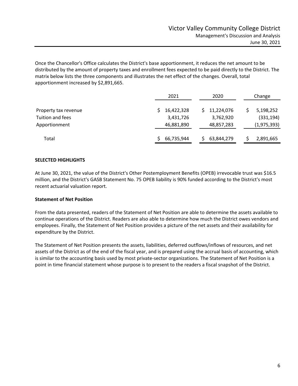Once the Chancellor's Office calculates the District's base apportionment, it reduces the net amount to be distributed by the amount of property taxes and enrollment fees expected to be paid directly to the District. The matrix below lists the three components and illustrates the net effect of the changes. Overall, total apportionment increased by \$2,891,665.

|                      | 2021       | 2020       | Change      |  |  |
|----------------------|------------|------------|-------------|--|--|
| Property tax revenue | 16,422,328 | 11,224,076 | 5,198,252   |  |  |
| Tuition and fees     | 3,431,726  | 3,762,920  | (331, 194)  |  |  |
| Apportionment        | 46,881,890 | 48,857,283 | (1,975,393) |  |  |
| Total                | 66,735,944 | 63,844,279 | 2,891,665   |  |  |

## **SELECTED HIGHLIGHTS**

At June 30, 2021, the value of the District's Other Postemployment Benefits (OPEB) irrevocable trust was \$16.5 million, and the District's GASB Statement No. 75 OPEB liability is 90% funded according to the District's most recent actuarial valuation report.

#### **Statement of Net Position**

From the data presented, readers of the Statement of Net Position are able to determine the assets available to continue operations of the District. Readers are also able to determine how much the District owes vendors and employees. Finally, the Statement of Net Position provides a picture of the net assets and their availability for expenditure by the District.

The Statement of Net Position presents the assets, liabilities, deferred outflows/inflows of resources, and net assets of the District as of the end of the fiscal year, and is prepared using the accrual basis of accounting, which is similar to the accounting basis used by most private‐sector organizations. The Statement of Net Position is a point in time financial statement whose purpose is to present to the readers a fiscal snapshot of the District.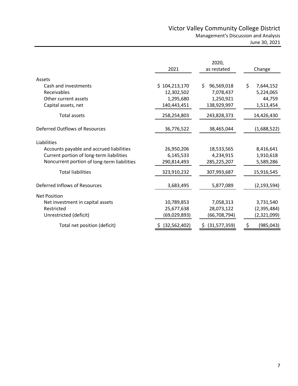# Victor Valley Community College District

Management's Discussion and Analysis

June 30, 2021

|                                             | 2021           | 2020,<br>as restated | Change          |
|---------------------------------------------|----------------|----------------------|-----------------|
| Assets                                      |                |                      |                 |
| Cash and investments                        | \$104,213,170  | 96,569,018<br>\$.    | \$<br>7,644,152 |
| Receivables                                 | 12,302,502     | 7,078,437            | 5,224,065       |
| Other current assets                        | 1,295,680      | 1,250,921            | 44,759          |
| Capital assets, net                         | 140,443,451    | 138,929,997          | 1,513,454       |
| <b>Total assets</b>                         | 258,254,803    | 243,828,373          | 14,426,430      |
| Deferred Outflows of Resources              | 36,776,522     | 38,465,044           | (1,688,522)     |
| Liabilities                                 |                |                      |                 |
| Accounts payable and accrued liabilities    | 26,950,206     | 18,533,565           | 8,416,641       |
| Current portion of long-term liabilities    | 6,145,533      | 4,234,915            | 1,910,618       |
| Noncurrent portion of long-term liabilities | 290,814,493    | 285,225,207          | 5,589,286       |
| <b>Total liabilities</b>                    | 323,910,232    | 307,993,687          | 15,916,545      |
| Deferred Inflows of Resources               | 3,683,495      | 5,877,089            | (2, 193, 594)   |
| <b>Net Position</b>                         |                |                      |                 |
| Net investment in capital assets            | 10,789,853     | 7,058,313            | 3,731,540       |
| Restricted                                  | 25,677,638     | 28,073,122           | (2,395,484)     |
| Unrestricted (deficit)                      | (69,029,893)   | (66,708,794)         | (2,321,099)     |
| Total net position (deficit)                | (32, 562, 402) | (31,577,359)<br>Ş.   | \$<br>(985,043) |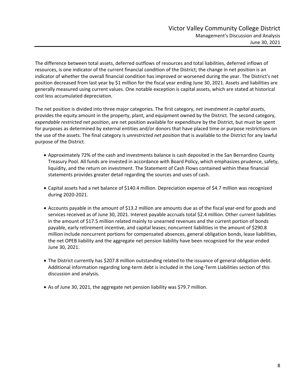The difference between total assets, deferred outflows of resources and total liabilities, deferred inflows of resources, is one indicator of the current financial condition of the District; the change in net position is an indicator of whether the overall financial condition has improved or worsened during the year. The District's net position decreased from last year by \$1 million for the fiscal year ending June 30, 2021. Assets and liabilities are generally measured using current values. One notable exception is capital assets, which are stated at historical cost less accumulated depreciation.

The net position is divided into three major categories. The first category, *net investment in capital assets*, provides the equity amount in the property, plant, and equipment owned by the District. The second category, *expendable restricted net position*, are net position available for expenditure by the District, but must be spent for purposes as determined by external entities and/or donors that have placed time or purpose restrictions on the use of the assets. The final category is *unrestricted net position* that is available to the District for any lawful purpose of the District.

- Approximately 72% of the cash and investments balance is cash deposited in the San Bernardino County Treasury Pool. All funds are invested in accordance with Board Policy, which emphasizes prudence, safety, liquidity, and the return on investment. The Statement of Cash Flows contained within these financial statements provides greater detail regarding the sources and uses of cash.
- Capital assets had a net balance of \$140.4 million. Depreciation expense of \$4.7 million was recognized during 2020‐2021.
- Accounts payable in the amount of \$13.2 million are amounts due as of the fiscal year-end for goods and services received as of June 30, 2021. Interest payable accruals total \$2.4 million. Other current liabilities in the amount of \$17.5 million related mainly to unearned revenues and the current portion of bonds payable, early retirement incentive, and capital leases; noncurrent liabilities in the amount of \$290.8 million include noncurrent portions for compensated absences, general obligation bonds, lease liabilities, the net OPEB liability and the aggregate net pension liability have been recognized for the year ended June 30, 2021.
- The District currently has \$207.8 million outstanding related to the issuance of general obligation debt. Additional information regarding long‐term debt is included in the Long‐Term Liabilities section of this discussion and analysis.
- As of June 30, 2021, the aggregate net pension liability was \$79.7 million.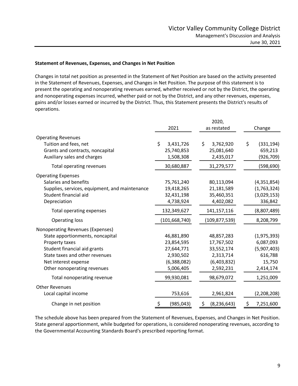#### **Statement of Revenues, Expenses, and Changes in Net Position**

Changes in total net position as presented in the Statement of Net Position are based on the activity presented in the Statement of Revenues, Expenses, and Changes in Net Position. The purpose of this statement is to present the operating and nonoperating revenues earned, whether received or not by the District, the operating and nonoperating expenses incurred, whether paid or not by the District, and any other revenues, expenses, gains and/or losses earned or incurred by the District. Thus, this Statement presents the District's results of operations.

|                                                                                                                                                                                                                 | 2021                                                                            | 2020,<br>as restated                                                            | Change                                                                    |
|-----------------------------------------------------------------------------------------------------------------------------------------------------------------------------------------------------------------|---------------------------------------------------------------------------------|---------------------------------------------------------------------------------|---------------------------------------------------------------------------|
|                                                                                                                                                                                                                 |                                                                                 |                                                                                 |                                                                           |
| <b>Operating Revenues</b><br>Tuition and fees, net<br>Grants and contracts, noncapital<br>Auxiliary sales and charges                                                                                           | \$<br>3,431,726<br>25,740,853<br>1,508,308                                      | \$<br>3,762,920<br>25,081,640<br>2,435,017                                      | \$<br>(331, 194)<br>659,213<br>(926, 709)                                 |
| Total operating revenues                                                                                                                                                                                        | 30,680,887                                                                      | 31,279,577                                                                      | (598, 690)                                                                |
| <b>Operating Expenses</b><br>Salaries and benefits<br>Supplies, services, equipment, and maintenance<br>Student financial aid<br>Depreciation                                                                   | 75,761,240<br>19,418,265<br>32,431,198<br>4,738,924                             | 80,113,094<br>21,181,589<br>35,460,351<br>4,402,082                             | (4,351,854)<br>(1,763,324)<br>(3,029,153)<br>336,842                      |
| Total operating expenses                                                                                                                                                                                        | 132,349,627                                                                     | 141, 157, 116                                                                   | (8,807,489)                                                               |
| <b>Operating loss</b>                                                                                                                                                                                           | (101, 668, 740)                                                                 | (109, 877, 539)                                                                 | 8,208,799                                                                 |
| Nonoperating Revenues (Expenses)<br>State apportionments, noncapital<br>Property taxes<br>Student financial aid grants<br>State taxes and other revenues<br>Net interest expense<br>Other nonoperating revenues | 46,881,890<br>23,854,595<br>27,644,771<br>2,930,502<br>(6,388,082)<br>5,006,405 | 48,857,283<br>17,767,502<br>33,552,174<br>2,313,714<br>(6,403,832)<br>2,592,231 | (1,975,393)<br>6,087,093<br>(5,907,403)<br>616,788<br>15,750<br>2,414,174 |
| Total nonoperating revenue                                                                                                                                                                                      | 99,930,081                                                                      | 98,679,072                                                                      | 1,251,009                                                                 |
| <b>Other Revenues</b><br>Local capital income                                                                                                                                                                   | 753,616                                                                         | 2,961,824                                                                       | (2,208,208)                                                               |
| Change in net position                                                                                                                                                                                          | (985, 043)<br>\$                                                                | \$<br>(8, 236, 643)                                                             | \$<br>7,251,600                                                           |

The schedule above has been prepared from the Statement of Revenues, Expenses, and Changes in Net Position. State general apportionment, while budgeted for operations, is considered nonoperating revenues, according to the Governmental Accounting Standards Board's prescribed reporting format.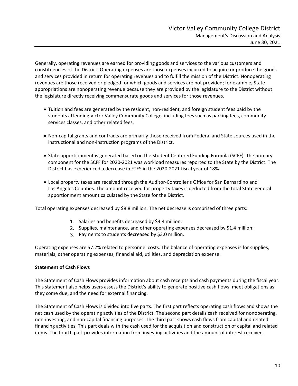Generally, operating revenues are earned for providing goods and services to the various customers and constituencies of the District. Operating expenses are those expenses incurred to acquire or produce the goods and services provided in return for operating revenues and to fulfill the mission of the District. Nonoperating revenues are those received or pledged for which goods and services are not provided; for example, State appropriations are nonoperating revenue because they are provided by the legislature to the District without the legislature directly receiving commensurate goods and services for those revenues.

- Tuition and fees are generated by the resident, non‐resident, and foreign student fees paid by the students attending Victor Valley Community College, including fees such as parking fees, community services classes, and other related fees.
- Non‐capital grants and contracts are primarily those received from Federal and State sources used in the instructional and non‐instruction programs of the District.
- State apportionment is generated based on the Student Centered Funding Formula (SCFF). The primary component for the SCFF for 2020‐2021 was workload measures reported to the State by the District. The District has experienced a decrease in FTES in the 2020‐2021 fiscal year of 18%.
- Local property taxes are received through the Auditor‐Controller's Office for San Bernardino and Los Angeles Counties. The amount received for property taxes is deducted from the total State general apportionment amount calculated by the State for the District.

Total operating expenses decreased by \$8.8 million. The net decrease is comprised of three parts:

- 1. Salaries and benefits decreased by \$4.4 million;
- 2. Supplies, maintenance, and other operating expenses decreased by \$1.4 million;
- 3. Payments to students decreased by \$3.0 million.

Operating expenses are 57.2% related to personnel costs. The balance of operating expenses is for supplies, materials, other operating expenses, financial aid, utilities, and depreciation expense.

# **Statement of Cash Flows**

The Statement of Cash Flows provides information about cash receipts and cash payments during the fiscal year. This statement also helps users assess the District's ability to generate positive cash flows, meet obligations as they come due, and the need for external financing.

The Statement of Cash Flows is divided into five parts. The first part reflects operating cash flows and shows the net cash used by the operating activities of the District. The second part details cash received for nonoperating, non‐investing, and non‐capital financing purposes. The third part shows cash flows from capital and related financing activities. This part deals with the cash used for the acquisition and construction of capital and related items. The fourth part provides information from investing activities and the amount of interest received.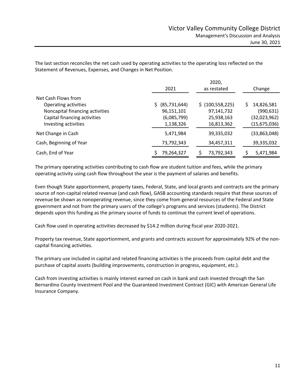The last section reconciles the net cash used by operating activities to the operating loss reflected on the Statement of Revenues, Expenses, and Changes in Net Position.

|                                 |                | 2020,            |                 |
|---------------------------------|----------------|------------------|-----------------|
|                                 | 2021           | as restated      | Change          |
| Net Cash Flows from             |                |                  |                 |
| Operating activities            | (85, 731, 644) | \$ (100,558,225) | Ś<br>14,826,581 |
| Noncapital financing activities | 96,151,101     | 97,141,732       | (990, 631)      |
| Capital financing activities    | (6,085,799)    | 25,938,163       | (32,023,962)    |
| Investing activities            | 1,138,326      | 16,813,362       | (15,675,036)    |
| Net Change in Cash              | 5,471,984      | 39,335,032       | (33,863,048)    |
| Cash, Beginning of Year         | 73,792,343     | 34,457,311       | 39,335,032      |
| Cash, End of Year               | 79,264,327     | 73,792,343       | 5,471,984       |

The primary operating activities contributing to cash flow are student tuition and fees, while the primary operating activity using cash flow throughout the year is the payment of salaries and benefits.

Even though State apportionment, property taxes, Federal, State, and local grants and contracts are the primary source of non-capital related revenue (and cash flow), GASB accounting standards require that these sources of revenue be shown as nonoperating revenue, since they come from general resources of the Federal and State government and not from the primary users of the college's programs and services (students). The District depends upon this funding as the primary source of funds to continue the current level of operations.

Cash flow used in operating activities decreased by \$14.2 million during fiscal year 2020‐2021.

Property tax revenue, State apportionment, and grants and contracts account for approximately 92% of the non‐ capital financing activities.

The primary use included in capital and related financing activities is the proceeds from capital debt and the purchase of capital assets (building improvements, construction in progress, equipment, etc.).

Cash from investing activities is mainly interest earned on cash in bank and cash invested through the San Bernardino County Investment Pool and the Guaranteed Investment Contract (GIC) with American General Life Insurance Company.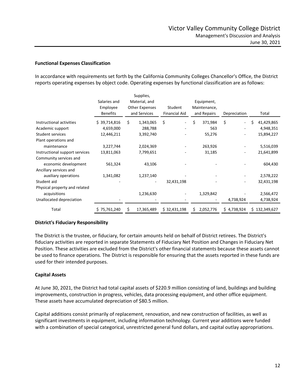## **Functional Expenses Classification**

In accordance with requirements set forth by the California Community Colleges Chancellor's Office, the District reports operating expenses by object code. Operating expenses by functional classification are as follows:

|                                | Salaries and<br>Employee<br><b>Benefits</b> |    | Supplies,<br>Material, and<br><b>Other Expenses</b><br>and Services | Student<br><b>Financial Aid</b> | Equipment,<br>Maintenance,<br>and Repairs | Depreciation             | Total            |
|--------------------------------|---------------------------------------------|----|---------------------------------------------------------------------|---------------------------------|-------------------------------------------|--------------------------|------------------|
| Instructional activities       | \$39,714,816                                | \$ | 1,343,065                                                           | \$                              | \$<br>371,984                             | \$                       | \$<br>41,429,865 |
| Academic support               | 4,659,000                                   |    | 288,788                                                             |                                 | 563                                       |                          | 4,948,351        |
| Student services               | 12,446,211                                  |    | 3,392,740                                                           |                                 | 55,276                                    | $\overline{\phantom{0}}$ | 15,894,227       |
| Plant operations and           |                                             |    |                                                                     |                                 |                                           |                          |                  |
| maintenance                    | 3,227,744                                   |    | 2,024,369                                                           |                                 | 263,926                                   |                          | 5,516,039        |
| Instructional support services | 13,811,063                                  |    | 7,799,651                                                           |                                 | 31,185                                    |                          | 21,641,899       |
| Community services and         |                                             |    |                                                                     |                                 |                                           |                          |                  |
| economic development           | 561,324                                     |    | 43,106                                                              |                                 |                                           |                          | 604,430          |
| Ancillary services and         |                                             |    |                                                                     |                                 |                                           |                          |                  |
| auxiliary operations           | 1,341,082                                   |    | 1,237,140                                                           |                                 |                                           |                          | 2,578,222        |
| Student aid                    |                                             |    |                                                                     | 32,431,198                      |                                           |                          | 32,431,198       |
| Physical property and related  |                                             |    |                                                                     |                                 |                                           |                          |                  |
| acquisitions                   |                                             |    | 1,236,630                                                           |                                 | 1,329,842                                 |                          | 2,566,472        |
| Unallocated depreciation       |                                             |    |                                                                     |                                 |                                           | 4,738,924                | 4,738,924        |
| Total                          | \$75,761,240                                | Ş  | 17,365,489                                                          | \$32,431,198                    | \$<br>2,052,776                           | \$4,738,924              | \$132,349,627    |

# **District's Fiduciary Responsibility**

The District is the trustee, or fiduciary, for certain amounts held on behalf of District retirees. The District's fiduciary activities are reported in separate Statements of Fiduciary Net Position and Changes in Fiduciary Net Position. These activities are excluded from the District's other financial statements because these assets cannot be used to finance operations. The District is responsible for ensuring that the assets reported in these funds are used for their intended purposes.

#### **Capital Assets**

At June 30, 2021, the District had total capital assets of \$220.9 million consisting of land, buildings and building improvements, construction in progress, vehicles, data processing equipment, and other office equipment. These assets have accumulated depreciation of \$80.5 million.

Capital additions consist primarily of replacement, renovation, and new construction of facilities, as well as significant investments in equipment, including information technology. Current year additions were funded with a combination of special categorical, unrestricted general fund dollars, and capital outlay appropriations.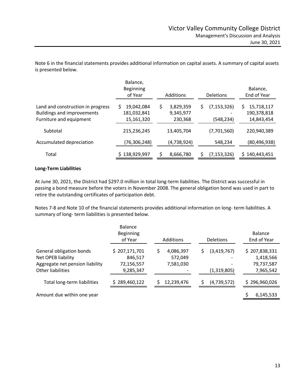Note 6 in the financial statements provides additional information on capital assets. A summary of capital assets is presented below.

|                                   | Balance,<br><b>Beginning</b><br>of Year |   | Additions<br><b>Deletions</b> |   | Balance,<br>End of Year |                   |
|-----------------------------------|-----------------------------------------|---|-------------------------------|---|-------------------------|-------------------|
| Land and construction in progress | 19,042,084<br>S                         | S | 3,829,359                     | S | (7, 153, 326)           | Ś<br>15,718,117   |
| <b>Buildings and improvements</b> | 181,032,841                             |   | 9,345,977                     |   |                         | 190,378,818       |
| Furniture and equipment           | 15,161,320                              |   | 230,368                       |   | (548, 234)              | 14,843,454        |
| Subtotal                          | 215,236,245                             |   | 13,405,704                    |   | (7,701,560)             | 220,940,389       |
| Accumulated depreciation          | (76,306,248)                            |   | (4,738,924)                   |   | 548,234                 | (80,496,938)      |
| Total                             | \$138,929,997                           |   | 8,666,780                     |   | (7, 153, 326)           | 140,443,451<br>S. |

## **Long‐Term Liabilities**

At June 30, 2021, the District had \$297.0 million in total long‐term liabilities. The District was successful in passing a bond measure before the voters in November 2008. The general obligation bond was used in part to retire the outstanding certificates of participation debt.

Notes 7‐8 and Note 10 of the financial statements provides additional information on long‐ term liabilities. A summary of long‐ term liabilities is presented below.

|                                                                                                        | <b>Balance</b><br>Beginning<br>of Year              | Additions                              | <b>Deletions</b>                 | <b>Balance</b><br>End of Year                         |
|--------------------------------------------------------------------------------------------------------|-----------------------------------------------------|----------------------------------------|----------------------------------|-------------------------------------------------------|
| General obligation bonds<br>Net OPEB liability<br>Aggregate net pension liability<br>Other liabilities | \$207,171,701<br>846,517<br>72,156,557<br>9,285,347 | Ś<br>4,086,397<br>572,049<br>7,581,030 | (3,419,767)<br>S.<br>(1,319,805) | \$207,838,331<br>1,418,566<br>79,737,587<br>7,965,542 |
| Total long-term liabilities                                                                            | \$289,460,122                                       | 12,239,476<br>Ś                        | (4,739,572)                      | \$296,960,026                                         |
| Amount due within one year                                                                             |                                                     |                                        |                                  | 6,145,533<br>S                                        |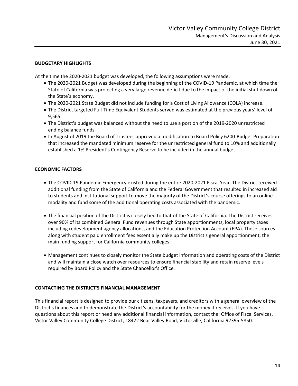#### **BUDGETARY HIGHLIGHTS**

At the time the 2020‐2021 budget was developed, the following assumptions were made:

- The 2020-2021 Budget was developed during the beginning of the COVID-19 Pandemic, at which time the State of California was projecting a very large revenue deficit due to the impact of the initial shut down of the State's economy.
- The 2020‐2021 State Budget did not include funding for a Cost of Living Allowance (COLA) increase.
- The District targeted Full‐Time Equivalent Students served was estimated at the previous years' level of 9,565.
- The District's budget was balanced without the need to use a portion of the 2019‐2020 unrestricted ending balance funds.
- In August of 2019 the Board of Trustees approved a modification to Board Policy 6200-Budget Preparation that increased the mandated minimum reserve for the unrestricted general fund to 10% and additionally established a 1% President's Contingency Reserve to be included in the annual budget.

#### **ECONOMIC FACTORS**

- The COVID‐19 Pandemic Emergency existed during the entire 2020‐2021 Fiscal Year. The District received additional funding from the State of California and the Federal Government that resulted in increased aid to students and institutional support to move the majority of the District's course offerings to an online modality and fund some of the additional operating costs associated with the pandemic.
- The financial position of the District is closely tied to that of the State of California. The District receives over 90% of its combined General Fund revenues through State apportionments, local property taxes including redevelopment agency allocations, and the Education Protection Account (EPA). These sources along with student paid enrollment fees essentially make up the District's general apportionment, the main funding support for California community colleges.
- Management continues to closely monitor the State budget information and operating costs of the District and will maintain a close watch over resources to ensure financial stability and retain reserve levels required by Board Policy and the State Chancellor's Office.

#### **CONTACTING THE DISTRICT'S FINANCIAL MANAGEMENT**

This financial report is designed to provide our citizens, taxpayers, and creditors with a general overview of the District's finances and to demonstrate the District's accountability for the money it receives. If you have questions about this report or need any additional financial information, contact the: Office of Fiscal Services, Victor Valley Community College District, 18422 Bear Valley Road, Victorville, California 92395‐5850.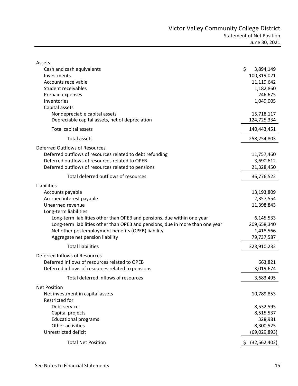| Assets                                                                        |                      |
|-------------------------------------------------------------------------------|----------------------|
| Cash and cash equivalents                                                     | \$<br>3,894,149      |
| Investments                                                                   | 100,319,021          |
| Accounts receivable                                                           | 11,119,642           |
| <b>Student receivables</b>                                                    | 1,182,860            |
| Prepaid expenses                                                              | 246,675              |
| Inventories                                                                   | 1,049,005            |
| Capital assets                                                                |                      |
| Nondepreciable capital assets                                                 | 15,718,117           |
| Depreciable capital assets, net of depreciation                               | 124,725,334          |
| Total capital assets                                                          | 140,443,451          |
| <b>Total assets</b>                                                           | 258,254,803          |
| <b>Deferred Outflows of Resources</b>                                         |                      |
| Deferred outflows of resources related to debt refunding                      | 11,757,460           |
| Deferred outflows of resources related to OPEB                                | 3,690,612            |
| Deferred outflows of resources related to pensions                            | 21,328,450           |
| Total deferred outflows of resources                                          | 36,776,522           |
| Liabilities                                                                   |                      |
| Accounts payable                                                              | 13,193,809           |
| Accrued interest payable                                                      | 2,357,554            |
| Unearned revenue                                                              | 11,398,843           |
| Long-term liabilities                                                         |                      |
| Long-term liabilities other than OPEB and pensions, due within one year       | 6,145,533            |
| Long-term liabilities other than OPEB and pensions, due in more than one year | 209,658,340          |
| Net other postemployment benefits (OPEB) liability                            | 1,418,566            |
| Aggregate net pension liability                                               | 79,737,587           |
| <b>Total liabilities</b>                                                      | 323,910,232          |
|                                                                               |                      |
| Deferred Inflows of Resources                                                 |                      |
| Deferred inflows of resources related to OPEB                                 | 663,821              |
| Deferred inflows of resources related to pensions                             | 3,019,674            |
| Total deferred inflows of resources                                           | 3,683,495            |
| <b>Net Position</b>                                                           |                      |
| Net investment in capital assets                                              | 10,789,853           |
| Restricted for                                                                |                      |
| Debt service                                                                  | 8,532,595            |
| Capital projects                                                              | 8,515,537            |
| <b>Educational programs</b>                                                   | 328,981              |
| Other activities                                                              | 8,300,525            |
| Unrestricted deficit                                                          | (69,029,893)         |
| <b>Total Net Position</b>                                                     | (32, 562, 402)<br>S. |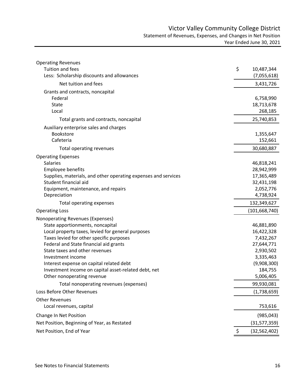Year Ended June 30, 2021

| <b>Operating Revenues</b>                                      |                      |
|----------------------------------------------------------------|----------------------|
| Tuition and fees                                               | \$<br>10,487,344     |
| Less: Scholarship discounts and allowances                     | (7,055,618)          |
| Net tuition and fees                                           | 3,431,726            |
| Grants and contracts, noncapital                               |                      |
| Federal                                                        | 6,758,990            |
| <b>State</b>                                                   | 18,713,678           |
| Local                                                          | 268,185              |
| Total grants and contracts, noncapital                         | 25,740,853           |
| Auxiliary enterprise sales and charges                         |                      |
| <b>Bookstore</b>                                               | 1,355,647            |
| Cafeteria                                                      | 152,661              |
| Total operating revenues                                       | 30,680,887           |
| <b>Operating Expenses</b>                                      |                      |
| <b>Salaries</b>                                                | 46,818,241           |
| <b>Employee benefits</b>                                       | 28,942,999           |
| Supplies, materials, and other operating expenses and services | 17,365,489           |
| Student financial aid                                          | 32,431,198           |
| Equipment, maintenance, and repairs                            | 2,052,776            |
| Depreciation                                                   | 4,738,924            |
| Total operating expenses                                       | 132,349,627          |
| <b>Operating Loss</b>                                          | (101, 668, 740)      |
| Nonoperating Revenues (Expenses)                               |                      |
| State apportionments, noncapital                               | 46,881,890           |
| Local property taxes, levied for general purposes              | 16,422,328           |
| Taxes levied for other specific purposes                       | 7,432,267            |
| Federal and State financial aid grants                         | 27,644,771           |
| State taxes and other revenues                                 | 2,930,502            |
| Investment income                                              | 3,335,463            |
| Interest expense on capital related debt                       | (9,908,300)          |
| Investment income on capital asset-related debt, net           | 184,755              |
| Other nonoperating revenue                                     | 5,006,405            |
| Total nonoperating revenues (expenses)                         | 99,930,081           |
| Loss Before Other Revenues                                     | (1,738,659)          |
| <b>Other Revenues</b>                                          |                      |
| Local revenues, capital                                        | 753,616              |
| Change In Net Position                                         | (985, 043)           |
| Net Position, Beginning of Year, as Restated                   | (31,577,359)         |
| Net Position, End of Year                                      | \$<br>(32, 562, 402) |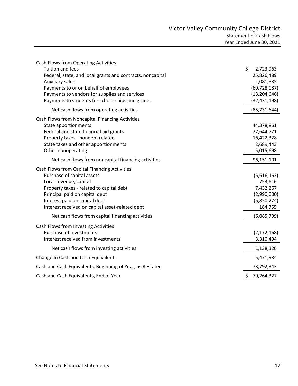| <b>Cash Flows from Operating Activities</b><br>Tuition and fees<br>Federal, state, and local grants and contracts, noncapital<br><b>Auxiliary sales</b><br>Payments to or on behalf of employees<br>Payments to vendors for supplies and services<br>Payments to students for scholarships and grants | \$<br>2,723,963<br>25,826,489<br>1,081,835<br>(69, 728, 087)<br>(13, 204, 646)<br>(32, 431, 198) |
|-------------------------------------------------------------------------------------------------------------------------------------------------------------------------------------------------------------------------------------------------------------------------------------------------------|--------------------------------------------------------------------------------------------------|
| Net cash flows from operating activities                                                                                                                                                                                                                                                              | (85, 731, 644)                                                                                   |
| Cash Flows from Noncapital Financing Activities<br>State apportionments<br>Federal and state financial aid grants<br>Property taxes - nondebt related<br>State taxes and other apportionments<br>Other nonoperating                                                                                   | 44,378,861<br>27,644,771<br>16,422,328<br>2,689,443<br>5,015,698                                 |
| Net cash flows from noncapital financing activities                                                                                                                                                                                                                                                   | 96,151,101                                                                                       |
| Cash Flows from Capital Financing Activities<br>Purchase of capital assets<br>Local revenue, capital<br>Property taxes - related to capital debt<br>Principal paid on capital debt<br>Interest paid on capital debt<br>Interest received on capital asset-related debt                                | (5,616,163)<br>753,616<br>7,432,267<br>(2,990,000)<br>(5,850,274)<br>184,755                     |
| Net cash flows from capital financing activities                                                                                                                                                                                                                                                      | (6,085,799)                                                                                      |
| Cash Flows from Investing Activities<br>Purchase of investments<br>Interest received from investments                                                                                                                                                                                                 | (2, 172, 168)<br>3,310,494                                                                       |
| Net cash flows from investing activities                                                                                                                                                                                                                                                              | 1,138,326                                                                                        |
| Change In Cash and Cash Equivalents                                                                                                                                                                                                                                                                   | 5,471,984                                                                                        |
| Cash and Cash Equivalents, Beginning of Year, as Restated                                                                                                                                                                                                                                             | 73,792,343                                                                                       |
| Cash and Cash Equivalents, End of Year                                                                                                                                                                                                                                                                | \$.<br>79,264,327                                                                                |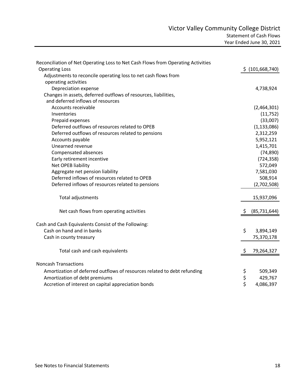| Reconciliation of Net Operating Loss to Net Cash Flows from Operating Activities |     |                 |
|----------------------------------------------------------------------------------|-----|-----------------|
| <b>Operating Loss</b>                                                            | \$. | (101, 668, 740) |
| Adjustments to reconcile operating loss to net cash flows from                   |     |                 |
| operating activities                                                             |     |                 |
| Depreciation expense                                                             |     | 4,738,924       |
| Changes in assets, deferred outflows of resources, liabilities,                  |     |                 |
| and deferred inflows of resources                                                |     |                 |
| Accounts receivable                                                              |     | (2,464,301)     |
| Inventories                                                                      |     | (11, 752)       |
| Prepaid expenses                                                                 |     | (33,007)        |
| Deferred outflows of resources related to OPEB                                   |     | (1, 133, 086)   |
| Deferred outflows of resources related to pensions                               |     | 2,312,259       |
| Accounts payable                                                                 |     | 5,952,121       |
| Unearned revenue                                                                 |     | 1,415,701       |
| <b>Compensated absences</b>                                                      |     | (74, 890)       |
| Early retirement incentive                                                       |     | (724, 358)      |
| Net OPEB liability                                                               |     | 572,049         |
| Aggregate net pension liability                                                  |     | 7,581,030       |
| Deferred inflows of resources related to OPEB                                    |     | 508,914         |
| Deferred inflows of resources related to pensions                                |     | (2,702,508)     |
|                                                                                  |     |                 |
| Total adjustments                                                                |     | 15,937,096      |
|                                                                                  |     |                 |
| Net cash flows from operating activities                                         | S   | (85, 731, 644)  |
| Cash and Cash Equivalents Consist of the Following:                              |     |                 |
| Cash on hand and in banks                                                        | \$  | 3,894,149       |
| Cash in county treasury                                                          |     | 75,370,178      |
|                                                                                  |     |                 |
| Total cash and cash equivalents                                                  | \$  | 79,264,327      |
| <b>Noncash Transactions</b>                                                      |     |                 |
|                                                                                  |     |                 |
| Amortization of deferred outflows of resources related to debt refunding         | \$  | 509,349         |
| Amortization of debt premiums                                                    | \$  | 429,767         |
| Accretion of interest on capital appreciation bonds                              | \$  | 4,086,397       |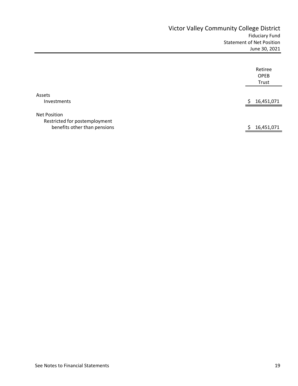Victor Valley Community College District Fiduciary Fund Statement of Net Position June 30, 2021

|                                                                                      | Retiree<br><b>OPEB</b><br>Trust |
|--------------------------------------------------------------------------------------|---------------------------------|
| Assets<br><b>Investments</b>                                                         | 16,451,071                      |
| <b>Net Position</b><br>Restricted for postemployment<br>benefits other than pensions | 16,451,071                      |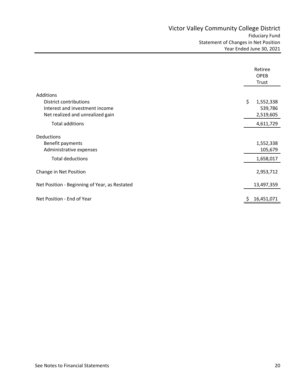|                                                                                                     |    | Retiree<br><b>OPEB</b><br>Trust   |
|-----------------------------------------------------------------------------------------------------|----|-----------------------------------|
| Additions                                                                                           |    |                                   |
| <b>District contributions</b><br>Interest and investment income<br>Net realized and unrealized gain | \$ | 1,552,338<br>539,786<br>2,519,605 |
| <b>Total additions</b>                                                                              |    | 4,611,729                         |
| Deductions                                                                                          |    |                                   |
| Benefit payments<br>Administrative expenses                                                         |    | 1,552,338<br>105,679              |
| <b>Total deductions</b>                                                                             |    | 1,658,017                         |
| Change in Net Position                                                                              |    | 2,953,712                         |
| Net Position - Beginning of Year, as Restated                                                       |    | 13,497,359                        |
| Net Position - End of Year                                                                          | Ş  | 16,451,071                        |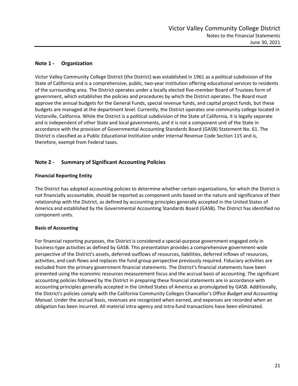# **Note 1 ‐ Organization**

Victor Valley Community College District (the District) was established in 1961 as a political subdivision of the State of California and is a comprehensive, public, two-year institution offering educational services to residents of the surrounding area. The District operates under a locally elected five‐member Board of Trustees form of government, which establishes the policies and procedures by which the District operates. The Board must approve the annual budgets for the General Funds, special revenue funds, and capital project funds, but these budgets are managed at the department level. Currently, the District operates one community college located in Victorville, California. While the District is a political subdivision of the State of California, it is legally separate and is independent of other State and local governments, and it is not a component unit of the State in accordance with the provision of Governmental Accounting Standards Board (GASB) Statement No. 61. The District is classified as a Public Educational Institution under Internal Revenue Code Section 115 and is, therefore, exempt from Federal taxes.

# **Note 2 ‐ Summary of Significant Accounting Policies**

# **Financial Reporting Entity**

The District has adopted accounting policies to determine whether certain organizations, for which the District is not financially accountable, should be reported as component units based on the nature and significance of their relationship with the District, as defined by accounting principles generally accepted in the United States of America and established by the Governmental Accounting Standards Board (GASB). The District has identified no component units.

# **Basis of Accounting**

For financial reporting purposes, the District is considered a special‐purpose government engaged only in business‐type activities as defined by GASB. This presentation provides a comprehensive government‐wide perspective of the District's assets, deferred outflows of resources, liabilities, deferred inflows of resources, activities, and cash flows and replaces the fund group perspective previously required. Fiduciary activities are excluded from the primary government financial statements. The District's financial statements have been presented using the economic resources measurement focus and the accrual basis of accounting. The significant accounting policies followed by the District in preparing these financial statements are in accordance with accounting principles generally accepted in the United States of America as promulgated by GASB. Additionally, the District's policies comply with the California Community Colleges Chancellor's Office *Budget and Accounting Manual*. Under the accrual basis, revenues are recognized when earned, and expenses are recorded when an obligation has been incurred. All material intra‐agency and intra‐fund transactions have been eliminated.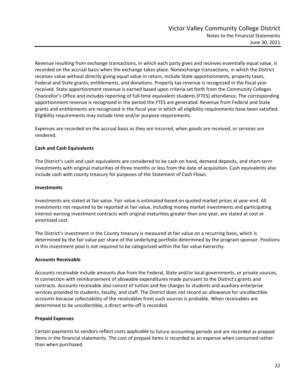Revenue resulting from exchange transactions, in which each party gives and receives essentially equal value, is recorded on the accrual basis when the exchange takes place. Nonexchange transactions, in which the District receives value without directly giving equal value in return, include State apportionments, property taxes, Federal and State grants, entitlements, and donations. Property tax revenue is recognized in the fiscal year received. State apportionment revenue is earned based upon criteria set forth from the Community Colleges Chancellor's Office and includes reporting of full‐time equivalent students (FTES) attendance. The corresponding apportionment revenue is recognized in the period the FTES are generated. Revenue from Federal and State grants and entitlements are recognized in the fiscal year in which all eligibility requirements have been satisfied. Eligibility requirements may include time and/or purpose requirements.

Expenses are recorded on the accrual basis as they are incurred, when goods are received, or services are rendered.

## **Cash and Cash Equivalents**

The District's cash and cash equivalents are considered to be cash on hand, demand deposits, and short‐term investments with original maturities of three months or less from the date of acquisition. Cash equivalents also include cash with county treasury for purposes of the Statement of Cash Flows.

#### **Investments**

Investments are stated at fair value. Fair value is estimated based on quoted market prices at year‐end. All investments not required to be reported at fair value, including money market investments and participating interest‐earning investment contracts with original maturities greater than one year, are stated at cost or amortized cost.

The District's investment in the County treasury is measured at fair value on a recurring basis, which is determined by the fair value per share of the underlying portfolio determined by the program sponsor. Positions in this investment pool is not required to be categorized within the fair value hierarchy.

#### **Accounts Receivable**

Accounts receivable include amounts due from the Federal, State and/or local governments, or private sources, in connection with reimbursement of allowable expenditures made pursuant to the District's grants and contracts. Accounts receivable also consist of tuition and fee charges to students and auxiliary enterprise services provided to students, faculty, and staff. The District does not record an allowance for uncollectible accounts because collectability of the receivables from such sources is probable. When receivables are determined to be uncollectible, a direct write‐off is recorded.

#### **Prepaid Expenses**

Certain payments to vendors reflect costs applicable to future accounting periods and are recorded as prepaid items in the financial statements. The cost of prepaid items is recorded as an expense when consumed rather than when purchased.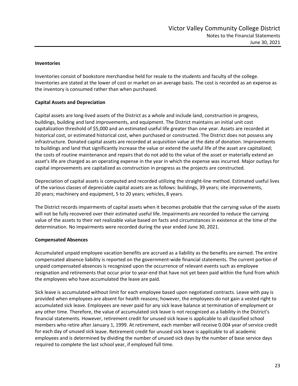#### **Inventories**

Inventories consist of bookstore merchandise held for resale to the students and faculty of the college. Inventories are stated at the lower of cost or market on an average basis. The cost is recorded as an expense as the inventory is consumed rather than when purchased.

# **Capital Assets and Depreciation**

Capital assets are long‐lived assets of the District as a whole and include land, construction in progress, buildings, building and land improvements, and equipment. The District maintains an initial unit cost capitalization threshold of \$5,000 and an estimated useful life greater than one year. Assets are recorded at historical cost, or estimated historical cost, when purchased or constructed. The District does not possess any infrastructure. Donated capital assets are recorded at acquisition value at the date of donation. Improvements to buildings and land that significantly increase the value or extend the useful life of the asset are capitalized; the costs of routine maintenance and repairs that do not add to the value of the asset or materially extend an asset's life are charged as an operating expense in the year in which the expense was incurred. Major outlays for capital improvements are capitalized as construction in progress as the projects are constructed.

Depreciation of capital assets is computed and recorded utilizing the straight‐line method. Estimated useful lives of the various classes of depreciable capital assets are as follows: buildings, 39 years; site improvements, 20 years; machinery and equipment, 5 to 20 years; vehicles, 8 years.

The District records impairments of capital assets when it becomes probable that the carrying value of the assets will not be fully recovered over their estimated useful life. Impairments are recorded to reduce the carrying value of the assets to their net realizable value based on facts and circumstances in existence at the time of the determination. No impairments were recorded during the year ended June 30, 2021.

# **Compensated Absences**

Accumulated unpaid employee vacation benefits are accrued as a liability as the benefits are earned. The entire compensated absence liability is reported on the government‐wide financial statements. The current portion of unpaid compensated absences is recognized upon the occurrence of relevant events such as employee resignation and retirements that occur prior to year‐end that have not yet been paid within the fund from which the employees who have accumulated the leave are paid.

Sick leave is accumulated without limit for each employee based upon negotiated contracts. Leave with pay is provided when employees are absent for health reasons; however, the employees do not gain a vested right to accumulated sick leave. Employees are never paid for any sick leave balance at termination of employment or any other time. Therefore, the value of accumulated sick leave is not recognized as a liability in the District's financial statements. However, retirement credit for unused sick leave is applicable to all classified school members who retire after January 1, 1999. At retirement, each member will receive 0.004 year of service credit for each day of unused sick leave. Retirement credit for unused sick leave is applicable to all academic employees and is determined by dividing the number of unused sick days by the number of base service days required to complete the last school year, if employed full time.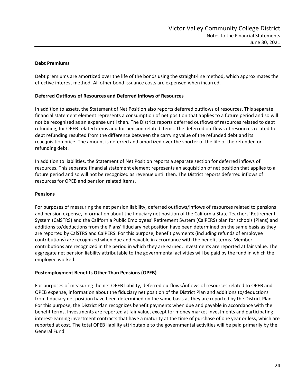#### **Debt Premiums**

Debt premiums are amortized over the life of the bonds using the straight‐line method, which approximates the effective interest method. All other bond issuance costs are expensed when incurred.

#### **Deferred Outflows of Resources and Deferred Inflows of Resources**

In addition to assets, the Statement of Net Position also reports deferred outflows of resources. This separate financial statement element represents a consumption of net position that applies to a future period and so will not be recognized as an expense until then. The District reports deferred outflows of resources related to debt refunding, for OPEB related items and for pension related items. The deferred outflows of resources related to debt refunding resulted from the difference between the carrying value of the refunded debt and its reacquisition price. The amount is deferred and amortized over the shorter of the life of the refunded or refunding debt.

In addition to liabilities, the Statement of Net Position reports a separate section for deferred inflows of resources. This separate financial statement element represents an acquisition of net position that applies to a future period and so will not be recognized as revenue until then. The District reports deferred inflows of resources for OPEB and pension related items.

#### **Pensions**

For purposes of measuring the net pension liability, deferred outflows/inflows of resources related to pensions and pension expense, information about the fiduciary net position of the California State Teachers' Retirement System (CalSTRS) and the California Public Employees' Retirement System (CalPERS) plan for schools (Plans) and additions to/deductions from the Plans' fiduciary net position have been determined on the same basis as they are reported by CalSTRS and CalPERS. For this purpose, benefit payments (including refunds of employee contributions) are recognized when due and payable in accordance with the benefit terms. Member contributions are recognized in the period in which they are earned. Investments are reported at fair value. The aggregate net pension liability attributable to the governmental activities will be paid by the fund in which the employee worked.

#### **Postemployment Benefits Other Than Pensions (OPEB)**

For purposes of measuring the net OPEB liability, deferred outflows/inflows of resources related to OPEB and OPEB expense, information about the fiduciary net position of the District Plan and additions to/deductions from fiduciary net position have been determined on the same basis as they are reported by the District Plan. For this purpose, the District Plan recognizes benefit payments when due and payable in accordance with the benefit terms. Investments are reported at fair value, except for money market investments and participating interest-earning investment contracts that have a maturity at the time of purchase of one year or less, which are reported at cost. The total OPEB liability attributable to the governmental activities will be paid primarily by the General Fund.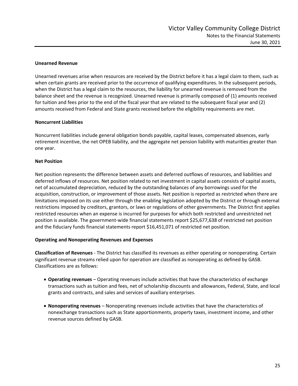#### **Unearned Revenue**

Unearned revenues arise when resources are received by the District before it has a legal claim to them, such as when certain grants are received prior to the occurrence of qualifying expenditures. In the subsequent periods, when the District has a legal claim to the resources, the liability for unearned revenue is removed from the balance sheet and the revenue is recognized. Unearned revenue is primarily composed of (1) amounts received for tuition and fees prior to the end of the fiscal year that are related to the subsequent fiscal year and (2) amounts received from Federal and State grants received before the eligibility requirements are met.

## **Noncurrent Liabilities**

Noncurrent liabilities include general obligation bonds payable, capital leases, compensated absences, early retirement incentive, the net OPEB liability, and the aggregate net pension liability with maturities greater than one year.

## **Net Position**

Net position represents the difference between assets and deferred outflows of resources, and liabilities and deferred inflows of resources. Net position related to net investment in capital assets consists of capital assets, net of accumulated depreciation, reduced by the outstanding balances of any borrowings used for the acquisition, construction, or improvement of those assets. Net position is reported as restricted when there are limitations imposed on its use either through the enabling legislation adopted by the District or through external restrictions imposed by creditors, grantors, or laws or regulations of other governments. The District first applies restricted resources when an expense is incurred for purposes for which both restricted and unrestricted net position is available. The government‐wide financial statements report \$25,677,638 of restricted net position and the fiduciary funds financial statements report \$16,451,071 of restricted net position.

#### **Operating and Nonoperating Revenues and Expenses**

**Classification of Revenues** ‐ The District has classified its revenues as either operating or nonoperating. Certain significant revenue streams relied upon for operation are classified as nonoperating as defined by GASB. Classifications are as follows:

- **Operating revenues** Operating revenues include activities that have the characteristics of exchange transactions such as tuition and fees, net of scholarship discounts and allowances, Federal, State, and local grants and contracts, and sales and services of auxiliary enterprises.
- **Nonoperating revenues** Nonoperating revenues include activities that have the characteristics of nonexchange transactions such as State apportionments, property taxes, investment income, and other revenue sources defined by GASB.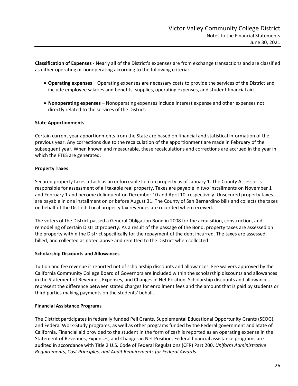**Classification of Expenses** ‐ Nearly all of the District's expenses are from exchange transactions and are classified as either operating or nonoperating according to the following criteria:

- **Operating expenses** Operating expenses are necessary costs to provide the services of the District and include employee salaries and benefits, supplies, operating expenses, and student financial aid.
- **Nonoperating expenses** Nonoperating expenses include interest expense and other expenses not directly related to the services of the District.

## **State Apportionments**

Certain current year apportionments from the State are based on financial and statistical information of the previous year. Any corrections due to the recalculation of the apportionment are made in February of the subsequent year. When known and measurable, these recalculations and corrections are accrued in the year in which the FTES are generated.

## **Property Taxes**

Secured property taxes attach as an enforceable lien on property as of January 1. The County Assessor is responsible for assessment of all taxable real property. Taxes are payable in two installments on November 1 and February 1 and become delinquent on December 10 and April 10, respectively. Unsecured property taxes are payable in one installment on or before August 31. The County of San Bernardino bills and collects the taxes on behalf of the District. Local property tax revenues are recorded when received.

The voters of the District passed a General Obligation Bond in 2008 for the acquisition, construction, and remodeling of certain District property. As a result of the passage of the Bond, property taxes are assessed on the property within the District specifically for the repayment of the debt incurred. The taxes are assessed, billed, and collected as noted above and remitted to the District when collected.

#### **Scholarship Discounts and Allowances**

Tuition and fee revenue is reported net of scholarship discounts and allowances. Fee waivers approved by the California Community College Board of Governors are included within the scholarship discounts and allowances in the Statement of Revenues, Expenses, and Changes in Net Position. Scholarship discounts and allowances represent the difference between stated charges for enrollment fees and the amount that is paid by students or third parties making payments on the students' behalf.

#### **Financial Assistance Programs**

The District participates in federally funded Pell Grants, Supplemental Educational Opportunity Grants (SEOG), and Federal Work‐Study programs, as well as other programs funded by the Federal government and State of California. Financial aid provided to the student in the form of cash is reported as an operating expense in the Statement of Revenues, Expenses, and Changes in Net Position. Federal financial assistance programs are audited in accordance with Title 2 U.S. Code of Federal Regulations (CFR) Part 200, *Uniform Administrative Requirements, Cost Principles, and Audit Requirements for Federal Awards*.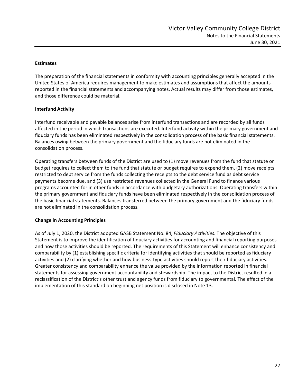## **Estimates**

The preparation of the financial statements in conformity with accounting principles generally accepted in the United States of America requires management to make estimates and assumptions that affect the amounts reported in the financial statements and accompanying notes. Actual results may differ from those estimates, and those difference could be material.

## **Interfund Activity**

Interfund receivable and payable balances arise from interfund transactions and are recorded by all funds affected in the period in which transactions are executed. Interfund activity within the primary government and fiduciary funds has been eliminated respectively in the consolidation process of the basic financial statements. Balances owing between the primary government and the fiduciary funds are not eliminated in the consolidation process.

Operating transfers between funds of the District are used to (1) move revenues from the fund that statute or budget requires to collect them to the fund that statute or budget requires to expend them, (2) move receipts restricted to debt service from the funds collecting the receipts to the debt service fund as debt service payments become due, and (3) use restricted revenues collected in the General Fund to finance various programs accounted for in other funds in accordance with budgetary authorizations. Operating transfers within the primary government and fiduciary funds have been eliminated respectively in the consolidation process of the basic financial statements. Balances transferred between the primary government and the fiduciary funds are not eliminated in the consolidation process.

#### **Change in Accounting Principles**

As of July 1, 2020, the District adopted GASB Statement No. 84, *Fiduciary Activities*. The objective of this Statement is to improve the identification of fiduciary activities for accounting and financial reporting purposes and how those activities should be reported. The requirements of this Statement will enhance consistency and comparability by (1) establishing specific criteria for identifying activities that should be reported as fiduciary activities and (2) clarifying whether and how business-type activities should report their fiduciary activities. Greater consistency and comparability enhance the value provided by the information reported in financial statements for assessing government accountability and stewardship. The impact to the District resulted in a reclassification of the District's other trust and agency funds from fiduciary to governmental. The effect of the implementation of this standard on beginning net position is disclosed in Note 13.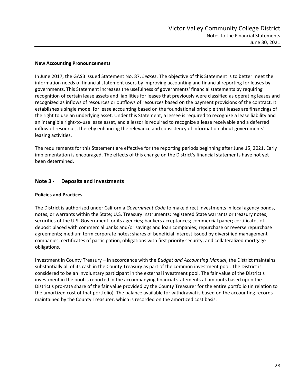#### **New Accounting Pronouncements**

In June 2017, the GASB issued Statement No. 87, *Leases*. The objective of this Statement is to better meet the information needs of financial statement users by improving accounting and financial reporting for leases by governments. This Statement increases the usefulness of governments' financial statements by requiring recognition of certain lease assets and liabilities for leases that previously were classified as operating leases and recognized as inflows of resources or outflows of resources based on the payment provisions of the contract. It establishes a single model for lease accounting based on the foundational principle that leases are financings of the right to use an underlying asset. Under this Statement, a lessee is required to recognize a lease liability and an intangible right‐to‐use lease asset, and a lessor is required to recognize a lease receivable and a deferred inflow of resources, thereby enhancing the relevance and consistency of information about governments' leasing activities.

The requirements for this Statement are effective for the reporting periods beginning after June 15, 2021. Early implementation is encouraged. The effects of this change on the District's financial statements have not yet been determined.

# **Note 3 ‐ Deposits and Investments**

#### **Policies and Practices**

The District is authorized under California *Government Code* to make direct investments in local agency bonds, notes, or warrants within the State; U.S. Treasury instruments; registered State warrants or treasury notes; securities of the U.S. Government, or its agencies; bankers acceptances; commercial paper; certificates of deposit placed with commercial banks and/or savings and loan companies; repurchase or reverse repurchase agreements; medium term corporate notes; shares of beneficial interest issued by diversified management companies, certificates of participation, obligations with first priority security; and collateralized mortgage obligations.

Investment in County Treasury – In accordance with the *Budget and Accounting Manual*, the District maintains substantially all of its cash in the County Treasury as part of the common investment pool. The District is considered to be an involuntary participant in the external investment pool. The fair value of the District's investment in the pool is reported in the accompanying financial statements at amounts based upon the District's pro‐rata share of the fair value provided by the County Treasurer for the entire portfolio (in relation to the amortized cost of that portfolio). The balance available for withdrawal is based on the accounting records maintained by the County Treasurer, which is recorded on the amortized cost basis.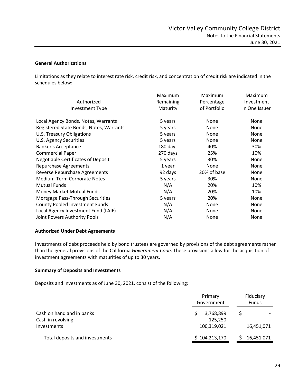#### **General Authorizations**

Limitations as they relate to interest rate risk, credit risk, and concentration of credit risk are indicated in the schedules below:

|                                         | Maximum   | Maximum      | Maximum       |
|-----------------------------------------|-----------|--------------|---------------|
| Authorized                              | Remaining | Percentage   | Investment    |
| <b>Investment Type</b>                  | Maturity  | of Portfolio | in One Issuer |
|                                         |           |              |               |
| Local Agency Bonds, Notes, Warrants     | 5 years   | None         | None          |
| Registered State Bonds, Notes, Warrants | 5 years   | None         | None          |
| U.S. Treasury Obligations               | 5 years   | None         | None          |
| U.S. Agency Securities                  | 5 years   | None         | None          |
| <b>Banker's Acceptance</b>              | 180 days  | 40%          | 30%           |
| <b>Commercial Paper</b>                 | 270 days  | 25%          | 10%           |
| Negotiable Certificates of Deposit      | 5 years   | 30%          | None          |
| Repurchase Agreements                   | 1 year    | None         | None          |
| Reverse Repurchase Agreements           | 92 days   | 20% of base  | None          |
| Medium-Term Corporate Notes             | 5 years   | 30%          | None          |
| <b>Mutual Funds</b>                     | N/A       | 20%          | 10%           |
| Money Market Mutual Funds               | N/A       | 20%          | 10%           |
| Mortgage Pass-Through Securities        | 5 years   | 20%          | None          |
| <b>County Pooled Investment Funds</b>   | N/A       | None         | None          |
| Local Agency Investment Fund (LAIF)     | N/A       | None         | None          |
| Joint Powers Authority Pools            | N/A       | None         | None          |

#### **Authorized Under Debt Agreements**

Investments of debt proceeds held by bond trustees are governed by provisions of the debt agreements rather than the general provisions of the California *Government Code*. These provisions allow for the acquisition of investment agreements with maturities of up to 30 years.

#### **Summary of Deposits and Investments**

Deposits and investments as of June 30, 2021, consist of the following:

|                                                               | Primary<br>Government               | Fiduciary<br>Funds |  |
|---------------------------------------------------------------|-------------------------------------|--------------------|--|
| Cash on hand and in banks<br>Cash in revolving<br>Investments | 3,768,899<br>125,250<br>100,319,021 | 16,451,071         |  |
| Total deposits and investments                                | \$104,213,170                       | 16,451,071         |  |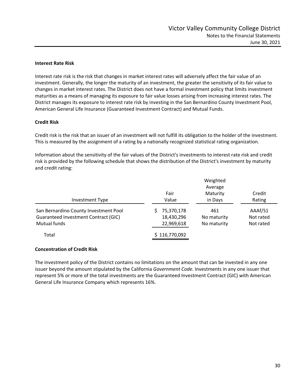#### **Interest Rate Risk**

Interest rate risk is the risk that changes in market interest rates will adversely affect the fair value of an investment. Generally, the longer the maturity of an investment, the greater the sensitivity of its fair value to changes in market interest rates. The District does not have a formal investment policy that limits investment maturities as a means of managing its exposure to fair value losses arising from increasing interest rates. The District manages its exposure to interest rate risk by investing in the San Bernardino County Investment Pool, American General Life Insurance (Guaranteed Investment Contract) and Mutual Funds.

## **Credit Risk**

Credit risk is the risk that an issuer of an investment will not fulfill its obligation to the holder of the investment. This is measured by the assignment of a rating by a nationally recognized statistical rating organization.

Information about the sensitivity of the fair values of the District's investments to interest rate risk and credit risk is provided by the following schedule that shows the distribution of the District's investment by maturity and credit rating:

|                                       | Fair          | Weighted<br>Average<br>Maturity | Credit    |
|---------------------------------------|---------------|---------------------------------|-----------|
| Investment Type                       | Value         | in Days                         | Rating    |
| San Bernardino County Investment Pool | 75,370,178    | 461                             | AAAf/S1   |
| Guaranteed Investment Contract (GIC)  | 18,430,296    | No maturity                     | Not rated |
| Mutual funds                          | 22,969,618    | No maturity                     | Not rated |
| Total                                 | \$116,770,092 |                                 |           |

#### **Concentration of Credit Risk**

The investment policy of the District contains no limitations on the amount that can be invested in any one issuer beyond the amount stipulated by the California *Government Code*. Investments in any one issuer that represent 5% or more of the total investments are the Guaranteed Investment Contract (GIC) with American General Life Insurance Company which represents 16%.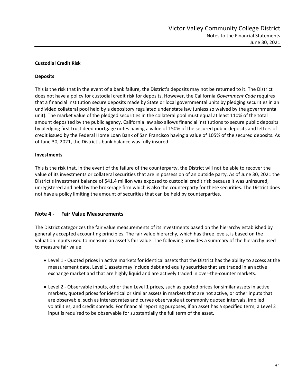## **Custodial Credit Risk**

#### **Deposits**

This is the risk that in the event of a bank failure, the District's deposits may not be returned to it. The District does not have a policy for custodial credit risk for deposits. However, the California *Government Code* requires that a financial institution secure deposits made by State or local governmental units by pledging securities in an undivided collateral pool held by a depository regulated under state law (unless so waived by the governmental unit). The market value of the pledged securities in the collateral pool must equal at least 110% of the total amount deposited by the public agency. California law also allows financial institutions to secure public deposits by pledging first trust deed mortgage notes having a value of 150% of the secured public deposits and letters of credit issued by the Federal Home Loan Bank of San Francisco having a value of 105% of the secured deposits. As of June 30, 2021, the District's bank balance was fully insured.

#### **Investments**

This is the risk that, in the event of the failure of the counterparty, the District will not be able to recover the value of its investments or collateral securities that are in possession of an outside party. As of June 30, 2021 the District's investment balance of \$41.4 million was exposed to custodial credit risk because it was uninsured, unregistered and held by the brokerage firm which is also the counterparty for these securities. The District does not have a policy limiting the amount of securities that can be held by counterparties.

# **Note 4 ‐ Fair Value Measurements**

The District categorizes the fair value measurements of its investments based on the hierarchy established by generally accepted accounting principles. The fair value hierarchy, which has three levels, is based on the valuation inputs used to measure an asset's fair value. The following provides a summary of the hierarchy used to measure fair value:

- Level 1 ‐ Quoted prices in active markets for identical assets that the District has the ability to access at the measurement date. Level 1 assets may include debt and equity securities that are traded in an active exchange market and that are highly liquid and are actively traded in over-the-counter markets.
- Level 2 ‐ Observable inputs, other than Level 1 prices, such as quoted prices for similar assets in active markets, quoted prices for identical or similar assets in markets that are not active, or other inputs that are observable, such as interest rates and curves observable at commonly quoted intervals, implied volatilities, and credit spreads. For financial reporting purposes, if an asset has a specified term, a Level 2 input is required to be observable for substantially the full term of the asset.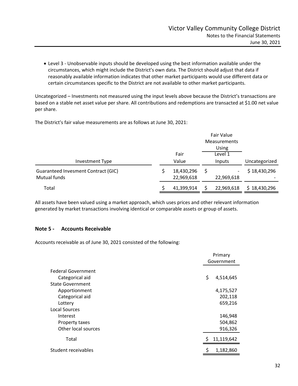Level 3 ‐ Unobservable inputs should be developed using the best information available under the circumstances, which might include the District's own data. The District should adjust that data if reasonably available information indicates that other market participants would use different data or certain circumstances specific to the District are not available to other market participants.

Uncategorized – Investments not measured using the input levels above because the District's transactions are based on a stable net asset value per share. All contributions and redemptions are transacted at \$1.00 net value per share.

The District's fair value measurements are as follows at June 30, 2021:

|                                                     |                          | <b>Fair Value</b><br><b>Measurements</b><br><b>Using</b> |               |
|-----------------------------------------------------|--------------------------|----------------------------------------------------------|---------------|
| Investment Type                                     | Fair<br>Value            | Level 1<br>Inputs                                        | Uncategorized |
| Guaranteed Invesment Contract (GIC)<br>Mutual funds | 18,430,296<br>22,969,618 | \$<br>$\overline{\phantom{a}}$<br>22,969,618             | \$18,430,296  |
| Total                                               | 41,399,914               | 22,969,618                                               | \$18,430,296  |

All assets have been valued using a market approach, which uses prices and other relevant information generated by market transactions involving identical or comparable assets or group of assets.

# **Note 5 ‐ Accounts Receivable**

Accounts receivable as of June 30, 2021 consisted of the following:

|                           | Primary    |            |
|---------------------------|------------|------------|
|                           | Government |            |
| <b>Federal Government</b> |            |            |
| Categorical aid           | \$         | 4,514,645  |
| <b>State Government</b>   |            |            |
| Apportionment             |            | 4,175,527  |
| Categorical aid           |            | 202,118    |
| Lottery                   |            | 659,216    |
| Local Sources             |            |            |
| Interest                  |            | 146,948    |
| Property taxes            |            | 504,862    |
| Other local sources       |            | 916,326    |
| Total                     |            | 11,119,642 |
| Student receivables       | \$         | 1,182,860  |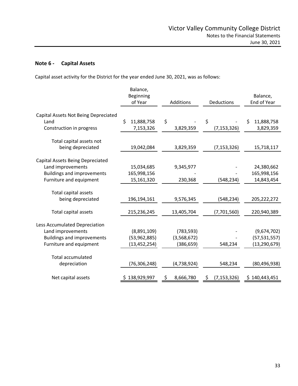# **Note 6 ‐ Capital Assets**

Capital asset activity for the District for the year ended June 30, 2021, was as follows:

|                                      | Balance,<br>Beginning<br>of Year | Additions   | Deductions          | Balance,<br>End of Year |
|--------------------------------------|----------------------------------|-------------|---------------------|-------------------------|
| Capital Assets Not Being Depreciated |                                  |             |                     |                         |
| Land                                 | \$<br>11,888,758                 | \$          | \$                  | Ś<br>11,888,758         |
| Construction in progress             | 7,153,326                        | 3,829,359   | (7, 153, 326)       | 3,829,359               |
| Total capital assets not             |                                  |             |                     |                         |
| being depreciated                    | 19,042,084                       | 3,829,359   | (7, 153, 326)       | 15,718,117              |
| Capital Assets Being Depreciated     |                                  |             |                     |                         |
| Land improvements                    | 15,034,685                       | 9,345,977   |                     | 24,380,662              |
| <b>Buildings and improvements</b>    | 165,998,156                      |             |                     | 165,998,156             |
| Furniture and equipment              | 15,161,320                       | 230,368     | (548, 234)          | 14,843,454              |
| Total capital assets                 |                                  |             |                     |                         |
| being depreciated                    | 196,194,161                      | 9,576,345   | (548, 234)          | 205,222,272             |
| Total capital assets                 | 215,236,245                      | 13,405,704  | (7,701,560)         | 220,940,389             |
| Less Accumulated Depreciation        |                                  |             |                     |                         |
| Land improvements                    | (8,891,109)                      | (783, 593)  |                     | (9,674,702)             |
| <b>Buildings and improvements</b>    | (53,962,885)                     | (3,568,672) |                     | (57, 531, 557)          |
| Furniture and equipment              | (13, 452, 254)                   | (386, 659)  | 548,234             | (13, 290, 679)          |
| <b>Total accumulated</b>             |                                  |             |                     |                         |
| depreciation                         | (76, 306, 248)                   | (4,738,924) | 548,234             | (80, 496, 938)          |
| Net capital assets                   | 138,929,997                      | 8,666,780   | \$<br>(7, 153, 326) | 140,443,451<br>S.       |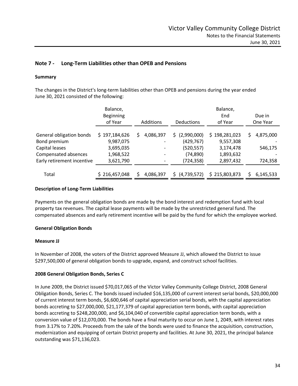## **Note 7 ‐ Long‐Term Liabilities other than OPEB and Pensions**

#### **Summary**

The changes in the District's long‐term liabilities other than OPEB and pensions during the year ended June 30, 2021 consisted of the following:

|                            | Balance,<br>Beginning<br>of Year | Additions | <b>Deductions</b> | Balance,<br>End<br>of Year | Due in<br>One Year |
|----------------------------|----------------------------------|-----------|-------------------|----------------------------|--------------------|
|                            |                                  |           |                   |                            |                    |
| General obligation bonds   | \$197,184,626                    | 4,086,397 | (2,990,000)<br>S. | \$198,281,023              | 4,875,000<br>S     |
| Bond premium               | 9,987,075                        | ۰         | (429, 767)        | 9,557,308                  |                    |
| Capital leases             | 3,695,035                        |           | (520, 557)        | 3,174,478                  | 546,175            |
| Compensated absences       | 1,968,522                        |           | (74,890)          | 1,893,632                  |                    |
| Early retirement incentive | 3,621,790                        |           | (724, 358)        | 2,897,432                  | 724,358            |
|                            |                                  |           |                   |                            |                    |
| Total                      | \$216,457,048                    | 4,086,397 | (4,739,572)<br>S. | \$215,803,873              | 6,145,533          |

#### **Description of Long‐Term Liabilities**

Payments on the general obligation bonds are made by the bond interest and redemption fund with local property tax revenues. The capital lease payments will be made by the unrestricted general fund. The compensated absences and early retirement incentive will be paid by the fund for which the employee worked.

#### **General Obligation Bonds**

#### **Measure JJ**

In November of 2008, the voters of the District approved Measure JJ, which allowed the District to issue \$297,500,000 of general obligation bonds to upgrade, expand, and construct school facilities.

#### **2008 General Obligation Bonds, Series C**

In June 2009, the District issued \$70,017,065 of the Victor Valley Community College District, 2008 General Obligation Bonds, Series C. The bonds issued included \$16,135,000 of current interest serial bonds, \$20,000,000 of current interest term bonds, \$6,600,646 of capital appreciation serial bonds, with the capital appreciation bonds accreting to \$27,000,000, \$21,177,379 of capital appreciation term bonds, with capital appreciation bonds accreting to \$248,200,000, and \$6,104,040 of convertible capital appreciation term bonds, with a conversion value of \$12,070,000. The bonds have a final maturity to occur on June 1, 2049, with interest rates from 3.17% to 7.20%. Proceeds from the sale of the bonds were used to finance the acquisition, construction, modernization and equipping of certain District property and facilities. At June 30, 2021, the principal balance outstanding was \$71,136,023.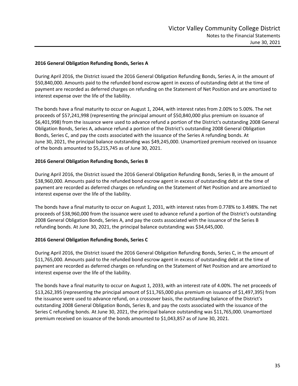#### **2016 General Obligation Refunding Bonds, Series A**

During April 2016, the District issued the 2016 General Obligation Refunding Bonds, Series A, in the amount of \$50,840,000. Amounts paid to the refunded bond escrow agent in excess of outstanding debt at the time of payment are recorded as deferred charges on refunding on the Statement of Net Position and are amortized to interest expense over the life of the liability.

The bonds have a final maturity to occur on August 1, 2044, with interest rates from 2.00% to 5.00%. The net proceeds of \$57,241,998 (representing the principal amount of \$50,840,000 plus premium on issuance of \$6,401,998) from the issuance were used to advance refund a portion of the District's outstanding 2008 General Obligation Bonds, Series A, advance refund a portion of the District's outstanding 2008 General Obligation Bonds, Series C, and pay the costs associated with the issuance of the Series A refunding bonds. At June 30, 2021, the principal balance outstanding was \$49,245,000. Unamortized premium received on issuance of the bonds amounted to \$5,215,745 as of June 30, 2021.

## **2016 General Obligation Refunding Bonds, Series B**

During April 2016, the District issued the 2016 General Obligation Refunding Bonds, Series B, in the amount of \$38,960,000. Amounts paid to the refunded bond escrow agent in excess of outstanding debt at the time of payment are recorded as deferred charges on refunding on the Statement of Net Position and are amortized to interest expense over the life of the liability.

The bonds have a final maturity to occur on August 1, 2031, with interest rates from 0.778% to 3.498%. The net proceeds of \$38,960,000 from the issuance were used to advance refund a portion of the District's outstanding 2008 General Obligation Bonds, Series A, and pay the costs associated with the issuance of the Series B refunding bonds. At June 30, 2021, the principal balance outstanding was \$34,645,000.

#### **2016 General Obligation Refunding Bonds, Series C**

During April 2016, the District issued the 2016 General Obligation Refunding Bonds, Series C, in the amount of \$11,765,000. Amounts paid to the refunded bond escrow agent in excess of outstanding debt at the time of payment are recorded as deferred charges on refunding on the Statement of Net Position and are amortized to interest expense over the life of the liability.

The bonds have a final maturity to occur on August 1, 2033, with an interest rate of 4.00%. The net proceeds of \$13,262,395 (representing the principal amount of \$11,765,000 plus premium on issuance of \$1,497,395) from the issuance were used to advance refund, on a crossover basis, the outstanding balance of the District's outstanding 2008 General Obligation Bonds, Series B, and pay the costs associated with the issuance of the Series C refunding bonds. At June 30, 2021, the principal balance outstanding was \$11,765,000. Unamortized premium received on issuance of the bonds amounted to \$1,043,857 as of June 30, 2021.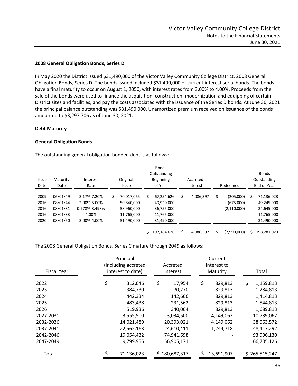#### **2008 General Obligation Bonds, Series D**

In May 2020 the District issued \$31,490,000 of the Victor Valley Community College District, 2008 General Obligation Bonds, Series D. The bonds issued included \$31,490,000 of current interest serial bonds. The bonds have a final maturity to occur on August 1, 2050, with interest rates from 3.00% to 4.00%. Proceeds from the sale of the bonds were used to finance the acquisition, construction, modernization and equipping of certain District sites and facilities, and pay the costs associated with the issuance of the Series D bonds. At June 30, 2021 the principal balance outstanding was \$31,490,000. Unamortized premium received on issuance of the bonds amounted to \$3,297,706 as of June 30, 2021.

#### **Debt Maturity**

#### **General Obligation Bonds**

The outstanding general obligation bonded debt is as follows:

|       |          |               |    |                                     |   | <b>Bonds</b>     |   |           |   |               |          |              |  |             |
|-------|----------|---------------|----|-------------------------------------|---|------------------|---|-----------|---|---------------|----------|--------------|--|-------------|
|       |          |               |    |                                     |   | Outstanding      |   |           |   |               |          | <b>Bonds</b> |  |             |
| Issue | Maturity | Interest      |    | Original                            |   | <b>Beginning</b> |   | Accreted  |   |               |          | Outstanding  |  |             |
| Date  | Date     | Rate          |    | of Year<br>Interest<br><b>Issue</b> |   |                  |   |           |   |               | Redeemed |              |  | End of Year |
|       |          |               |    |                                     |   |                  |   |           |   |               |          |              |  |             |
| 2009  | 06/01/49 | 3.17%-7.20%   | Ś. | 70,017,065                          | Ś | 67,254,626       | Ś | 4,086,397 | Ś | (205,000)     | Ś        | 71,136,023   |  |             |
| 2016  | 08/01/44 | 2.00%-5.00%   |    | 50,840,000                          |   | 49.920.000       |   |           |   | (675,000)     |          | 49,245,000   |  |             |
| 2016  | 08/01/31 | 0.778%-3.498% |    | 38,960,000                          |   | 36,755,000       |   |           |   | (2, 110, 000) |          | 34,645,000   |  |             |
| 2016  | 08/01/33 | 4.00%         |    | 11,765,000                          |   | 11,765,000       |   |           |   |               |          | 11,765,000   |  |             |
| 2020  | 08/01/50 | 3.00%-4.00%   |    | 31,490,000                          |   | 31,490,000       |   |           |   |               |          | 31,490,000   |  |             |
|       |          |               |    |                                     |   |                  |   |           |   |               |          |              |  |             |
|       |          |               |    |                                     |   | 197,184,626      |   | 4,086,397 |   | (2,990,000)   |          | 198,281,023  |  |             |

The 2008 General Obligation Bonds, Series C mature through 2049 as follows:

|                    | Principal                                |    |                      | Current                 |                 |
|--------------------|------------------------------------------|----|----------------------|-------------------------|-----------------|
| <b>Fiscal Year</b> | (Including accreted<br>interest to date) |    | Accreted<br>Interest | Interest to<br>Maturity | Total           |
|                    |                                          |    |                      |                         |                 |
| 2022               | \$<br>312,046                            | \$ | 17,954               | \$<br>829,813           | \$<br>1,159,813 |
| 2023               | 384,730                                  |    | 70,270               | 829,813                 | 1,284,813       |
| 2024               | 442,334                                  |    | 142,666              | 829,813                 | 1,414,813       |
| 2025               | 483,438                                  |    | 231,562              | 829,813                 | 1,544,813       |
| 2026               | 519,936                                  |    | 340,064              | 829,813                 | 1,689,813       |
| 2027-2031          | 3,555,500                                |    | 3,034,500            | 4,149,062               | 10,739,062      |
| 2032-2036          | 14,021,489                               |    | 20,393,021           | 4,149,062               | 38,563,572      |
| 2037-2041          | 22,562,163                               |    | 24,610,411           | 1,244,718               | 48,417,292      |
| 2042-2046          | 19,054,432                               |    | 74,941,698           |                         | 93,996,130      |
| 2047-2049          | 9,799,955                                |    | 56,905,171           |                         | 66,705,126      |
| Total              | 71,136,023                               |    | \$180,687,317        | 13,691,907              | \$265,515,247   |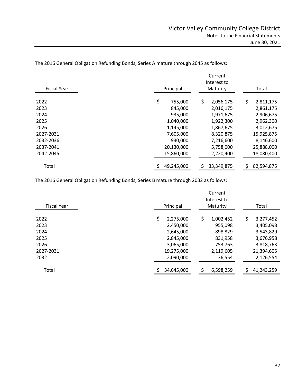The 2016 General Obligation Refunding Bonds, Series A mature through 2045 as follows:

|                    | Current<br>Interest to |                 |                 |  |  |  |  |  |
|--------------------|------------------------|-----------------|-----------------|--|--|--|--|--|
| <b>Fiscal Year</b> | Principal              | Maturity        | Total           |  |  |  |  |  |
| 2022               | \$<br>755,000          | \$<br>2,056,175 | \$<br>2,811,175 |  |  |  |  |  |
| 2023               | 845,000                | 2,016,175       | 2,861,175       |  |  |  |  |  |
| 2024               | 935,000                | 1,971,675       | 2,906,675       |  |  |  |  |  |
| 2025               | 1,040,000              | 1,922,300       | 2,962,300       |  |  |  |  |  |
| 2026               | 1,145,000              | 1,867,675       | 3,012,675       |  |  |  |  |  |
| 2027-2031          | 7,605,000              | 8,320,875       | 15,925,875      |  |  |  |  |  |
| 2032-2036          | 930,000                | 7,216,600       | 8,146,600       |  |  |  |  |  |
| 2037-2041          | 20,130,000             | 5,758,000       | 25,888,000      |  |  |  |  |  |
| 2042-2045          | 15,860,000             | 2,220,400       | 18,080,400      |  |  |  |  |  |
| Total              | 49,245,000             | 33,349,875      | Ś<br>82,594,875 |  |  |  |  |  |

The 2016 General Obligation Refunding Bonds, Series B mature through 2032 as follows:

| <b>Fiscal Year</b> | Principal       | Current<br>Interest to<br>Maturity | Total           |
|--------------------|-----------------|------------------------------------|-----------------|
| 2022               | \$<br>2,275,000 | \$<br>1,002,452                    | \$<br>3,277,452 |
| 2023               | 2,450,000       | 955,098                            | 3,405,098       |
| 2024               | 2,645,000       | 898,829                            | 3,543,829       |
| 2025               | 2,845,000       | 831,958                            | 3,676,958       |
| 2026               | 3,065,000       | 753,763                            | 3,818,763       |
| 2027-2031          | 19,275,000      | 2,119,605                          | 21,394,605      |
| 2032               | 2,090,000       | 36,554                             | 2,126,554       |
| Total              | 34,645,000      | 6,598,259                          | ς<br>41,243,259 |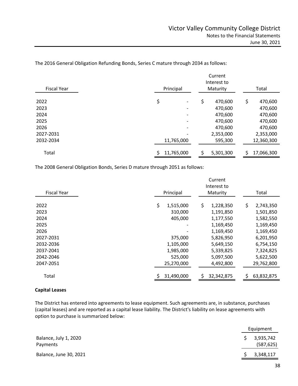Current Interest to Principal Maturity Total  $\begin{matrix} 5 & 170,600 & 5 & 470,600 \end{matrix}$  $-$  470,600 470,600  $- 470,600$   $470,600$ - 470,600 470,600 - 470,600 470,600 2027‐2031 ‐ 2,353,000 2,353,000 2032‐2034 11,765,000 595,300 12,360,300 Total 11,765,000 \$ \$ 5,301,300 \$ 17,066,300 2024 2025 2026 Fiscal Year 2022 2023

The 2016 General Obligation Refunding Bonds, Series C mature through 2034 as follows:

The 2008 General Obligation Bonds, Series D mature through 2051 as follows:

| <b>Fiscal Year</b> | Principal       | Current<br>Interest to<br>Maturity | Total           |
|--------------------|-----------------|------------------------------------|-----------------|
|                    |                 |                                    |                 |
| 2022               | \$<br>1,515,000 | \$<br>1,228,350                    | \$<br>2,743,350 |
| 2023               | 310,000         | 1,191,850                          | 1,501,850       |
| 2024               | 405,000         | 1,177,550                          | 1,582,550       |
| 2025               | ٠               | 1,169,450                          | 1,169,450       |
| 2026               |                 | 1,169,450                          | 1,169,450       |
| 2027-2031          | 375,000         | 5,826,950                          | 6,201,950       |
| 2032-2036          | 1,105,000       | 5,649,150                          | 6,754,150       |
| 2037-2041          | 1,985,000       | 5,339,825                          | 7,324,825       |
| 2042-2046          | 525,000         | 5,097,500                          | 5,622,500       |
| 2047-2051          | 25,270,000      | 4,492,800                          | 29,762,800      |
| Total              | 31,490,000      | 32,342,875                         | ς<br>63,832,875 |

#### **Capital Leases**

The District has entered into agreements to lease equipment. Such agreements are, in substance, purchases (capital leases) and are reported as a capital lease liability. The District's liability on lease agreements with option to purchase is summarized below:

|                                   | Equipment |                         |  |
|-----------------------------------|-----------|-------------------------|--|
| Balance, July 1, 2020<br>Payments |           | 3,935,742<br>(587, 625) |  |
| Balance, June 30, 2021            |           | 3,348,117               |  |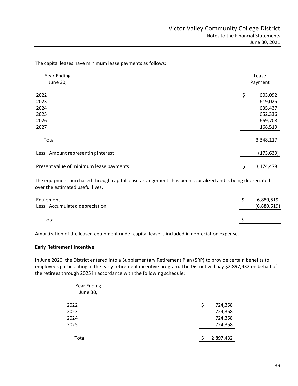The capital leases have minimum lease payments as follows:

| Year Ending<br>June 30,                      | Lease<br>Payment                                                     |
|----------------------------------------------|----------------------------------------------------------------------|
| 2022<br>2023<br>2024<br>2025<br>2026<br>2027 | \$<br>603,092<br>619,025<br>635,437<br>652,336<br>669,708<br>168,519 |
| Total<br>Less: Amount representing interest  | 3,348,117<br>(173, 639)                                              |
| Present value of minimum lease payments      | \$<br>3,174,478                                                      |

The equipment purchased through capital lease arrangements has been capitalized and is being depreciated over the estimated useful lives.

| Equipment<br>Less: Accumulated depreciation | 6,880,519<br>(6,880,519) |
|---------------------------------------------|--------------------------|
| Total                                       | $\overline{\phantom{0}}$ |

Amortization of the leased equipment under capital lease is included in depreciation expense.

#### **Early Retirement Incentive**

In June 2020, the District entered into a Supplementary Retirement Plan (SRP) to provide certain benefits to employees participating in the early retirement incentive program. The District will pay \$2,897,432 on behalf of the retirees through 2025 in accordance with the following schedule:

| <b>Year Ending</b><br>June 30, |    |           |
|--------------------------------|----|-----------|
| 2022                           | \$ | 724,358   |
| 2023                           |    | 724,358   |
| 2024                           |    | 724,358   |
| 2025                           |    | 724,358   |
|                                |    |           |
| Total                          | Ś  | 2,897,432 |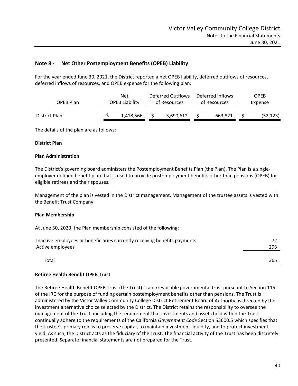## **Note 8 ‐ Net Other Postemployment Benefits (OPEB) Liability**

For the year ended June 30, 2021, the District reported a net OPEB liability, deferred outflows of resources, deferred inflows of resources, and OPEB expense for the following plan:

| OPEB Plan     | Net<br><b>OPEB Liability</b> | Deferred Outflows<br>of Resources |           | Deferred Inflows<br>of Resources | OPEB<br>Expense |          |  |
|---------------|------------------------------|-----------------------------------|-----------|----------------------------------|-----------------|----------|--|
| District Plan | 1,418,566                    |                                   | 3,690,612 | 663,821                          |                 | (52,123) |  |

The details of the plan are as follows:

#### **District Plan**

#### **Plan Administration**

The District's governing board administers the Postemployment Benefits Plan (the Plan). The Plan is a single‐ employer defined benefit plan that is used to provide postemployment benefits other than pensions (OPEB) for eligible retirees and their spouses.

Management of the plan is vested in the District management. Management of the trustee assets is vested with the Benefit Trust Company.

#### **Plan Membership**

At June 30, 2020, the Plan membership consisted of the following:

| Inactive employees or beneficiaries currently receiving benefits payments |     |
|---------------------------------------------------------------------------|-----|
| Active employees                                                          | 293 |
| Total                                                                     | 365 |

#### **Retiree Health Benefit OPEB Trust**

The Retiree Health Benefit OPEB Trust (the Trust) is an irrevocable governmental trust pursuant to Section 115 of the IRC for the purpose of funding certain postemployment benefits other than pensions. The Trust is administered by the Victor Valley Community College District Retirement Board of Authority as directed by the investment alternative choice selected by the District. The District retains the responsibility to oversee the management of the Trust, including the requirement that investments and assets held within the Trust continually adhere to the requirements of the California *Government Code* Section 53600.5 which specifies that the trustee's primary role is to preserve capital, to maintain investment liquidity, and to protect investment yield. As such, the District acts as the fiduciary of the Trust. The financial activity of the Trust has been discretely presented. Separate financial statements are not prepared for the Trust.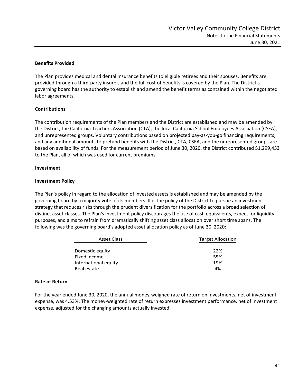## **Benefits Provided**

The Plan provides medical and dental insurance benefits to eligible retirees and their spouses. Benefits are provided through a third‐party insurer, and the full cost of benefits is covered by the Plan. The District's governing board has the authority to establish and amend the benefit terms as contained within the negotiated labor agreements.

## **Contributions**

The contribution requirements of the Plan members and the District are established and may be amended by the District, the California Teachers Association (CTA), the local California School Employees Association (CSEA), and unrepresented groups. Voluntary contributions based on projected pay‐as‐you‐go financing requirements, and any additional amounts to prefund benefits with the District, CTA, CSEA, and the unrepresented groups are based on availability of funds. For the measurement period of June 30, 2020, the District contributed \$1,299,453 to the Plan, all of which was used for current premiums.

#### **Investment**

#### **Investment Policy**

The Plan's policy in regard to the allocation of invested assets is established and may be amended by the governing board by a majority vote of its members. It is the policy of the District to pursue an investment strategy that reduces risks through the prudent diversification for the portfolio across a broad selection of distinct asset classes. The Plan's investment policy discourages the use of cash equivalents, expect for liquidity purposes, and aims to refrain from dramatically shifting asset class allocation over short time spans. The following was the governing board's adopted asset allocation policy as of June 30, 2020:

| <b>Asset Class</b>   | <b>Target Allocation</b> |
|----------------------|--------------------------|
|                      |                          |
| Domestic equity      | 22%                      |
| Fixed income         | 55%                      |
| International equity | 19%                      |
| Real estate          | 4%                       |
|                      |                          |

#### **Rate of Return**

For the year ended June 30, 2020, the annual money‐weighed rate of return on investments, net of investment expense, was 4.53%. The money-weighted rate of return expresses investment performance, net of investment expense, adjusted for the changing amounts actually invested.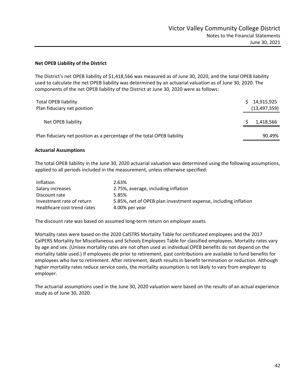#### **Net OPEB Liability of the District**

The District's net OPEB liability of \$1,418,566 was measured as of June 30, 2020, and the total OPEB liability used to calculate the net OPEB liability was determined by an actuarial valuation as of June 30, 2020. The components of the net OPEB liability of the District at June 30, 2020 were as follows:

| <b>Total OPEB liability</b><br>Plan fiduciary net position              | 14,915,925<br>(13, 497, 359) |
|-------------------------------------------------------------------------|------------------------------|
| Net OPEB liability                                                      | 1,418,566                    |
| Plan fiduciary net position as a percentage of the total OPEB liability | 90.49%                       |

#### **Actuarial Assumptions**

The total OPEB liability in the June 30, 2020 actuarial valuation was determined using the following assumptions, applied to all periods included in the measurement, unless otherwise specified:

| Inflation                   | 2.63%                                                           |
|-----------------------------|-----------------------------------------------------------------|
| Salary increases            | 2.75%, average, including inflation                             |
| Discount rate               | 5.85%                                                           |
| Investment rate of return   | 5.85%, net of OPEB plan investment expense, including inflation |
| Healthcare cost trend rates | 4.00% per year                                                  |

The discount rate was based on assumed long‐term return on employer assets.

Mortality rates were based on the 2020 CalSTRS Mortality Table for certificated employees and the 2017 CalPERS Mortality for Miscellaneous and Schools Employees Table for classified employees. Mortality rates vary by age and sex. (Unisex mortality rates are not often used as individual OPEB benefits do not depend on the mortality table used.) If employees die prior to retirement, past contributions are available to fund benefits for employees who live to retirement. After retirement, death results in benefit termination or reduction. Although higher mortality rates reduce service costs, the mortality assumption is not likely to vary from employer to employer.

The actuarial assumptions used in the June 30, 2020 valuation were based on the results of an actual experience study as of June 30, 2020.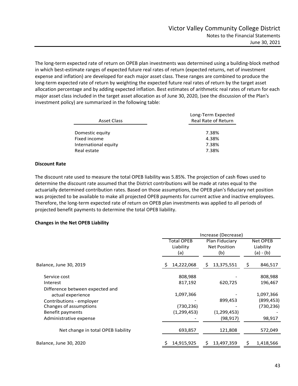The long‐term expected rate of return on OPEB plan investments was determined using a building‐block method in which best-estimate ranges of expected future real rates of return (expected returns, net of investment expense and inflation) are developed for each major asset class. These ranges are combined to produce the long-term expected rate of return by weighting the expected future real rates of return by the target asset allocation percentage and by adding expected inflation. Best estimates of arithmetic real rates of return for each major asset class included in the target asset allocation as of June 30, 2020, (see the discussion of the Plan's investment policy) are summarized in the following table:

| Asset Class                     | Long-Term Expected<br><b>Real Rate of Return</b> |
|---------------------------------|--------------------------------------------------|
|                                 | 7.38%                                            |
| Domestic equity<br>Fixed income | 4.38%                                            |
| International equity            | 7.38%                                            |
| Real estate                     | 7.38%                                            |

## **Discount Rate**

The discount rate used to measure the total OPEB liability was 5.85%. The projection of cash flows used to determine the discount rate assumed that the District contributions will be made at rates equal to the actuarially determined contribution rates. Based on those assumptions, the OPEB plan's fiduciary net position was projected to be available to make all projected OPEB payments for current active and inactive employees. Therefore, the long‐term expected rate of return on OPEB plan investments was applied to all periods of projected benefit payments to determine the total OPEB liability.

#### **Changes in the Net OPEB Liability**

|                                    | Increase (Decrease) |                     |                |  |
|------------------------------------|---------------------|---------------------|----------------|--|
|                                    | Total OPEB          | Plan Fiduciary      | Net OPEB       |  |
|                                    | Liability           | <b>Net Position</b> | Liability      |  |
|                                    | (a)                 | (b)                 | $(a) - (b)$    |  |
| Balance, June 30, 2019             | 14,222,068          | 13,375,551<br>\$    | 846,517<br>\$  |  |
| Service cost                       | 808,988             |                     | 808,988        |  |
| Interest                           | 817,192             | 620,725             | 196,467        |  |
| Difference between expected and    |                     |                     |                |  |
| actual experience                  | 1,097,366           |                     | 1,097,366      |  |
| Contributions - employer           |                     | 899,453             | (899,453)      |  |
| Changes of assumptions             | (730, 236)          |                     | (730,236)      |  |
| Benefit payments                   | (1,299,453)         | (1,299,453)         |                |  |
| Administrative expense             |                     | (98,917)            | 98,917         |  |
| Net change in total OPEB liability | 693,857             | 121,808             | 572,049        |  |
| Balance, June 30, 2020             | 14,915,925          | 13,497,359<br>S     | 1,418,566<br>Ş |  |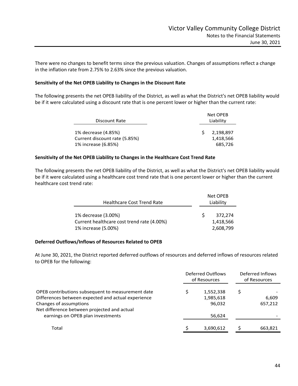There were no changes to benefit terms since the previous valuation. Changes of assumptions reflect a change in the inflation rate from 2.75% to 2.63% since the previous valuation.

#### **Sensitivity of the Net OPEB Liability to Changes in the Discount Rate**

The following presents the net OPEB liability of the District, as well as what the District's net OPEB liability would be if it were calculated using a discount rate that is one percent lower or higher than the current rate:

|                               | Net OPEB  |
|-------------------------------|-----------|
| Discount Rate                 | Liability |
|                               |           |
| 1% decrease (4.85%)           | 2.198.897 |
| Current discount rate (5.85%) | 1,418,566 |
| 1% increase (6.85%)           | 685,726   |

#### **Sensitivity of the Net OPEB Liability to Changes in the Healthcare Cost Trend Rate**

The following presents the net OPEB liability of the District, as well as what the District's net OPEB liability would be if it were calculated using a healthcare cost trend rate that is one percent lower or higher than the current healthcare cost trend rate:

|                                            | Net OPEB  |  |  |
|--------------------------------------------|-----------|--|--|
| <b>Healthcare Cost Trend Rate</b>          | Liability |  |  |
|                                            |           |  |  |
| 1% decrease (3.00%)                        | 372.274   |  |  |
| Current healthcare cost trend rate (4.00%) | 1,418,566 |  |  |
| 1% increase (5.00%)                        | 2,608,799 |  |  |

#### **Deferred Outflows/Inflows of Resources Related to OPEB**

At June 30, 2021, the District reported deferred outflows of resources and deferred inflows of resources related to OPEB for the following:

|   |           | Deferred Inflows<br>of Resources  |         |
|---|-----------|-----------------------------------|---------|
| S | 1,552,338 | \$                                |         |
|   | 1,985,618 |                                   | 6,609   |
|   | 96,032    |                                   | 657,212 |
|   |           |                                   |         |
|   | 56,624    |                                   |         |
|   | 3,690,612 |                                   | 663,821 |
|   |           | Deferred Outflows<br>of Resources |         |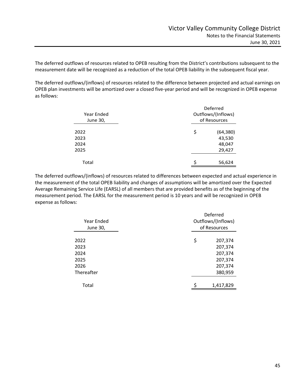The deferred outflows of resources related to OPEB resulting from the District's contributions subsequent to the measurement date will be recognized as a reduction of the total OPEB liability in the subsequent fiscal year.

The deferred outflows/(inflows) of resources related to the difference between projected and actual earnings on OPEB plan investments will be amortized over a closed five‐year period and will be recognized in OPEB expense as follows:

| Year Ended<br>June 30,       |    | Deferred<br>Outflows/(Inflows)<br>of Resources |
|------------------------------|----|------------------------------------------------|
| 2022<br>2023<br>2024<br>2025 | \$ | (64, 380)<br>43,530<br>48,047<br>29,427        |
| Total                        | Ś  | 56,624                                         |

 The deferred outflows/(inflows) of resources related to differences between expected and actual experience in the measurement of the total OPEB liability and changes of assumptions will be amortized over the Expected Average Remaining Service Life (EARSL) of all members that are provided benefits as of the beginning of the measurement period. The EARSL for the measurement period is 10 years and will be recognized in OPEB expense as follows:

| Year Ended<br>June 30, | Deferred<br>Outflows/(Inflows)<br>of Resources |  |  |
|------------------------|------------------------------------------------|--|--|
| 2022                   | \$<br>207,374                                  |  |  |
| 2023                   | 207,374                                        |  |  |
| 2024                   | 207,374                                        |  |  |
| 2025                   | 207,374                                        |  |  |
| 2026                   | 207,374                                        |  |  |
| Thereafter             | 380,959                                        |  |  |
| Total                  |                                                |  |  |
|                        | 1,417,829                                      |  |  |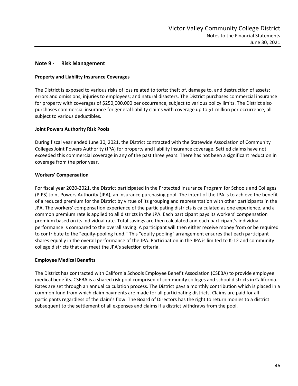## **Note 9 ‐ Risk Management**

## **Property and Liability Insurance Coverages**

The District is exposed to various risks of loss related to torts; theft of, damage to, and destruction of assets; errors and omissions; injuries to employees; and natural disasters. The District purchases commercial insurance for property with coverages of \$250,000,000 per occurrence, subject to various policy limits. The District also purchases commercial insurance for general liability claims with coverage up to \$1 million per occurrence, all subject to various deductibles.

## **Joint Powers Authority Risk Pools**

During fiscal year ended June 30, 2021, the District contracted with the Statewide Association of Community Colleges Joint Powers Authority (JPA) for property and liability insurance coverage. Settled claims have not exceeded this commercial coverage in any of the past three years. There has not been a significant reduction in coverage from the prior year.

## **Workers' Compensation**

For fiscal year 2020‐2021, the District participated in the Protected Insurance Program for Schools and Colleges (PIPS) Joint Powers Authority (JPA), an insurance purchasing pool. The intent of the JPA is to achieve the benefit of a reduced premium for the District by virtue of its grouping and representation with other participants in the JPA. The workers' compensation experience of the participating districts is calculated as one experience, and a common premium rate is applied to all districts in the JPA. Each participant pays its workers' compensation premium based on its individual rate. Total savings are then calculated and each participant's individual performance is compared to the overall saving. A participant will then either receive money from or be required to contribute to the "equity‐pooling fund." This "equity pooling" arrangement ensures that each participant shares equally in the overall performance of the JPA. Participation in the JPA is limited to K‐12 and community college districts that can meet the JPA's selection criteria.

#### **Employee Medical Benefits**

The District has contracted with California Schools Employee Benefit Association (CSEBA) to provide employee medical benefits. CSEBA is a shared risk pool comprised of community colleges and school districts in California. Rates are set through an annual calculation process. The District pays a monthly contribution which is placed in a common fund from which claim payments are made for all participating districts. Claims are paid for all participants regardless of the claim's flow. The Board of Directors has the right to return monies to a district subsequent to the settlement of all expenses and claims if a district withdraws from the pool.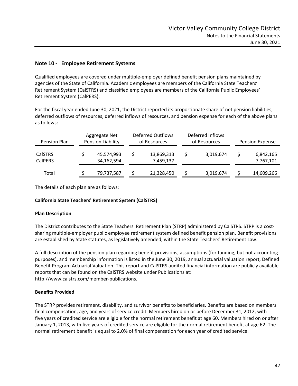## **Note 10 ‐ Employee Retirement Systems**

Qualified employees are covered under multiple‐employer defined benefit pension plans maintained by agencies of the State of California. Academic employees are members of the California State Teachers' Retirement System (CalSTRS) and classified employees are members of the California Public Employees' Retirement System (CalPERS).

For the fiscal year ended June 30, 2021, the District reported its proportionate share of net pension liabilities, deferred outflows of resources, deferred inflows of resources, and pension expense for each of the above plans as follows:

| Pension Plan                     | Aggregate Net<br>Pension Liability |  | Deferred Outflows<br>of Resources |  | Deferred Inflows<br>of Resources      |   | Pension Expense        |
|----------------------------------|------------------------------------|--|-----------------------------------|--|---------------------------------------|---|------------------------|
| <b>CalSTRS</b><br><b>CalPERS</b> | 45,574,993<br>34,162,594           |  | 13,869,313<br>7,459,137           |  | 3,019,674<br>$\overline{\phantom{0}}$ | S | 6,842,165<br>7,767,101 |
| Total                            | 79,737,587                         |  | 21,328,450                        |  | 3,019,674                             |   | 14,609,266             |

The details of each plan are as follows:

## **California State Teachers' Retirement System (CalSTRS)**

#### **Plan Description**

The District contributes to the State Teachers' Retirement Plan (STRP) administered by CalSTRS. STRP is a cost‐ sharing multiple‐employer public employee retirement system defined benefit pension plan. Benefit provisions are established by State statutes, as legislatively amended, within the State Teachers' Retirement Law.

A full description of the pension plan regarding benefit provisions, assumptions (for funding, but not accounting purposes), and membership information is listed in the June 30, 2019, annual actuarial valuation report, Defined Benefit Program Actuarial Valuation. This report and CalSTRS audited financial information are publicly available reports that can be found on the CalSTRS website under Publications at: http://www.calstrs.com/member‐publications.

## **Benefits Provided**

The STRP provides retirement, disability, and survivor benefits to beneficiaries. Benefits are based on members' final compensation, age, and years of service credit. Members hired on or before December 31, 2012, with five years of credited service are eligible for the normal retirement benefit at age 60. Members hired on or after January 1, 2013, with five years of credited service are eligible for the normal retirement benefit at age 62. The normal retirement benefit is equal to 2.0% of final compensation for each year of credited service.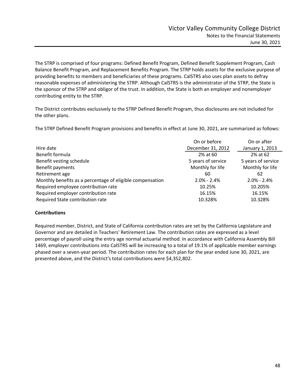The STRP is comprised of four programs: Defined Benefit Program, Defined Benefit Supplement Program, Cash Balance Benefit Program, and Replacement Benefits Program. The STRP holds assets for the exclusive purpose of providing benefits to members and beneficiaries of these programs. CalSTRS also uses plan assets to defray reasonable expenses of administering the STRP. Although CalSTRS is the administrator of the STRP, the State is the sponsor of the STRP and obligor of the trust. In addition, the State is both an employer and nonemployer contributing entity to the STRP.

The District contributes exclusively to the STRP Defined Benefit Program, thus disclosures are not included for the other plans.

The STRP Defined Benefit Program provisions and benefits in effect at June 30, 2021, are summarized as follows:

|                                                           | On or before       | On or after        |
|-----------------------------------------------------------|--------------------|--------------------|
| Hire date                                                 | December 31, 2012  | January 1, 2013    |
| Benefit formula                                           | 2% at 60           | 2% at 62           |
| Benefit vesting schedule                                  | 5 years of service | 5 years of service |
| Benefit payments                                          | Monthly for life   | Monthly for life   |
| Retirement age                                            | 60                 | 62                 |
| Monthly benefits as a percentage of eligible compensation | $2.0\% - 2.4\%$    | $2.0\% - 2.4\%$    |
| Required employee contribution rate                       | 10.25%             | 10.205%            |
| Required employer contribution rate                       | 16.15%             | 16.15%             |
| Required State contribution rate                          | 10.328%            | 10.328%            |

#### **Contributions**

Required member, District, and State of California contribution rates are set by the California Legislature and Governor and are detailed in Teachers' Retirement Law. The contribution rates are expressed as a level percentage of payroll using the entry age normal actuarial method. In accordance with California Assembly Bill 1469, employer contributions into CalSTRS will be increasing to a total of 19.1% of applicable member earnings phased over a seven‐year period. The contribution rates for each plan for the year ended June 30, 2021, are presented above, and the District's total contributions were \$4,352,802.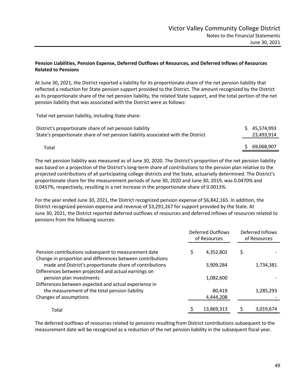## **Pension Liabilities, Pension Expense, Deferred Outflows of Resources, and Deferred Inflows of Resources Related to Pensions**

At June 30, 2021, the District reported a liability for its proportionate share of the net pension liability that reflected a reduction for State pension support provided to the District. The amount recognized by the District as its proportionate share of the net pension liability, the related State support, and the total portion of the net pension liability that was associated with the District were as follows:

Total net pension liability, including State share:

| District's proportionate share of net pension liability                           | \$45,574,993 |
|-----------------------------------------------------------------------------------|--------------|
| State's proportionate share of net pension liability associated with the District | 23,493,914   |
| Total                                                                             | 69,068,907   |

The net pension liability was measured as of June 30, 2020. The District's proportion of the net pension liability was based on a projection of the District's long-term share of contributions to the pension plan relative to the projected contributions of all participating college districts and the State, actuarially determined. The District's proportionate share for the measurement periods of June 30, 2020 and June 30, 2019, was 0.0470% and 0.0457%, respectively, resulting in a net increase in the proportionate share of 0.0013%.

For the year ended June 30, 2021, the District recognized pension expense of \$6,842,165. In addition, the District recognized pension expense and revenue of \$3,291,267 for support provided by the State. At June 30, 2021, the District reported deferred outflows of resources and deferred inflows of resources related to pensions from the following sources:

|                                                                                                                  |   | Deferred Outflows<br>of Resources |   | Deferred Inflows<br>of Resources |
|------------------------------------------------------------------------------------------------------------------|---|-----------------------------------|---|----------------------------------|
| Pension contributions subsequent to measurement date                                                             | S | 4,352,802                         | S |                                  |
| Change in proportion and differences between contributions                                                       |   |                                   |   |                                  |
| made and District's proportionate share of contributions<br>Differences between projected and actual earnings on |   | 3,909,284                         |   | 1,734,381                        |
| pension plan investments<br>Differences between expected and actual experience in                                |   | 1,082,600                         |   |                                  |
| the measurement of the total pension liability                                                                   |   | 80,419                            |   | 1,285,293                        |
| Changes of assumptions                                                                                           |   | 4,444,208                         |   |                                  |
| Total                                                                                                            |   | 13,869,313                        |   | 3,019,674                        |

The deferred outflows of resources related to pensions resulting from District contributions subsequent to the measurement date will be recognized as a reduction of the net pension liability in the subsequent fiscal year.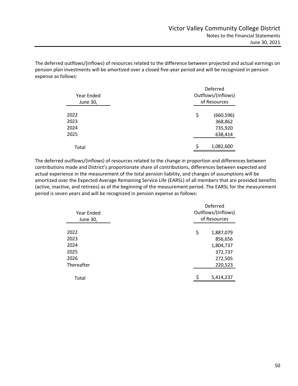The deferred outflows/(inflows) of resources related to the difference between projected and actual earnings on pension plan investments will be amortized over a closed five‐year period and will be recognized in pension expense as follows:

| Year Ended<br>June 30, |    | Deferred<br>Outflows/(Inflows)<br>of Resources |  |
|------------------------|----|------------------------------------------------|--|
| 2022                   | \$ | (660, 596)                                     |  |
| 2023                   |    | 368,862                                        |  |
| 2024                   |    | 735,920                                        |  |
| 2025                   |    | 638,414                                        |  |
| Total                  | Ś  | 1,082,600                                      |  |

The deferred outflows/(inflows) of resources related to the change in proportion and differences between contributions made and District's proportionate share of contributions, differences between expected and actual experience in the measurement of the total pension liability, and changes of assumptions will be amortized over the Expected Average Remaining Service Life (EARSL) of all members that are provided benefits (active, inactive, and retirees) as of the beginning of the measurement period. The EARSL for the measurement period is seven years and will be recognized in pension expense as follows:

| Year Ended<br>June 30,               | Deferred<br>Outflows/(Inflows)<br>of Resources                |
|--------------------------------------|---------------------------------------------------------------|
| 2022<br>2023<br>2024<br>2025<br>2026 | \$<br>1,887,079<br>856,656<br>1,804,737<br>372,737<br>272,505 |
| Thereafter<br>Total                  | 220,523<br>c<br>5,414,237                                     |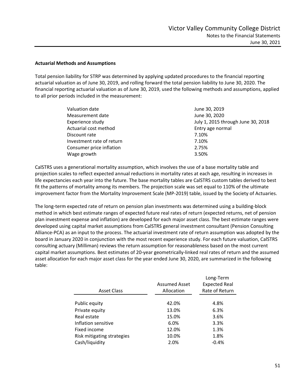#### **Actuarial Methods and Assumptions**

Total pension liability for STRP was determined by applying updated procedures to the financial reporting actuarial valuation as of June 30, 2019, and rolling forward the total pension liability to June 30, 2020. The financial reporting actuarial valuation as of June 30, 2019, used the following methods and assumptions, applied to all prior periods included in the measurement:

| Valuation date            | June 30, 2019                      |  |
|---------------------------|------------------------------------|--|
| Measurement date          | June 30, 2020                      |  |
| Experience study          | July 1, 2015 through June 30, 2018 |  |
| Actuarial cost method     | Entry age normal                   |  |
| Discount rate             | 7.10%                              |  |
| Investment rate of return | 7.10%                              |  |
| Consumer price inflation  | 2.75%                              |  |
| Wage growth               | 3.50%                              |  |

CalSTRS uses a generational mortality assumption, which involves the use of a base mortality table and projection scales to reflect expected annual reductions in mortality rates at each age, resulting in increases in life expectancies each year into the future. The base mortality tables are CalSTRS custom tables derived to best fit the patterns of mortality among its members. The projection scale was set equal to 110% of the ultimate improvement factor from the Mortality Improvement Scale (MP‐2019) table, issued by the Society of Actuaries.

The long‐term expected rate of return on pension plan investments was determined using a building‐block method in which best estimate ranges of expected future real rates of return (expected returns, net of pension plan investment expense and inflation) are developed for each major asset class. The best estimate ranges were developed using capital market assumptions from CalSTRS general investment consultant (Pension Consulting Alliance‐PCA) as an input to the process. The actuarial investment rate of return assumption was adopted by the board in January 2020 in conjunction with the most recent experience study. For each future valuation, CalSTRS consulting actuary (Milliman) reviews the return assumption for reasonableness based on the most current capital market assumptions. Best estimates of 20‐year geometrically‐linked real rates of return and the assumed asset allocation for each major asset class for the year ended June 30, 2020, are summarized in the following table:

|                            |                      | Long-Term            |
|----------------------------|----------------------|----------------------|
|                            | <b>Assumed Asset</b> | <b>Expected Real</b> |
| <b>Asset Class</b>         | Allocation           | Rate of Return       |
|                            |                      |                      |
| Public equity              | 42.0%                | 4.8%                 |
| Private equity             | 13.0%                | 6.3%                 |
| Real estate                | 15.0%                | 3.6%                 |
| Inflation sensitive        | $6.0\%$              | 3.3%                 |
| Fixed income               | 12.0%                | 1.3%                 |
| Risk mitigating strategies | 10.0%                | 1.8%                 |
| Cash/liquidity             | 2.0%                 | $-0.4%$              |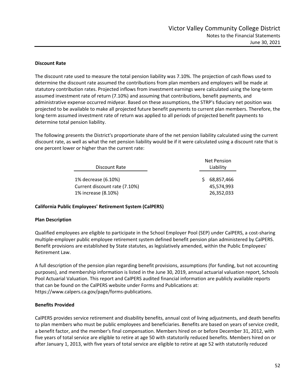## **Discount Rate**

The discount rate used to measure the total pension liability was 7.10%. The projection of cash flows used to determine the discount rate assumed the contributions from plan members and employers will be made at statutory contribution rates. Projected inflows from investment earnings were calculated using the long‐term assumed investment rate of return (7.10%) and assuming that contributions, benefit payments, and administrative expense occurred midyear. Based on these assumptions, the STRP's fiduciary net position was projected to be available to make all projected future benefit payments to current plan members. Therefore, the long‐term assumed investment rate of return was applied to all periods of projected benefit payments to determine total pension liability.

The following presents the District's proportionate share of the net pension liability calculated using the current discount rate, as well as what the net pension liability would be if it were calculated using a discount rate that is one percent lower or higher than the current rate:

| Discount Rate                 |    | <b>Net Pension</b><br>Liability |  |
|-------------------------------|----|---------------------------------|--|
| 1% decrease (6.10%)           | S. | 68,857,466                      |  |
| Current discount rate (7.10%) |    | 45.574.993                      |  |
| 1% increase (8.10%)           |    | 26,352,033                      |  |

## **California Public Employees' Retirement System (CalPERS)**

#### **Plan Description**

Qualified employees are eligible to participate in the School Employer Pool (SEP) under CalPERS, a cost‐sharing multiple‐employer public employee retirement system defined benefit pension plan administered by CalPERS. Benefit provisions are established by State statutes, as legislatively amended, within the Public Employees' Retirement Law.

A full description of the pension plan regarding benefit provisions, assumptions (for funding, but not accounting purposes), and membership information is listed in the June 30, 2019, annual actuarial valuation report, Schools Pool Actuarial Valuation. This report and CalPERS audited financial information are publicly available reports that can be found on the CalPERS website under Forms and Publications at: https://www.calpers.ca.gov/page/forms‐publications.

#### **Benefits Provided**

CalPERS provides service retirement and disability benefits, annual cost of living adjustments, and death benefits to plan members who must be public employees and beneficiaries. Benefits are based on years of service credit, a benefit factor, and the member's final compensation. Members hired on or before December 31, 2012, with five years of total service are eligible to retire at age 50 with statutorily reduced benefits. Members hired on or after January 1, 2013, with five years of total service are eligible to retire at age 52 with statutorily reduced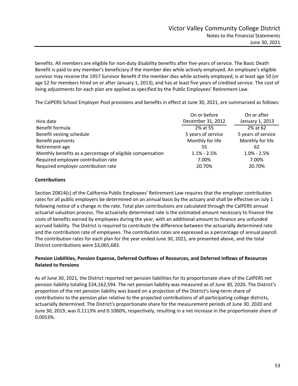benefits. All members are eligible for non‐duty disability benefits after five years of service. The Basic Death Benefit is paid to any member's beneficiary if the member dies while actively employed. An employee's eligible survivor may receive the 1957 Survivor Benefit if the member dies while actively employed, is at least age 50 (or age 52 for members hired on or after January 1, 2013), and has at least five years of credited service. The cost of living adjustments for each plan are applied as specified by the Public Employees' Retirement Law.

The CalPERS School Employer Pool provisions and benefits in effect at June 30, 2021, are summarized as follows:

| Hire date                                                 | On or before<br>December 31, 2012 | On or after<br>January 1, 2013 |
|-----------------------------------------------------------|-----------------------------------|--------------------------------|
| Benefit formula                                           | 2% at 55                          | 2% at 62                       |
| Benefit vesting schedule                                  | 5 years of service                | 5 years of service             |
| Benefit payments                                          | Monthly for life                  | Monthly for life               |
| Retirement age                                            | 55                                | 62                             |
| Monthly benefits as a percentage of eligible compensation | $1.1\% - 2.5\%$                   | $1.0\% - 2.5\%$                |
| Required employee contribution rate                       | 7.00%                             | 7.00%                          |
| Required employer contribution rate                       | 20.70%                            | 20.70%                         |

## **Contributions**

Section 20814(c) of the California Public Employees' Retirement Law requires that the employer contribution rates for all public employers be determined on an annual basis by the actuary and shall be effective on July 1 following notice of a change in the rate. Total plan contributions are calculated through the CalPERS annual actuarial valuation process. The actuarially determined rate is the estimated amount necessary to finance the costs of benefits earned by employees during the year, with an additional amount to finance any unfunded accrued liability. The District is required to contribute the difference between the actuarially determined rate and the contribution rate of employees. The contribution rates are expressed as a percentage of annual payroll. The contribution rates for each plan for the year ended June 30, 2021, are presented above, and the total District contributions were \$3,065,683.

## **Pension Liabilities, Pension Expense, Deferred Outflows of Resources, and Deferred Inflows of Resources Related to Pensions**

As of June 30, 2021, the District reported net pension liabilities for its proportionate share of the CalPERS net pension liability totaling \$34,162,594. The net pension liability was measured as of June 30, 2020. The District's proportion of the net pension liability was based on a projection of the District's long‐term share of contributions to the pension plan relative to the projected contributions of all participating college districts, actuarially determined. The District's proportionate share for the measurement periods of June 30, 2020 and June 30, 2019, was 0.1113% and 0.1060%, respectively, resulting in a net increase in the proportionate share of 0.0053%.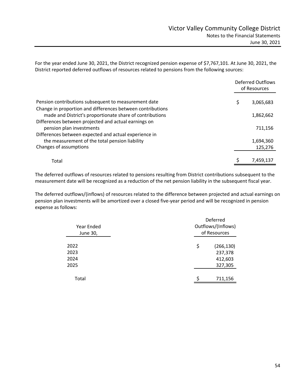For the year ended June 30, 2021, the District recognized pension expense of \$7,767,101. At June 30, 2021, the District reported deferred outflows of resources related to pensions from the following sources:

|                                                            | Deferred Outflows<br>of Resources |           |
|------------------------------------------------------------|-----------------------------------|-----------|
| Pension contributions subsequent to measurement date       | Ś                                 | 3,065,683 |
| Change in proportion and differences between contributions |                                   |           |
| made and District's proportionate share of contributions   |                                   | 1,862,662 |
| Differences between projected and actual earnings on       |                                   |           |
| pension plan investments                                   |                                   | 711.156   |
| Differences between expected and actual experience in      |                                   |           |
| the measurement of the total pension liability             |                                   | 1,694,360 |
| Changes of assumptions                                     |                                   | 125,276   |
|                                                            |                                   |           |
| Total                                                      |                                   | 7,459,137 |

The deferred outflows of resources related to pensions resulting from District contributions subsequent to the measurement date will be recognized as a reduction of the net pension liability in the subsequent fiscal year.

The deferred outflows/(inflows) of resources related to the difference between projected and actual earnings on pension plan investments will be amortized over a closed five‐year period and will be recognized in pension expense as follows:

| Year Ended<br>June 30,       | Deferred<br>Outflows/(Inflows)<br>of Resources    |  |
|------------------------------|---------------------------------------------------|--|
| 2022<br>2023<br>2024<br>2025 | \$<br>(266, 130)<br>237,378<br>412,603<br>327,305 |  |
| Total                        | 711,156                                           |  |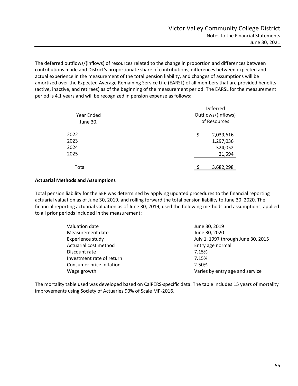The deferred outflows/(inflows) of resources related to the change in proportion and differences between contributions made and District's proportionate share of contributions, differences between expected and actual experience in the measurement of the total pension liability, and changes of assumptions will be amortized over the Expected Average Remaining Service Life (EARSL) of all members that are provided benefits (active, inactive, and retirees) as of the beginning of the measurement period. The EARSL for the measurement period is 4.1 years and will be recognized in pension expense as follows:

| Year Ended<br>June 30,       | Deferred<br>Outflows/(Inflows)<br>of Resources    |  |
|------------------------------|---------------------------------------------------|--|
| 2022<br>2023<br>2024<br>2025 | \$<br>2,039,616<br>1,297,036<br>324,052<br>21,594 |  |
| Total                        | 3,682,298                                         |  |

#### **Actuarial Methods and Assumptions**

Total pension liability for the SEP was determined by applying updated procedures to the financial reporting actuarial valuation as of June 30, 2019, and rolling forward the total pension liability to June 30, 2020. The financial reporting actuarial valuation as of June 30, 2019, used the following methods and assumptions, applied to all prior periods included in the measurement:

| June 30, 2019                      |  |
|------------------------------------|--|
| June 30, 2020                      |  |
| July 1, 1997 through June 30, 2015 |  |
| Entry age normal                   |  |
| 7.15%                              |  |
| 7.15%                              |  |
| 2.50%                              |  |
| Varies by entry age and service    |  |
|                                    |  |

The mortality table used was developed based on CalPERS‐specific data. The table includes 15 years of mortality improvements using Society of Actuaries 90% of Scale MP‐2016.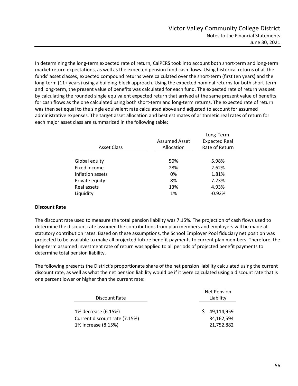In determining the long‐term expected rate of return, CalPERS took into account both short‐term and long‐term market return expectations, as well as the expected pension fund cash flows. Using historical returns of all the funds' asset classes, expected compound returns were calculated over the short-term (first ten years) and the long-term (11+ years) using a building-block approach. Using the expected nominal returns for both short-term and long‐term, the present value of benefits was calculated for each fund. The expected rate of return was set by calculating the rounded single equivalent expected return that arrived at the same present value of benefits for cash flows as the one calculated using both short-term and long-term returns. The expected rate of return was then set equal to the single equivalent rate calculated above and adjusted to account for assumed administrative expenses. The target asset allocation and best estimates of arithmetic real rates of return for each major asset class are summarized in the following table:

| <b>Asset Class</b> | <b>Assumed Asset</b><br>Allocation | Long-Term<br><b>Expected Real</b><br>Rate of Return |
|--------------------|------------------------------------|-----------------------------------------------------|
|                    |                                    |                                                     |
| Global equity      | 50%                                | 5.98%                                               |
| Fixed income       | 28%                                | 2.62%                                               |
| Inflation assets   | 0%                                 | 1.81%                                               |
| Private equity     | 8%                                 | 7.23%                                               |
| Real assets        | 13%                                | 4.93%                                               |
| Liquidity          | 1%                                 | $-0.92%$                                            |

#### **Discount Rate**

The discount rate used to measure the total pension liability was 7.15%. The projection of cash flows used to determine the discount rate assumed the contributions from plan members and employers will be made at statutory contribution rates. Based on these assumptions, the School Employer Pool fiduciary net position was projected to be available to make all projected future benefit payments to current plan members. Therefore, the long‐term assumed investment rate of return was applied to all periods of projected benefit payments to determine total pension liability.

The following presents the District's proportionate share of the net pension liability calculated using the current discount rate, as well as what the net pension liability would be if it were calculated using a discount rate that is one percent lower or higher than the current rate:

| Discount Rate                                        | <b>Net Pension</b><br>Liability |
|------------------------------------------------------|---------------------------------|
| 1% decrease (6.15%)                                  | 49,114,959                      |
| Current discount rate (7.15%)<br>1% increase (8.15%) | 34,162,594<br>21,752,882        |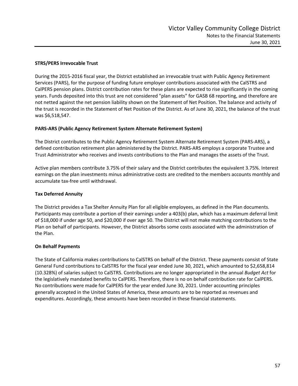## **STRS/PERS Irrevocable Trust**

During the 2015‐2016 fiscal year, the District established an irrevocable trust with Public Agency Retirement Services (PARS), for the purpose of funding future employer contributions associated with the CalSTRS and CalPERS pension plans. District contribution rates for these plans are expected to rise significantly in the coming years. Funds deposited into this trust are not considered "plan assets" for GASB 68 reporting, and therefore are not netted against the net pension liability shown on the Statement of Net Position. The balance and activity of the trust is recorded in the Statement of Net Position of the District. As of June 30, 2021, the balance of the trust was \$6,518,547.

#### **PARS‐ARS (Public Agency Retirement System Alternate Retirement System)**

The District contributes to the Public Agency Retirement System Alternate Retirement System (PARS‐ARS), a defined contribution retirement plan administered by the District. PARS‐ARS employs a corporate Trustee and Trust Administrator who receives and invests contributions to the Plan and manages the assets of the Trust.

Active plan members contribute 3.75% of their salary and the District contributes the equivalent 3.75%. Interest earnings on the plan investments minus administrative costs are credited to the members accounts monthly and accumulate tax‐free until withdrawal.

#### **Tax Deferred Annuity**

The District provides a Tax Shelter Annuity Plan for all eligible employees, as defined in the Plan documents. Participants may contribute a portion of their earnings under a 403(b) plan, which has a maximum deferral limit of \$18,000 if under age 50, and \$20,000 if over age 50. The District will not make matching contributions to the Plan on behalf of participants. However, the District absorbs some costs associated with the administration of the Plan.

#### **On Behalf Payments**

The State of California makes contributions to CalSTRS on behalf of the District. These payments consist of State General Fund contributions to CalSTRS for the fiscal year ended June 30, 2021, which amounted to \$2,658,814 (10.328%) of salaries subject to CalSTRS. Contributions are no longer appropriated in the annual *Budget Act* for the legislatively mandated benefits to CalPERS. Therefore, there is no on behalf contribution rate for CalPERS. No contributions were made for CalPERS for the year ended June 30, 2021. Under accounting principles generally accepted in the United States of America, these amounts are to be reported as revenues and expenditures. Accordingly, these amounts have been recorded in these financial statements.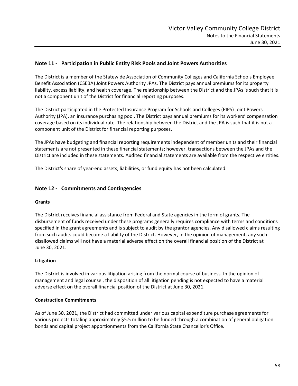## **Note 11 ‐ Participation in Public Entity Risk Pools and Joint Powers Authorities**

The District is a member of the Statewide Association of Community Colleges and California Schools Employee Benefit Association (CSEBA) Joint Powers Authority JPAs. The District pays annual premiums for its property liability, excess liability, and health coverage. The relationship between the District and the JPAs is such that it is not a component unit of the District for financial reporting purposes.

The District participated in the Protected Insurance Program for Schools and Colleges (PIPS) Joint Powers Authority (JPA), an insurance purchasing pool. The District pays annual premiums for its workers' compensation coverage based on its individual rate. The relationship between the District and the JPA is such that it is not a component unit of the District for financial reporting purposes.

The JPAs have budgeting and financial reporting requirements independent of member units and their financial statements are not presented in these financial statements; however, transactions between the JPAs and the District are included in these statements. Audited financial statements are available from the respective entities.

The District's share of year‐end assets, liabilities, or fund equity has not been calculated.

## **Note 12 ‐ Commitments and Contingencies**

#### **Grants**

The District receives financial assistance from Federal and State agencies in the form of grants. The disbursement of funds received under these programs generally requires compliance with terms and conditions specified in the grant agreements and is subject to audit by the grantor agencies. Any disallowed claims resulting from such audits could become a liability of the District. However, in the opinion of management, any such disallowed claims will not have a material adverse effect on the overall financial position of the District at June 30, 2021.

#### **Litigation**

The District is involved in various litigation arising from the normal course of business. In the opinion of management and legal counsel, the disposition of all litigation pending is not expected to have a material adverse effect on the overall financial position of the District at June 30, 2021.

#### **Construction Commitments**

As of June 30, 2021, the District had committed under various capital expenditure purchase agreements for various projects totaling approximately \$5.5 million to be funded through a combination of general obligation bonds and capital project apportionments from the California State Chancellor's Office.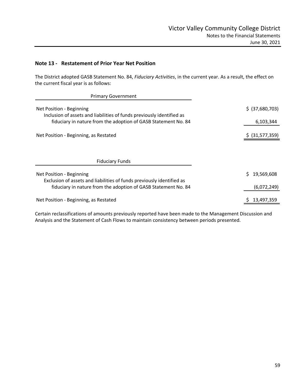## **Note 13 ‐ Restatement of Prior Year Net Position**

The District adopted GASB Statement No. 84, *Fiduciary Activities*, in the current year. As a result, the effect on the current fiscal year is as follows:

| <b>Primary Government</b>                                                                         |                  |
|---------------------------------------------------------------------------------------------------|------------------|
| Net Position - Beginning<br>Inclusion of assets and liabilities of funds previously identified as | \$ (37,680,703)  |
| fiduciary in nature from the adoption of GASB Statement No. 84                                    | 6,103,344        |
| Net Position - Beginning, as Restated                                                             | \$ (31,577,359)  |
|                                                                                                   |                  |
| <b>Fiduciary Funds</b>                                                                            |                  |
| Net Position - Beginning<br>Exclusion of assets and liabilities of funds previously identified as | 19,569,608<br>S. |
| fiduciary in nature from the adoption of GASB Statement No. 84                                    | (6,072,249)      |
| Net Position - Beginning, as Restated                                                             | 13,497,359       |

Certain reclassifications of amounts previously reported have been made to the Management Discussion and Analysis and the Statement of Cash Flows to maintain consistency between periods presented.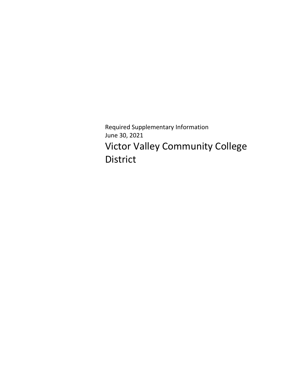Required Supplementary Information June 30, 2021 Victor Valley Community College District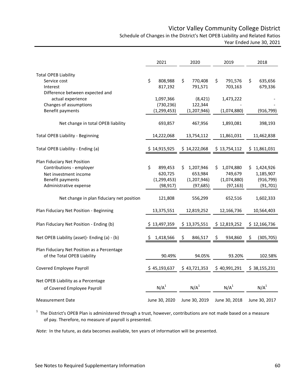Schedule of Changes in the District's Net OPEB Liability and Related Ratios

Year Ended June 30, 2021

|                                                                                                                                | 2021                                                   | 2020                                                   | 2019                                                  | 2018                                                     |  |  |
|--------------------------------------------------------------------------------------------------------------------------------|--------------------------------------------------------|--------------------------------------------------------|-------------------------------------------------------|----------------------------------------------------------|--|--|
| <b>Total OPEB Liability</b><br>Service cost<br>Interest                                                                        | \$<br>808,988<br>817,192                               | \$<br>770,408<br>791,571                               | \$<br>791,576<br>703,163                              | \$<br>635,656<br>679,336                                 |  |  |
| Difference between expected and<br>actual experience<br>Changes of assumptions<br>Benefit payments                             | 1,097,366<br>(730, 236)                                | (8,421)<br>122,344                                     | 1,473,222                                             |                                                          |  |  |
| Net change in total OPEB liability                                                                                             | (1, 299, 453)<br>693,857                               | (1,207,946)<br>467,956                                 | (1,074,880)<br>1,893,081                              | (916, 799)<br>398,193                                    |  |  |
| <b>Total OPEB Liability - Beginning</b>                                                                                        | 14,222,068                                             | 13,754,112                                             | 11,861,031                                            | 11,462,838                                               |  |  |
| Total OPEB Liability - Ending (a)                                                                                              | \$14,915,925                                           | \$14,222,068                                           | \$13,754,112                                          | \$11,861,031                                             |  |  |
| Plan Fiduciary Net Position<br>Contributions - employer<br>Net investment income<br>Benefit payments<br>Administrative expense | \$<br>899,453<br>620,725<br>(1, 299, 453)<br>(98, 917) | 1,207,946<br>\$<br>653,984<br>(1,207,946)<br>(97, 685) | 1,074,880<br>Ś<br>749,679<br>(1,074,880)<br>(97, 163) | \$.<br>1,424,926<br>1,185,907<br>(916, 799)<br>(91, 701) |  |  |
| Net change in plan fiduciary net position                                                                                      | 121,808                                                | 556,299                                                | 652,516                                               | 1,602,333                                                |  |  |
| Plan Fiduciary Net Position - Beginning                                                                                        | 13,375,551                                             | 12,819,252                                             | 12,166,736                                            | 10,564,403                                               |  |  |
| Plan Fiduciary Net Position - Ending (b)                                                                                       |                                                        | \$13,497,359 \$13,375,551 \$12,819,252                 |                                                       | \$12,166,736                                             |  |  |
| Net OPEB Liability (asset)- Ending (a) - (b)                                                                                   | \$1,418,566                                            | $\frac{\text{5}}{2}$ 846,517 \\$ 934,860               |                                                       | - \$<br>(305, 705)                                       |  |  |
| Plan Fiduciary Net Position as a Percentage<br>of the Total OPEB Liability                                                     | 90.49%                                                 | 94.05%                                                 | 93.20%                                                | 102.58%                                                  |  |  |
| Covered Employee Payroll                                                                                                       | \$45,193,637                                           | \$43,721,353                                           | \$40,991,291                                          | \$38,155,231                                             |  |  |
| Net OPEB Liability as a Percentage<br>of Covered Employee Payroll                                                              | N/A <sup>1</sup>                                       | N/A <sup>1</sup>                                       | N/A <sup>1</sup>                                      | N/A <sup>1</sup>                                         |  |  |
| Measurement Date                                                                                                               | June 30, 2020                                          | June 30, 2019                                          | June 30, 2018                                         | June 30, 2017                                            |  |  |

 $1$  The District's OPEB Plan is administered through a trust, however, contributions are not made based on a measure of pay. Therefore, no measure of payroll is presented.

*Note:* In the future, as data becomes available, ten years of information will be presented.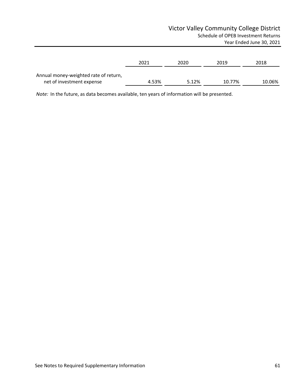## Victor Valley Community College District Schedule of OPEB Investment Returns Year Ended June 30, 2021

|                                                                    | 2021  | 2020  | 2019   | 2018   |  |
|--------------------------------------------------------------------|-------|-------|--------|--------|--|
| Annual money-weighted rate of return,<br>net of investment expense | 4.53% | 5.12% | 10.77% | 10.06% |  |

*Note:* In the future, as data becomes available, ten years of information will be presented.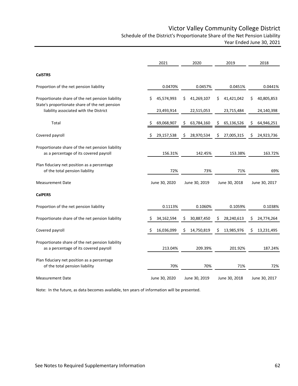Schedule of the District's Proportionate Share of the Net Pension Liability

Year Ended June 30, 2021

|                                                                                                    | 2021<br>2020  |               |               | 2019          |               | 2018          |               |               |
|----------------------------------------------------------------------------------------------------|---------------|---------------|---------------|---------------|---------------|---------------|---------------|---------------|
| <b>CalSTRS</b>                                                                                     |               |               |               |               |               |               |               |               |
| Proportion of the net pension liability                                                            |               | 0.0470%       |               | 0.0457%       |               | 0.0451%       |               | 0.0441%       |
| Proportionate share of the net pension liability<br>State's proportionate share of the net pension | \$            | 45,574,993    | \$            | 41,269,107    | Ś             | 41,421,042    | s             | 40,805,853    |
| liability associated with the District                                                             |               | 23,493,914    |               | 22,515,053    |               | 23,715,484    |               | 24,140,398    |
| Total                                                                                              | Ş             | 69,068,907    | Ş             | 63,784,160    | Ş             | 65,136,526    | Ş             | 64,946,251    |
| Covered payroll                                                                                    | -Ş            | 29,157,538    | \$.           | 28,970,534    | \$            | 27,005,315    | \$            | 24,923,736    |
| Proportionate share of the net pension liability<br>as a percentage of its covered payroll         |               | 156.31%       |               | 142.45%       |               | 153.38%       |               | 163.72%       |
| Plan fiduciary net position as a percentage<br>of the total pension liability                      |               | 72%           |               | 73%           |               | 71%           |               | 69%           |
| <b>Measurement Date</b>                                                                            | June 30, 2020 |               | June 30, 2019 |               | June 30, 2018 |               | June 30, 2017 |               |
| <b>CalPERS</b>                                                                                     |               |               |               |               |               |               |               |               |
| Proportion of the net pension liability                                                            |               | 0.1113%       |               | 0.1060%       |               | 0.1059%       |               | 0.1038%       |
| Proportionate share of the net pension liability                                                   | S             | 34,162,594    | \$            | 30,887,450    | S             | 28,240,613    | \$            | 24,774,264    |
| Covered payroll                                                                                    | \$            | 16,036,099    | \$            | 14,750,819    | \$            | 13,985,976    | \$            | 13,231,495    |
| Proportionate share of the net pension liability<br>as a percentage of its covered payroll         |               | 213.04%       |               | 209.39%       |               | 201.92%       |               | 187.24%       |
| Plan fiduciary net position as a percentage<br>of the total pension liability                      |               | 70%           |               | 70%           |               | 71%           |               | 72%           |
| <b>Measurement Date</b>                                                                            |               | June 30, 2020 |               | June 30, 2019 |               | June 30, 2018 |               | June 30, 2017 |

Note: In the future, as data becomes available, ten years of information will be presented.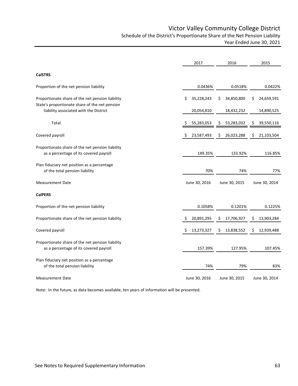## Schedule of the District's Proportionate Share of the Net Pension Liability

Year Ended June 30, 2021

|                                                                                            | 2017 |               |     | 2016          |    | 2015          |
|--------------------------------------------------------------------------------------------|------|---------------|-----|---------------|----|---------------|
| <b>CalSTRS</b>                                                                             |      |               |     |               |    |               |
| Proportion of the net pension liability                                                    |      | 0.0436%       |     | 0.0518%       |    | 0.0422%       |
| Proportionate share of the net pension liability                                           | \$   | 35,228,243    | \$  | 34,850,800    | \$ | 24,659,591    |
| State's proportionate share of the net pension<br>liability associated with the District   |      | 20,054,810    |     | 18,432,232    |    | 14,890,525    |
| Total                                                                                      | S    | 55,283,053    | \$  | 53,283,032    | \$ | 39,550,116    |
| Covered payroll                                                                            | \$.  | 23,587,493    | \$. | 26,023,288    | \$ | 21,103,504    |
| Proportionate share of the net pension liability<br>as a percentage of its covered payroll |      | 149.35%       |     | 133.92%       |    | 116.85%       |
| Plan fiduciary net position as a percentage<br>of the total pension liability              |      | 70%           |     | 74%           |    | 77%           |
| <b>Measurement Date</b>                                                                    |      | June 30, 2016 |     | June 30, 2015 |    | June 30, 2014 |
| <b>CalPERS</b>                                                                             |      |               |     |               |    |               |
| Proportion of the net pension liability                                                    |      | 0.1058%       |     | 0.1201%       |    | 0.1225%       |
| Proportionate share of the net pension liability                                           | S    | 20,891,295    | S   | 17,706,927    | Ş  | 13,903,284    |
| Covered payroll                                                                            | \$   | 13,273,327    | \$  | 13,838,552    | \$ | 12,939,488    |
| Proportionate share of the net pension liability<br>as a percentage of its covered payroll |      | 157.39%       |     | 127.95%       |    | 107.45%       |
| Plan fiduciary net position as a percentage<br>of the total pension liability              |      | 74%           |     | 79%           |    | 83%           |
| <b>Measurement Date</b>                                                                    |      | June 30, 2016 |     | June 30, 2015 |    | June 30, 2014 |

Note: In the future, as data becomes available, ten years of information will be presented.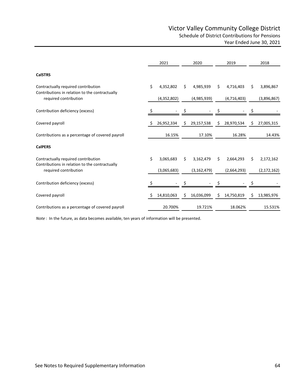## Schedule of District Contributions for Pensions

Year Ended June 30, 2021

|                                                                                                                |    | 2021                     |    | 2020                     | 2019                           | 2018                           |
|----------------------------------------------------------------------------------------------------------------|----|--------------------------|----|--------------------------|--------------------------------|--------------------------------|
| <b>CalSTRS</b>                                                                                                 |    |                          |    |                          |                                |                                |
| Contractually required contribution<br>Contributions in relation to the contractually<br>required contribution | \$ | 4,352,802<br>(4,352,802) | \$ | 4,985,939<br>(4,985,939) | \$<br>4,716,403<br>(4,716,403) | \$<br>3,896,867<br>(3,896,867) |
| Contribution deficiency (excess)                                                                               |    |                          |    |                          |                                |                                |
| Covered payroll                                                                                                | Ŝ. | 26,952,334               | \$ | 29,157,538               | \$<br>28,970,534               | \$<br>27,005,315               |
| Contributions as a percentage of covered payroll                                                               |    | 16.15%                   |    | 17.10%                   | 16.28%                         | 14.43%                         |
| <b>CalPERS</b>                                                                                                 |    |                          |    |                          |                                |                                |
| Contractually required contribution<br>Contributions in relation to the contractually                          | Ś  | 3,065,683                | Ś. | 3,162,479                | \$<br>2,664,293                | \$<br>2,172,162                |
| required contribution                                                                                          |    | (3,065,683)              |    | (3, 162, 479)            | (2,664,293)                    | (2, 172, 162)                  |
| Contribution deficiency (excess)                                                                               |    |                          |    |                          |                                |                                |
| Covered payroll                                                                                                | Ś  | 14,810,063               | \$ | 16,036,099               | \$<br>14,750,819               | \$<br>13,985,976               |
| Contributions as a percentage of covered payroll                                                               |    | 20.700%                  |    | 19.721%                  | 18.062%                        | 15.531%                        |

*Note* : In the future, as data becomes available, ten years of information will be presented.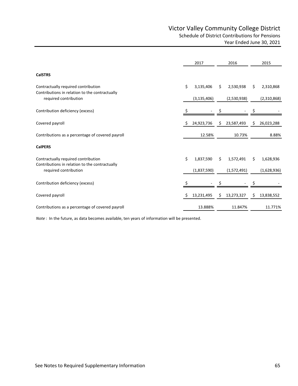## Schedule of District Contributions for Pensions

Year Ended June 30, 2021

|    | 2017          | 2016             | 2015             |
|----|---------------|------------------|------------------|
|    |               |                  |                  |
| \$ | 3,135,406     | \$<br>2,530,938  | \$<br>2,310,868  |
|    | (3, 135, 406) | (2,530,938)      | (2,310,868)      |
|    |               |                  |                  |
| Ŝ  | 24,923,736    | \$<br>23,587,493 | \$<br>26,023,288 |
|    | 12.58%        | 10.73%           | 8.88%            |
|    |               |                  |                  |
| \$ | 1,837,590     | \$<br>1,572,491  | \$<br>1,628,936  |
|    | (1,837,590)   | (1,572,491)      | (1,628,936)      |
|    |               |                  |                  |
| Ŝ  | 13,231,495    | \$<br>13,273,327 | \$<br>13,838,552 |
|    | 13.888%       | 11.847%          | 11.771%          |
|    |               |                  |                  |

*Note* : In the future, as data becomes available, ten years of information will be presented.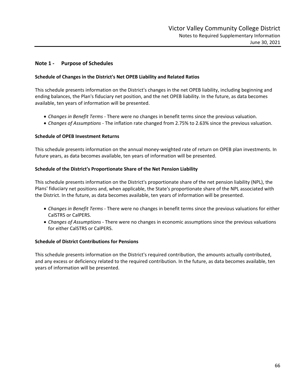## **Note 1 ‐ Purpose of Schedules**

#### **Schedule of Changes in the District's Net OPEB Liability and Related Ratios**

This schedule presents information on the District's changes in the net OPEB liability, including beginning and ending balances, the Plan's fiduciary net position, and the net OPEB liability. In the future, as data becomes available, ten years of information will be presented.

- *Changes in Benefit Terms* ‐ There were no changes in benefit terms since the previous valuation.
- *Changes of Assumptions* ‐ The inflation rate changed from 2.75% to 2.63% since the previous valuation.

#### **Schedule of OPEB Investment Returns**

This schedule presents information on the annual money‐weighted rate of return on OPEB plan investments. In future years, as data becomes available, ten years of information will be presented.

#### **Schedule of the District's Proportionate Share of the Net Pension Liability**

This schedule presents information on the District's proportionate share of the net pension liability (NPL), the Plans' fiduciary net positions and, when applicable, the State's proportionate share of the NPL associated with the District. In the future, as data becomes available, ten years of information will be presented.

- *Changes in Benefit Terms* ‐ There were no changes in benefit terms since the previous valuations for either CalSTRS or CalPERS.
- *Changes of Assumptions* ‐ There were no changes in economic assumptions since the previous valuations for either CalSTRS or CalPERS.

#### **Schedule of District Contributions for Pensions**

This schedule presents information on the District's required contribution, the amounts actually contributed, and any excess or deficiency related to the required contribution. In the future, as data becomes available, ten years of information will be presented.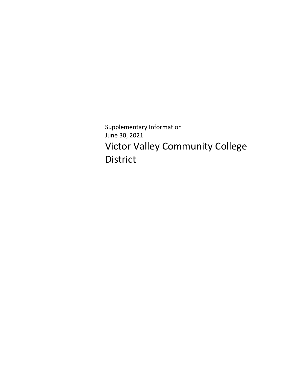Supplementary Information June 30, 2021 Victor Valley Community College District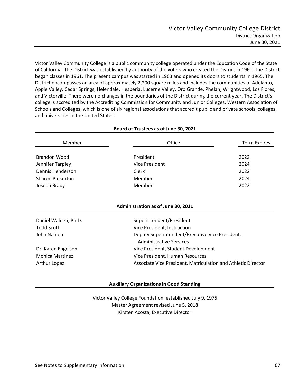Victor Valley Community College is a public community college operated under the Education Code of the State of California. The District was established by authority of the voters who created the District in 1960. The District began classes in 1961. The present campus was started in 1963 and opened its doors to students in 1965. The District encompasses an area of approximately 2,200 square miles and includes the communities of Adelanto, Apple Valley, Cedar Springs, Helendale, Hesperia, Lucerne Valley, Oro Grande, Phelan, Wrightwood, Los Flores, and Victorville. There were no changes in the boundaries of the District during the current year. The District's college is accredited by the Accrediting Commission for Community and Junior Colleges, Western Association of Schools and Colleges, which is one of six regional associations that accredit public and private schools, colleges, and universities in the United States.

| board of Trustees as Of Julie 30, 2021                                            |                                                               |                     |  |  |  |  |
|-----------------------------------------------------------------------------------|---------------------------------------------------------------|---------------------|--|--|--|--|
| Member                                                                            | Office                                                        | <b>Term Expires</b> |  |  |  |  |
| <b>Brandon Wood</b>                                                               | President                                                     | 2022                |  |  |  |  |
|                                                                                   |                                                               | 2024                |  |  |  |  |
| Jennifer Tarpley                                                                  | <b>Vice President</b>                                         |                     |  |  |  |  |
| Dennis Henderson                                                                  | Clerk                                                         | 2022                |  |  |  |  |
| <b>Sharon Pinkerton</b>                                                           | Member                                                        | 2024                |  |  |  |  |
| Joseph Brady                                                                      | Member                                                        | 2022                |  |  |  |  |
|                                                                                   |                                                               |                     |  |  |  |  |
|                                                                                   | Administration as of June 30, 2021                            |                     |  |  |  |  |
| Daniel Walden, Ph.D.                                                              | Superintendent/President                                      |                     |  |  |  |  |
| <b>Todd Scott</b>                                                                 | Vice President, Instruction                                   |                     |  |  |  |  |
| John Nahlen                                                                       |                                                               |                     |  |  |  |  |
| Deputy Superintendent/Executive Vice President,<br><b>Administrative Services</b> |                                                               |                     |  |  |  |  |
| Dr. Karen Engelsen<br>Vice President, Student Development                         |                                                               |                     |  |  |  |  |
| <b>Monica Martinez</b><br>Vice President, Human Resources                         |                                                               |                     |  |  |  |  |
| Arthur Lopez                                                                      | Associate Vice President, Matriculation and Athletic Director |                     |  |  |  |  |
|                                                                                   |                                                               |                     |  |  |  |  |
|                                                                                   | <b>Auxiliary Organizations in Good Standing</b>               |                     |  |  |  |  |
|                                                                                   | Victor Valley College Foundation, established July 9, 1975    |                     |  |  |  |  |

## **Board of Trustees as of June 30, 2021**

Kirsten Acosta, Executive Director Victor Valley College Foundation, established July 9, 1975 Master Agreement revised June 5, 2018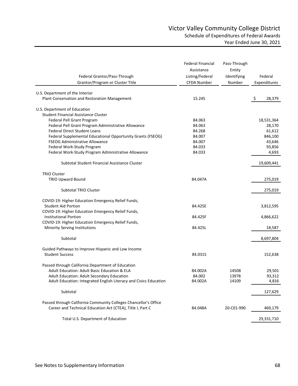| Federal Grantor/Pass-Through<br>Grantor/Program or Cluster Title  | <b>Federal Financial</b><br>Assistance<br>Listing/Federal<br>CFDA Number | Pass-Through<br>Entity<br>Identifying<br>Number | Federal<br>Expenditures |
|-------------------------------------------------------------------|--------------------------------------------------------------------------|-------------------------------------------------|-------------------------|
| U.S. Department of the Interior                                   |                                                                          |                                                 |                         |
| Plant Conservation and Restoration Management                     | 15.245                                                                   |                                                 | \$<br>28,379            |
| U.S. Department of Education                                      |                                                                          |                                                 |                         |
| <b>Student Financial Assistance Cluster</b>                       |                                                                          |                                                 |                         |
| Federal Pell Grant Program                                        | 84.063                                                                   |                                                 | 18,531,364              |
| Federal Pell Grant Program Administrative Allowance               | 84.063                                                                   |                                                 | 28,170                  |
| <b>Federal Direct Student Loans</b>                               | 84.268                                                                   |                                                 | 61,612                  |
| Federal Supplemental Educational Opportunity Grants (FSEOG)       | 84.007                                                                   |                                                 | 846,100                 |
| <b>FSEOG Administrative Allowance</b>                             | 84.007                                                                   |                                                 | 43,646                  |
| Federal Work-Study Program                                        | 84.033                                                                   |                                                 | 93,856                  |
| Federal Work-Study Program Administrative Allowance               | 84.033                                                                   |                                                 | 4,693                   |
|                                                                   |                                                                          |                                                 |                         |
| Subtotal Student Financial Assistance Cluster                     |                                                                          |                                                 | 19,609,441              |
| <b>TRIO Cluster</b>                                               |                                                                          |                                                 |                         |
| <b>TRIO Upward Bound</b>                                          | 84.047A                                                                  |                                                 | 275,019                 |
|                                                                   |                                                                          |                                                 |                         |
| <b>Subtotal TRIO Cluster</b>                                      |                                                                          |                                                 | 275,019                 |
| COVID-19: Higher Education Emergency Relief Funds,                |                                                                          |                                                 |                         |
| <b>Student Aid Portion</b>                                        | 84.425E                                                                  |                                                 | 3,812,595               |
| COVID-19: Higher Education Emergency Relief Funds,                |                                                                          |                                                 |                         |
| <b>Institutional Portion</b>                                      | 84.425F                                                                  |                                                 |                         |
|                                                                   |                                                                          |                                                 | 4,866,622               |
| COVID-19: Higher Education Emergency Relief Funds,                |                                                                          |                                                 |                         |
| Minority Serving Institutions                                     | 84.425L                                                                  |                                                 | 18,587                  |
| Subtotal                                                          |                                                                          |                                                 | 8,697,804               |
|                                                                   |                                                                          |                                                 |                         |
| Guided Pathways to Improve Hispanic and Low Income                |                                                                          |                                                 |                         |
| <b>Student Success</b>                                            | 84.031S                                                                  |                                                 | 152,638                 |
| Passed through California Department of Education                 |                                                                          |                                                 |                         |
| Adult Education: Adult Basic Education & ELA                      | 84.002A                                                                  | 14508                                           | 29,501                  |
| <b>Adult Education: Adult Secondary Education</b>                 | 84.002                                                                   | 13978                                           | 93,312                  |
| Adult Education: Integrated English Literacy and Civics Education | 84.002A                                                                  | 14109                                           | 4,816                   |
|                                                                   |                                                                          |                                                 |                         |
| Subtotal                                                          |                                                                          |                                                 | 127,629                 |
| Passed through California Community Colleges Chancellor's Office  |                                                                          |                                                 |                         |
| Career and Technical Education Act (CTEA), Title I, Part C        | 84.048A                                                                  | 20-C01-990                                      | 469,179                 |
|                                                                   |                                                                          |                                                 |                         |
| Total U.S. Department of Education                                |                                                                          |                                                 | 29,331,710              |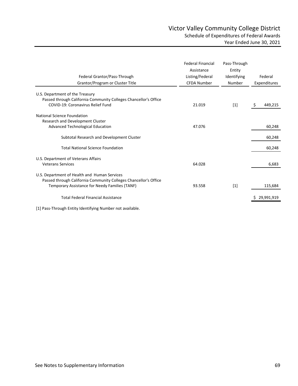|                                                                                                                  | <b>Federal Financial</b><br>Assistance | Pass-Through<br>Entity |               |
|------------------------------------------------------------------------------------------------------------------|----------------------------------------|------------------------|---------------|
| Federal Grantor/Pass-Through                                                                                     | Listing/Federal                        | Identifying            | Federal       |
| Grantor/Program or Cluster Title                                                                                 | <b>CFDA Number</b>                     | Number                 | Expenditures  |
| U.S. Department of the Treasury<br>Passed through California Community Colleges Chancellor's Office              |                                        |                        |               |
| COVID-19: Coronavirus Relief Fund                                                                                | 21.019                                 | $[1]$                  | \$<br>449,215 |
| National Science Foundation                                                                                      |                                        |                        |               |
| Research and Development Cluster<br>Advanced Technological Education                                             | 47.076                                 |                        | 60,248        |
|                                                                                                                  |                                        |                        |               |
| Subtotal Research and Development Cluster                                                                        |                                        |                        | 60,248        |
| <b>Total National Science Foundation</b>                                                                         |                                        |                        | 60,248        |
| U.S. Department of Veterans Affairs                                                                              |                                        |                        |               |
| <b>Veterans Services</b>                                                                                         | 64.028                                 |                        | 6,683         |
| U.S. Department of Health and Human Services<br>Passed through California Community Colleges Chancellor's Office |                                        |                        |               |
| Temporary Assistance for Needy Families (TANF)                                                                   | 93.558                                 | $\lceil 1 \rceil$      | 115,684       |
| <b>Total Federal Financial Assistance</b>                                                                        |                                        |                        | 29,991,919    |

[1] Pass‐Through Entity Identifying Number not available.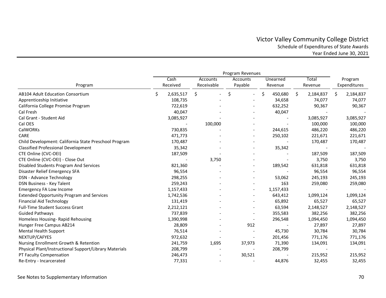# Victor Valley Community College District Schedule of Expenditures of State Awards Year Ended June 30, 2021

|                                                        | Program Revenues |            |                                |               |                 |                         |  |  |  |
|--------------------------------------------------------|------------------|------------|--------------------------------|---------------|-----------------|-------------------------|--|--|--|
|                                                        | Cash             | Accounts   | Accounts                       | Unearned      | Total           | Program<br>Expenditures |  |  |  |
| Program                                                | Received         | Receivable | Payable                        | Revenue       | Revenue         |                         |  |  |  |
| <b>AB104 Adult Education Consortium</b>                | \$<br>2,635,517  | \$         | \$<br>$\overline{\phantom{a}}$ | \$<br>450,680 | \$<br>2,184,837 | \$<br>2,184,837         |  |  |  |
| Apprenticeship Initiative                              | 108,735          |            |                                | 34,658        | 74,077          | 74,077                  |  |  |  |
| California College Promise Program                     | 722,619          |            |                                | 632,252       | 90,367          | 90,367                  |  |  |  |
| Cal Fresh                                              | 40,047           |            |                                | 40,047        |                 |                         |  |  |  |
| Cal Grant - Student Aid                                | 3,085,927        |            |                                |               | 3,085,927       | 3,085,927               |  |  |  |
| Cal OES                                                |                  | 100,000    |                                |               | 100,000         | 100,000                 |  |  |  |
| <b>CalWORKs</b>                                        | 730,835          |            |                                | 244,615       | 486,220         | 486,220                 |  |  |  |
| CARE                                                   | 471,773          |            |                                | 250,102       | 221,671         | 221,671                 |  |  |  |
| Child Development: California State Preschool Program  | 170,487          |            |                                |               | 170,487         | 170,487                 |  |  |  |
| <b>Classified Professional Development</b>             | 35,342           |            | $\overline{\phantom{a}}$       | 35,342        |                 |                         |  |  |  |
| CTE Online (CVC-OEI)                                   | 187,509          |            |                                |               | 187,509         | 187,509                 |  |  |  |
| CTE Online (CVC-OEI) - Close Out                       |                  | 3,750      |                                |               | 3,750           | 3,750                   |  |  |  |
| Disabled Students Program And Services                 | 821,360          |            |                                | 189,542       | 631,818         | 631,818                 |  |  |  |
| Disaster Relief Emergency SFA                          | 96,554           |            |                                |               | 96,554          | 96,554                  |  |  |  |
| <b>DSN - Advance Technology</b>                        | 298,255          |            |                                | 53,062        | 245,193         | 245,193                 |  |  |  |
| DSN Business - Key Talent                              | 259,243          |            |                                | 163           | 259,080         | 259,080                 |  |  |  |
| <b>Emergency FA Low Income</b>                         | 1,157,433        |            | $\overline{\phantom{a}}$       | 1,157,433     |                 |                         |  |  |  |
| <b>Extended Opportunity Program and Services</b>       | 1,742,536        |            |                                | 643,412       | 1,099,124       | 1,099,124               |  |  |  |
| <b>Financial Aid Technology</b>                        | 131,419          |            |                                | 65,892        | 65,527          | 65,527                  |  |  |  |
| <b>Full-Time Student Success Grant</b>                 | 2,212,121        |            |                                | 63,594        | 2,148,527       | 2,148,527               |  |  |  |
| <b>Guided Pathways</b>                                 | 737,839          |            |                                | 355,583       | 382,256         | 382,256                 |  |  |  |
| Homeless Housing- Rapid Rehousing                      | 1,390,998        |            |                                | 296,548       | 1,094,450       | 1,094,450               |  |  |  |
| Hunger Free Campus AB214                               | 28,809           |            | 912                            |               | 27,897          | 27,897                  |  |  |  |
| <b>Mental Health Support</b>                           | 76,514           |            |                                | 45,730        | 30,784          | 30,784                  |  |  |  |
| NEXTUP/CAFYES                                          | 972,632          |            |                                | 201,456       | 771,176         | 771,176                 |  |  |  |
| Nursing Enrollment Growth & Retention                  | 241,759          | 1,695      | 37,973                         | 71,390        | 134,091         | 134,091                 |  |  |  |
| Physical Plant/Instructional Support/Library Materials | 208,799          |            |                                | 208,799       |                 |                         |  |  |  |
| PT Faculty Compensation                                | 246,473          |            | 30,521                         |               | 215,952         | 215,952                 |  |  |  |
| Re-Entry - Incarcerated                                | 77,331           |            |                                | 44,876        | 32,455          | 32,455                  |  |  |  |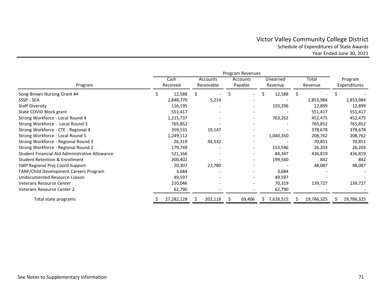# Victor Valley Community College District Schedule of Expenditures of State Awards Year Ended June 30, 2021

|                                                | Program Revenues |                  |    |                        |    |                          |   |                     |    |                  |    |                         |
|------------------------------------------------|------------------|------------------|----|------------------------|----|--------------------------|---|---------------------|----|------------------|----|-------------------------|
| Program                                        |                  | Cash<br>Received |    | Accounts<br>Receivable |    | Accounts<br>Payable      |   | Unearned<br>Revenue |    | Total<br>Revenue |    | Program<br>Expenditures |
| Song-Brown Nursing Grant #4                    | \$               | 12,588           | \$ |                        | \$ | $\overline{\phantom{0}}$ | S | 12,588              | Ŝ. |                  | \$ |                         |
| SSSP - SEA                                     |                  | 2,848,770        |    | 5,214                  |    |                          |   |                     |    | 2,853,984        |    | 2,853,984               |
| <b>Staff Diversity</b>                         |                  | 116,195          |    |                        |    |                          |   | 103,296             |    | 12,899           |    | 12,899                  |
| State COVID Block grant                        |                  | 551,417          |    |                        |    | $\overline{\phantom{a}}$ |   |                     |    | 551,417          |    | 551,417                 |
| Strong Workforce - Local Round 4               |                  | 1,215,737        |    |                        |    | $\overline{\phantom{a}}$ |   | 763,262             |    | 452,475          |    | 452,475                 |
| Strong Workforce - Local Round 3               |                  | 765,852          |    |                        |    |                          |   |                     |    | 765,852          |    | 765,852                 |
| Strong Workforce - CTE - Regional 4            |                  | 359,531          |    | 19,147                 |    |                          |   |                     |    | 378,678          |    | 378,678                 |
| Strong Workforce - Local Round 5               |                  | 1,249,112        |    |                        |    | $\overline{\phantom{a}}$ |   | 1,040,350           |    | 208,762          |    | 208,762                 |
| Strong Workforce - Regional Round 3            |                  | 26,319           |    | 44,532                 |    |                          |   |                     |    | 70,851           |    | 70,851                  |
| Strong Workforce - Regional Round 2            |                  | 179,749          |    |                        |    | $\overline{\phantom{a}}$ |   | 153,546             |    | 26,203           |    | 26,203                  |
| Student Financial Aid Administrative Allowance |                  | 521,166          |    |                        |    | $\overline{\phantom{0}}$ |   | 84,347              |    | 436,819          |    | 436,819                 |
| <b>Student Retention &amp; Enrollment</b>      |                  | 200,402          |    |                        |    |                          |   | 199,560             |    | 842              |    | 842                     |
| SWP Regional Proj Coord Support                |                  | 20,307           |    | 27,780                 |    |                          |   |                     |    | 48,087           |    | 48,087                  |
| TANF/Child Development Careers Program         |                  | 3,684            |    |                        |    |                          |   | 3,684               |    |                  |    |                         |
| Undocumented Resource Liaison                  |                  | 49,597           |    |                        |    | $\overline{\phantom{a}}$ |   | 49,597              |    |                  |    |                         |
| <b>Veterans Resource Center</b>                |                  | 210,046          |    |                        |    |                          |   | 70,319              |    | 139,727          |    | 139,727                 |
| Veterans Resource Center 2                     |                  | 62,790           |    |                        |    |                          |   | 62,790              |    |                  |    |                         |
| Total state programs                           |                  | 27,282,128       |    | 202,118                |    | 69,406                   |   | 7,628,515           |    | 19,786,325       |    | 19,786,325              |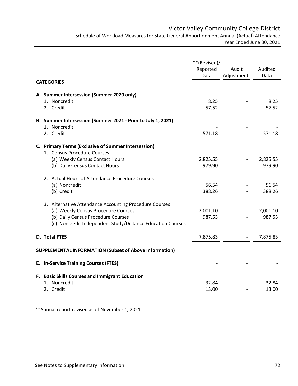# Victor Valley Community College District

Schedule of Workload Measures for State General Apportionment Annual (Actual) Attendance

Year Ended June 30, 2021

| <b>CATEGORIES</b>                                                                                                                                                                                          | **(Revised)/<br>Reported<br>Data | Audit<br>Adjustments | Audited<br>Data    |
|------------------------------------------------------------------------------------------------------------------------------------------------------------------------------------------------------------|----------------------------------|----------------------|--------------------|
| A. Summer Intersession (Summer 2020 only)<br>1. Noncredit<br>2. Credit                                                                                                                                     | 8.25<br>57.52                    |                      | 8.25<br>57.52      |
| B. Summer Intersession (Summer 2021 - Prior to July 1, 2021)<br>1. Noncredit<br>2. Credit                                                                                                                  | 571.18                           |                      | 571.18             |
| C. Primary Terms (Exclusive of Summer Intersession)<br>1. Census Procedure Courses<br>(a) Weekly Census Contact Hours<br>(b) Daily Census Contact Hours<br>2. Actual Hours of Attendance Procedure Courses | 2,825.55<br>979.90               |                      | 2,825.55<br>979.90 |
| (a) Noncredit<br>(b) Credit                                                                                                                                                                                | 56.54<br>388.26                  |                      | 56.54<br>388.26    |
| 3. Alternative Attendance Accounting Procedure Courses<br>(a) Weekly Census Procedure Courses<br>(b) Daily Census Procedure Courses<br>(c) Noncredit Independent Study/Distance Education Courses          | 2,001.10<br>987.53               |                      | 2,001.10<br>987.53 |
| <b>D. Total FTES</b>                                                                                                                                                                                       | 7,875.83                         |                      | 7,875.83           |
| <b>SUPPLEMENTAL INFORMATION (Subset of Above Information)</b>                                                                                                                                              |                                  |                      |                    |
| E. In-Service Training Courses (FTES)                                                                                                                                                                      |                                  |                      |                    |
| F. Basic Skills Courses and Immigrant Education<br>1. Noncredit<br>2. Credit                                                                                                                               | 32.84<br>13.00                   |                      | 32.84<br>13.00     |

\*\*Annual report revised as of November 1, 2021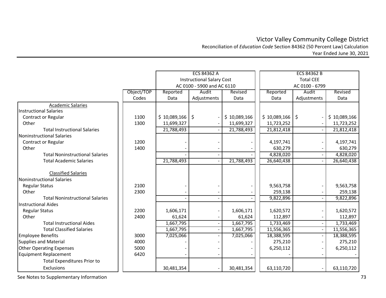# Victor Valley Community College District Reconciliation of *Education Code* Section 84362 (50 Percent Law) Calculation Year Ended June 30, 2021

|                                        |            | <b>ECS 84362 A</b>               |                            |              | <b>ECS 84362 B</b> |                  |              |  |  |
|----------------------------------------|------------|----------------------------------|----------------------------|--------------|--------------------|------------------|--------------|--|--|
|                                        |            | <b>Instructional Salary Cost</b> |                            |              |                    | <b>Total CEE</b> |              |  |  |
|                                        |            |                                  | AC 0100 - 5900 and AC 6110 |              |                    | AC 0100 - 6799   |              |  |  |
|                                        | Object/TOP | Reported                         | Audit                      | Revised      | Reported           | Audit            | Revised      |  |  |
|                                        | Codes      | Data                             | Adjustments                | Data         | Data               | Adjustments      | Data         |  |  |
| <b>Academic Salaries</b>               |            |                                  |                            |              |                    |                  |              |  |  |
| <b>Instructional Salaries</b>          |            |                                  |                            |              |                    |                  |              |  |  |
| <b>Contract or Regular</b>             | 1100       | \$10,089,166                     | l \$                       | \$10,089,166 | \$10,089,166       | $\zeta$          | \$10,089,166 |  |  |
| Other                                  | 1300       | 11,699,327                       |                            | 11,699,327   | 11,723,252         |                  | 11,723,252   |  |  |
| <b>Total Instructional Salaries</b>    |            | 21,788,493                       |                            | 21,788,493   | 21,812,418         |                  | 21,812,418   |  |  |
| Noninstructional Salaries              |            |                                  |                            |              |                    |                  |              |  |  |
| <b>Contract or Regular</b>             | 1200       |                                  |                            |              | 4,197,741          |                  | 4,197,741    |  |  |
| Other                                  | 1400       |                                  |                            |              | 630,279            |                  | 630,279      |  |  |
| <b>Total Noninstructional Salaries</b> |            |                                  |                            |              | 4,828,020          |                  | 4,828,020    |  |  |
| <b>Total Academic Salaries</b>         |            | 21,788,493                       |                            | 21,788,493   | 26,640,438         |                  | 26,640,438   |  |  |
|                                        |            |                                  |                            |              |                    |                  |              |  |  |
| <b>Classified Salaries</b>             |            |                                  |                            |              |                    |                  |              |  |  |
| Noninstructional Salaries              |            |                                  |                            |              |                    |                  |              |  |  |
| <b>Regular Status</b>                  | 2100       |                                  |                            |              | 9,563,758          |                  | 9,563,758    |  |  |
| Other                                  | 2300       |                                  |                            |              | 259,138            |                  | 259,138      |  |  |
| <b>Total Noninstructional Salaries</b> |            |                                  |                            |              | 9,822,896          |                  | 9,822,896    |  |  |
| <b>Instructional Aides</b>             |            |                                  |                            |              |                    |                  |              |  |  |
| <b>Regular Status</b>                  | 2200       | 1,606,171                        |                            | 1,606,171    | 1,620,572          |                  | 1,620,572    |  |  |
| Other                                  | 2400       | 61,624                           |                            | 61,624       | 112,897            |                  | 112,897      |  |  |
| <b>Total Instructional Aides</b>       |            | 1,667,795                        |                            | 1,667,795    | 1,733,469          |                  | 1,733,469    |  |  |
| <b>Total Classified Salaries</b>       |            | 1,667,795                        |                            | 1,667,795    | 11,556,365         |                  | 11,556,365   |  |  |
| <b>Employee Benefits</b>               | 3000       | 7,025,066                        |                            | 7,025,066    | 18,388,595         |                  | 18,388,595   |  |  |
| <b>Supplies and Material</b>           | 4000       |                                  |                            |              | 275,210            |                  | 275,210      |  |  |
| <b>Other Operating Expenses</b>        | 5000       |                                  |                            |              | 6,250,112          |                  | 6,250,112    |  |  |
| <b>Equipment Replacement</b>           | 6420       |                                  |                            |              |                    |                  |              |  |  |
| <b>Total Expenditures Prior to</b>     |            |                                  |                            |              |                    |                  |              |  |  |
| <b>Exclusions</b>                      |            | 30,481,354                       |                            | 30,481,354   | 63,110,720         |                  | 63,110,720   |  |  |

See Notes to Supplementary Information 73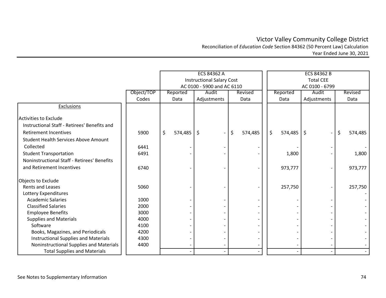# Victor Valley Community College District Reconciliation of *Education Code* Section 84362 (50 Percent Law) Calculation Year Ended June 30, 2021

|                                              |            | <b>ECS 84362 A</b>               |                            |               |                | <b>ECS 84362 B</b> |         |         |  |
|----------------------------------------------|------------|----------------------------------|----------------------------|---------------|----------------|--------------------|---------|---------|--|
|                                              |            | <b>Instructional Salary Cost</b> |                            |               |                | <b>Total CEE</b>   |         |         |  |
|                                              |            |                                  | AC 0100 - 5900 and AC 6110 |               | AC 0100 - 6799 |                    |         |         |  |
|                                              | Object/TOP | Reported                         | Audit                      | Revised       | Reported       | Audit              | Revised |         |  |
|                                              | Codes      | Data                             | Adjustments                | Data          | Data           | Adjustments        |         | Data    |  |
| <b>Exclusions</b>                            |            |                                  |                            |               |                |                    |         |         |  |
| Activities to Exclude                        |            |                                  |                            |               |                |                    |         |         |  |
|                                              |            |                                  |                            |               |                |                    |         |         |  |
| Instructional Staff - Retirees' Benefits and |            |                                  |                            |               |                |                    |         |         |  |
| <b>Retirement Incentives</b>                 | 5900       | \$<br>$574,485$   \$             |                            | \$<br>574,485 | \$<br>574,485  | $\ddot{\varsigma}$ | \$      | 574,485 |  |
| <b>Student Health Services Above Amount</b>  |            |                                  |                            |               |                |                    |         |         |  |
| Collected                                    | 6441       |                                  |                            |               |                |                    |         |         |  |
| <b>Student Transportation</b>                | 6491       |                                  |                            |               | 1,800          |                    |         | 1,800   |  |
| Noninstructional Staff - Retirees' Benefits  |            |                                  |                            |               |                |                    |         |         |  |
| and Retirement Incentives                    | 6740       |                                  |                            |               | 973,777        |                    |         | 973,777 |  |
| Objects to Exclude                           |            |                                  |                            |               |                |                    |         |         |  |
| <b>Rents and Leases</b>                      | 5060       |                                  |                            |               | 257,750        |                    |         | 257,750 |  |
| Lottery Expenditures                         |            |                                  |                            |               |                |                    |         |         |  |
| <b>Academic Salaries</b>                     | 1000       |                                  |                            |               |                |                    |         |         |  |
| <b>Classified Salaries</b>                   | 2000       |                                  |                            |               |                |                    |         |         |  |
| <b>Employee Benefits</b>                     | 3000       |                                  |                            |               |                |                    |         |         |  |
| <b>Supplies and Materials</b>                | 4000       |                                  |                            |               |                |                    |         |         |  |
| Software                                     | 4100       |                                  |                            |               |                |                    |         |         |  |
| Books, Magazines, and Periodicals            | 4200       |                                  |                            |               |                |                    |         |         |  |
| <b>Instructional Supplies and Materials</b>  | 4300       |                                  |                            |               |                |                    |         |         |  |
| Noninstructional Supplies and Materials      | 4400       |                                  |                            |               |                |                    |         |         |  |
| <b>Total Supplies and Materials</b>          |            |                                  |                            |               |                |                    |         |         |  |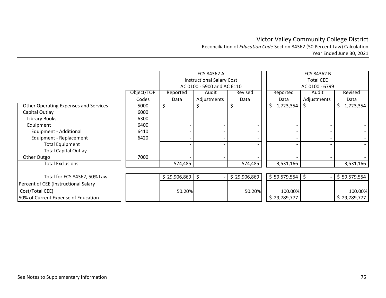# Victor Valley Community College District Reconciliation of *Education Code* Section 84362 (50 Percent Law) Calculation Year Ended June 30, 2021

|                                       |            | ECS 84362 A  |                                  |              |     |                | ECS 84362 B      |                |  |
|---------------------------------------|------------|--------------|----------------------------------|--------------|-----|----------------|------------------|----------------|--|
|                                       |            |              | <b>Instructional Salary Cost</b> |              |     |                | <b>Total CEE</b> |                |  |
|                                       |            |              | AC 0100 - 5900 and AC 6110       |              |     | AC 0100 - 6799 |                  |                |  |
|                                       | Object/TOP | Reported     | Audit                            | Revised      |     | Reported       | Audit            | Revised        |  |
|                                       | Codes      | Data         | Adjustments                      | Data         |     | Data           | Adjustments      | Data           |  |
| Other Operating Expenses and Services | 5000       | \$           |                                  |              | \$. | 1,723,354      | S                | 1,723,354<br>S |  |
| Capital Outlay                        | 6000       |              |                                  |              |     |                |                  |                |  |
| Library Books                         | 6300       |              |                                  |              |     |                |                  |                |  |
| Equipment                             | 6400       |              |                                  |              |     |                |                  |                |  |
| Equipment - Additional                | 6410       |              |                                  |              |     |                |                  |                |  |
| Equipment - Replacement               | 6420       |              |                                  |              |     |                |                  |                |  |
| <b>Total Equipment</b>                |            |              |                                  |              |     |                |                  |                |  |
| <b>Total Capital Outlay</b>           |            |              |                                  |              |     |                |                  |                |  |
| Other Outgo                           | 7000       |              |                                  |              |     |                |                  |                |  |
| <b>Total Exclusions</b>               |            | 574,485      |                                  | 574,485      |     | 3,531,166      |                  | 3,531,166      |  |
|                                       |            |              |                                  |              |     |                |                  |                |  |
| Total for ECS 84362, 50% Law          |            | \$29,906,869 | \$ ا                             | \$29,906,869 |     | \$59,579,554   | \$               | \$59,579,554   |  |
| Percent of CEE (Instructional Salary  |            |              |                                  |              |     |                |                  |                |  |
| Cost/Total CEE)                       |            | 50.20%       |                                  | 50.20%       |     | 100.00%        |                  | 100.00%        |  |
| 50% of Current Expense of Education   |            |              |                                  |              |     | \$29,789,777   |                  | \$29,789,777   |  |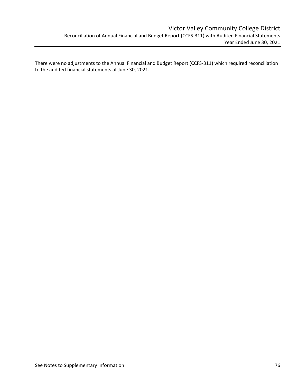There were no adjustments to the Annual Financial and Budget Report (CCFS‐311) which required reconciliation to the audited financial statements at June 30, 2021.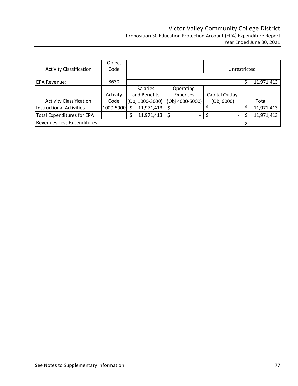# Victor Valley Community College District Proposition 30 Education Protection Account (EPA) Expenditure Report Year Ended June 30, 2021

| <b>Activity Classification</b>    | Object<br>Code |                 |                 | Unrestricted   |            |
|-----------------------------------|----------------|-----------------|-----------------|----------------|------------|
|                                   |                |                 |                 |                |            |
| <b>EPA Revenue:</b>               | 8630           |                 |                 |                | 11,971,413 |
|                                   |                | <b>Salaries</b> | Operating       |                |            |
|                                   | Activity       | and Benefits    | Expenses        | Capital Outlay |            |
| <b>Activity Classification</b>    | Code           | (Obj 1000-3000) | (Obj 4000-5000) | (Obj 6000)     | Total      |
| <b>Instructional Activities</b>   | 1000-5900      | 11,971,413      |                 |                | 11,971,413 |
| <b>Total Expenditures for EPA</b> |                | 11,971,413      |                 |                | 11,971,413 |
| <b>Revenues Less Expenditures</b> |                |                 |                 |                |            |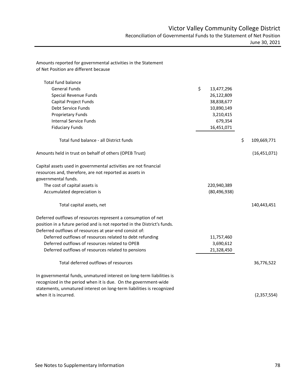# Victor Valley Community College District

Reconciliation of Governmental Funds to the Statement of Net Position

June 30, 2021

Amounts reported for governmental activities in the Statement of Net Position are different because

| <b>Total fund balance</b>                                                |                  |                   |
|--------------------------------------------------------------------------|------------------|-------------------|
| <b>General Funds</b>                                                     | \$<br>13,477,296 |                   |
| Special Revenue Funds                                                    | 26,122,809       |                   |
| Capital Project Funds                                                    | 38,838,677       |                   |
| Debt Service Funds                                                       | 10,890,149       |                   |
| <b>Proprietary Funds</b>                                                 | 3,210,415        |                   |
| <b>Internal Service Funds</b>                                            | 679,354          |                   |
| <b>Fiduciary Funds</b>                                                   | 16,451,071       |                   |
| Total fund balance - all District funds                                  |                  | \$<br>109,669,771 |
| Amounts held in trust on behalf of others (OPEB Trust)                   |                  | (16, 451, 071)    |
| Capital assets used in governmental activities are not financial         |                  |                   |
| resources and, therefore, are not reported as assets in                  |                  |                   |
| governmental funds.                                                      |                  |                   |
| The cost of capital assets is                                            | 220,940,389      |                   |
| Accumulated depreciation is                                              | (80, 496, 938)   |                   |
| Total capital assets, net                                                |                  | 140,443,451       |
| Deferred outflows of resources represent a consumption of net            |                  |                   |
| position in a future period and is not reported in the District's funds. |                  |                   |
| Deferred outflows of resources at year-end consist of:                   |                  |                   |
| Deferred outflows of resources related to debt refunding                 | 11,757,460       |                   |
| Deferred outflows of resources related to OPEB                           | 3,690,612        |                   |
| Deferred outflows of resources related to pensions                       | 21,328,450       |                   |
| Total deferred outflows of resources                                     |                  | 36,776,522        |
| In governmental funds, unmatured interest on long-term liabilities is    |                  |                   |
| recognized in the period when it is due. On the government-wide          |                  |                   |
| statements, unmatured interest on long-term liabilities is recognized    |                  |                   |
| when it is incurred.                                                     |                  | (2,357,554)       |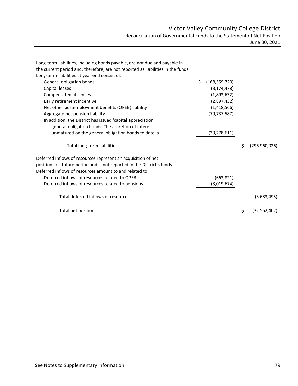# Victor Valley Community College District Reconciliation of Governmental Funds to the Statement of Net Position

June 30, 2021

| Long-term liabilities, including bonds payable, are not due and payable in       |    |                 |                     |
|----------------------------------------------------------------------------------|----|-----------------|---------------------|
| the current period and, therefore, are not reported as liabilities in the funds. |    |                 |                     |
| Long-term liabilities at year end consist of:                                    |    |                 |                     |
| General obligation bonds                                                         | Ś. | (168, 559, 720) |                     |
| Capital leases                                                                   |    | (3, 174, 478)   |                     |
| Compensated absences                                                             |    | (1,893,632)     |                     |
| Early retirement incentive                                                       |    | (2,897,432)     |                     |
| Net other postemployment benefits (OPEB) liability                               |    | (1, 418, 566)   |                     |
| Aggregate net pension liability                                                  |    | (79, 737, 587)  |                     |
| In addition, the District has issued 'capital appreciation'                      |    |                 |                     |
| general obligation bonds. The accretion of interest                              |    |                 |                     |
| unmatured on the general obligation bonds to date is                             |    | (39, 278, 611)  |                     |
| Total long-term liabilities                                                      |    |                 | \$<br>(296,960,026) |
| Deferred inflows of resources represent an acquisition of net                    |    |                 |                     |
| position in a future period and is not reported in the District's funds.         |    |                 |                     |
| Deferred inflows of resources amount to and related to                           |    |                 |                     |
| Deferred inflows of resources related to OPEB                                    |    | (663, 821)      |                     |
| Deferred inflows of resources related to pensions                                |    | (3,019,674)     |                     |
| Total deferred inflows of resources                                              |    |                 | (3,683,495)         |
| Total net position                                                               |    |                 | (32, 562, 402)      |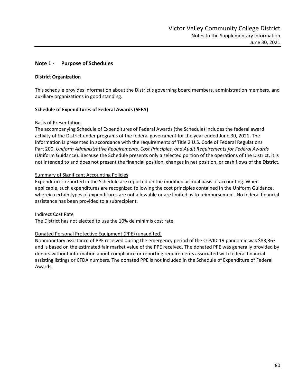# **Note 1 ‐ Purpose of Schedules**

# **District Organization**

This schedule provides information about the District's governing board members, administration members, and auxiliary organizations in good standing.

# **Schedule of Expenditures of Federal Awards (SEFA)**

# Basis of Presentation

The accompanying Schedule of Expenditures of Federal Awards (the Schedule) includes the federal award activity of the District under programs of the federal government for the year ended June 30, 2021. The information is presented in accordance with the requirements of Title 2 U.S. Code of Federal Regulations Part 200, *Uniform Administrative Requirements, Cost Principles, and Audit Requirements for Federal Awards* (Uniform Guidance). Because the Schedule presents only a selected portion of the operations of the District, it is not intended to and does not present the financial position, changes in net position, or cash flows of the District.

# Summary of Significant Accounting Policies

Expenditures reported in the Schedule are reported on the modified accrual basis of accounting. When applicable, such expenditures are recognized following the cost principles contained in the Uniform Guidance, wherein certain types of expenditures are not allowable or are limited as to reimbursement. No federal financial assistance has been provided to a subrecipient.

Indirect Cost Rate The District has not elected to use the 10% de minimis cost rate.

# Donated Personal Protective Equipment (PPE) (unaudited)

Nonmonetary assistance of PPE received during the emergency period of the COVID‐19 pandemic was \$83,363 and is based on the estimated fair market value of the PPE received. The donated PPE was generally provided by donors without information about compliance or reporting requirements associated with federal financial assisting listings or CFDA numbers. The donated PPE is not included in the Schedule of Expenditure of Federal Awards.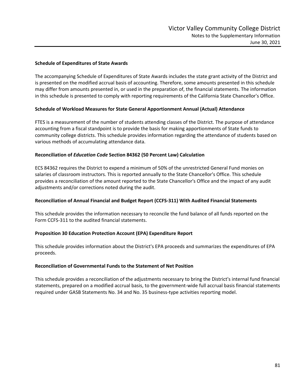# **Schedule of Expenditures of State Awards**

The accompanying Schedule of Expenditures of State Awards includes the state grant activity of the District and is presented on the modified accrual basis of accounting. Therefore, some amounts presented in this schedule may differ from amounts presented in, or used in the preparation of, the financial statements. The information in this schedule is presented to comply with reporting requirements of the California State Chancellor's Office.

# **Schedule of Workload Measures for State General Apportionment Annual (Actual) Attendance**

FTES is a measurement of the number of students attending classes of the District. The purpose of attendance accounting from a fiscal standpoint is to provide the basis for making apportionments of State funds to community college districts. This schedule provides information regarding the attendance of students based on various methods of accumulating attendance data.

# **Reconciliation of** *Education Code* **Section 84362 (50 Percent Law) Calculation**

ECS 84362 requires the District to expend a minimum of 50% of the unrestricted General Fund monies on salaries of classroom instructors. This is reported annually to the State Chancellor's Office. This schedule provides a reconciliation of the amount reported to the State Chancellor's Office and the impact of any audit adjustments and/or corrections noted during the audit.

# **Reconciliation of Annual Financial and Budget Report (CCFS‐311) With Audited Financial Statements**

This schedule provides the information necessary to reconcile the fund balance of all funds reported on the Form CCFS‐311 to the audited financial statements.

# **Proposition 30 Education Protection Account (EPA) Expenditure Report**

This schedule provides information about the District's EPA proceeds and summarizes the expenditures of EPA proceeds.

# **Reconciliation of Governmental Funds to the Statement of Net Position**

This schedule provides a reconciliation of the adjustments necessary to bring the District's internal fund financial statements, prepared on a modified accrual basis, to the government‐wide full accrual basis financial statements required under GASB Statements No. 34 and No. 35 business-type activities reporting model.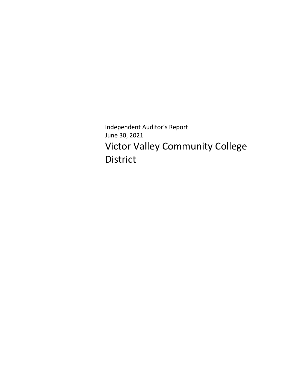Independent Auditor's Report June 30, 2021 Victor Valley Community College District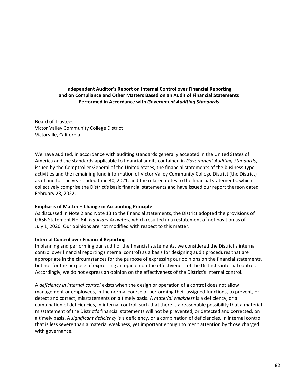**Independent Auditor's Report on Internal Control over Financial Reporting and on Compliance and Other Matters Based on an Audit of Financial Statements Performed in Accordance with** *Government Auditing Standards*

Board of Trustees Victor Valley Community College District Victorville, California

We have audited, in accordance with auditing standards generally accepted in the United States of America and the standards applicable to financial audits contained in *Government Auditing Standards*, issued by the Comptroller General of the United States, the financial statements of the business‐type activities and the remaining fund information of Victor Valley Community College District (the District) as of and for the year ended June 30, 2021, and the related notes to the financial statements, which collectively comprise the District's basic financial statements and have issued our report thereon dated February 28, 2022.

# **Emphasis of Matter – Change in Accounting Principle**

As discussed in Note 2 and Note 13 to the financial statements, the District adopted the provisions of GASB Statement No. 84, *Fiduciary Activities*, which resulted in a restatement of net position as of July 1, 2020. Our opinions are not modified with respect to this matter.

### **Internal Control over Financial Reporting**

In planning and performing our audit of the financial statements, we considered the District's internal control over financial reporting (internal control) as a basis for designing audit procedures that are appropriate in the circumstances for the purpose of expressing our opinions on the financial statements, but not for the purpose of expressing an opinion on the effectiveness of the District's internal control. Accordingly, we do not express an opinion on the effectiveness of the District's internal control.

A *deficiency in internal control* exists when the design or operation of a control does not allow management or employees, in the normal course of performing their assigned functions, to prevent, or detect and correct, misstatements on a timely basis. A *material weakness* is a deficiency, or a combination of deficiencies, in internal control, such that there is a reasonable possibility that a material misstatement of the District's financial statements will not be prevented, or detected and corrected, on a timely basis. A *significant deficiency* is a deficiency, or a combination of deficiencies, in internal control that is less severe than a material weakness, yet important enough to merit attention by those charged with governance.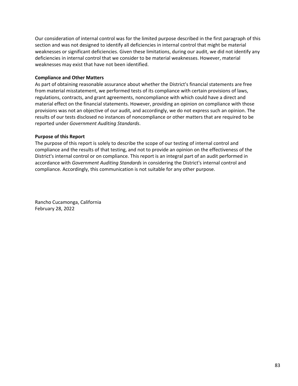Our consideration of internal control was for the limited purpose described in the first paragraph of this section and was not designed to identify all deficiencies in internal control that might be material weaknesses or significant deficiencies. Given these limitations, during our audit, we did not identify any deficiencies in internal control that we consider to be material weaknesses. However, material weaknesses may exist that have not been identified.

# **Compliance and Other Matters**

As part of obtaining reasonable assurance about whether the District's financial statements are free from material misstatement, we performed tests of its compliance with certain provisions of laws, regulations, contracts, and grant agreements, noncompliance with which could have a direct and material effect on the financial statements. However, providing an opinion on compliance with those provisions was not an objective of our audit, and accordingly, we do not express such an opinion. The results of our tests disclosed no instances of noncompliance or other matters that are required to be reported under *Government Auditing Standards*.

## **Purpose of this Report**

The purpose of this report is solely to describe the scope of our testing of internal control and compliance and the results of that testing, and not to provide an opinion on the effectiveness of the District's internal control or on compliance. This report is an integral part of an audit performed in accordance with *Government Auditing Standards* in considering the District's internal control and compliance. Accordingly, this communication is not suitable for any other purpose.

Rancho Cucamonga, California February 28, 2022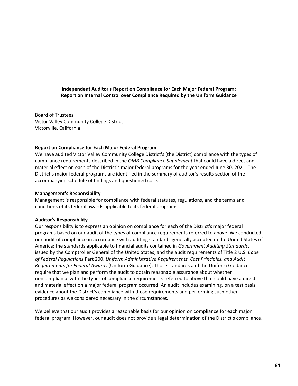**Independent Auditor's Report on Compliance for Each Major Federal Program; Report on Internal Control over Compliance Required by the Uniform Guidance**

Board of Trustees Victor Valley Community College District Victorville, California

# **Report on Compliance for Each Major Federal Program**

We have audited Victor Valley Community College District's (the District) compliance with the types of compliance requirements described in the *OMB Compliance Supplement* that could have a direct and material effect on each of the District's major federal programs for the year ended June 30, 2021. The District's major federal programs are identified in the summary of auditor's results section of the accompanying schedule of findings and questioned costs.

# **Management's Responsibility**

Management is responsible for compliance with federal statutes, regulations, and the terms and conditions of its federal awards applicable to its federal programs.

# **Auditor's Responsibility**

Our responsibility is to express an opinion on compliance for each of the District's major federal programs based on our audit of the types of compliance requirements referred to above. We conducted our audit of compliance in accordance with auditing standards generally accepted in the United States of America; the standards applicable to financial audits contained in *Government Auditing Standards*, issued by the Comptroller General of the United States; and the audit requirements of Title 2 U.S. *Code of Federal Regulations* Part 200, *Uniform Administrative Requirements, Cost Principles, and Audit Requirements for Federal Awards* (Uniform Guidance). Those standards and the Uniform Guidance require that we plan and perform the audit to obtain reasonable assurance about whether noncompliance with the types of compliance requirements referred to above that could have a direct and material effect on a major federal program occurred. An audit includes examining, on a test basis, evidence about the District's compliance with those requirements and performing such other procedures as we considered necessary in the circumstances.

We believe that our audit provides a reasonable basis for our opinion on compliance for each major federal program. However, our audit does not provide a legal determination of the District's compliance.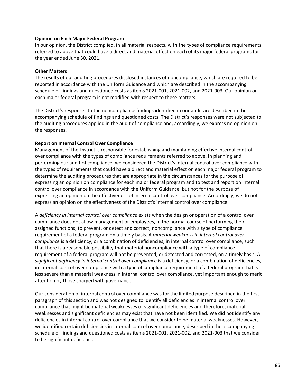## **Opinion on Each Major Federal Program**

In our opinion, the District complied, in all material respects, with the types of compliance requirements referred to above that could have a direct and material effect on each of its major federal programs for the year ended June 30, 2021.

## **Other Matters**

The results of our auditing procedures disclosed instances of noncompliance, which are required to be reported in accordance with the Uniform Guidance and which are described in the accompanying schedule of findings and questioned costs as items 2021‐001, 2021‐002, and 2021‐003. Our opinion on each major federal program is not modified with respect to these matters.

The District's responses to the noncompliance findings identified in our audit are described in the accompanying schedule of findings and questioned costs. The District's responses were not subjected to the auditing procedures applied in the audit of compliance and, accordingly, we express no opinion on the responses.

## **Report on Internal Control Over Compliance**

Management of the District is responsible for establishing and maintaining effective internal control over compliance with the types of compliance requirements referred to above. In planning and performing our audit of compliance, we considered the District's internal control over compliance with the types of requirements that could have a direct and material effect on each major federal program to determine the auditing procedures that are appropriate in the circumstances for the purpose of expressing an opinion on compliance for each major federal program and to test and report on internal control over compliance in accordance with the Uniform Guidance, but not for the purpose of expressing an opinion on the effectiveness of internal control over compliance. Accordingly, we do not express an opinion on the effectiveness of the District's internal control over compliance.

A *deficiency in internal control over compliance* exists when the design or operation of a control over compliance does not allow management or employees, in the normal course of performing their assigned functions, to prevent, or detect and correct, noncompliance with a type of compliance requirement of a federal program on a timely basis. A *material weakness in internal control over compliance* is a deficiency, or a combination of deficiencies, in internal control over compliance, such that there is a reasonable possibility that material noncompliance with a type of compliance requirement of a federal program will not be prevented, or detected and corrected, on a timely basis. A *significant deficiency in internal control over compliance* is a deficiency, or a combination of deficiencies, in internal control over compliance with a type of compliance requirement of a federal program that is less severe than a material weakness in internal control over compliance, yet important enough to merit attention by those charged with governance.

Our consideration of internal control over compliance was for the limited purpose described in the first paragraph of this section and was not designed to identify all deficiencies in internal control over compliance that might be material weaknesses or significant deficiencies and therefore, material weaknesses and significant deficiencies may exist that have not been identified. We did not identify any deficiencies in internal control over compliance that we consider to be material weaknesses. However, we identified certain deficiencies in internal control over compliance, described in the accompanying schedule of findings and questioned costs as items 2021‐001, 2021‐002, and 2021‐003 that we consider to be significant deficiencies.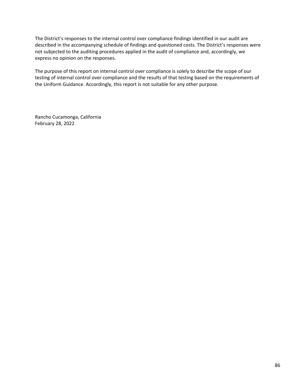The District's responses to the internal control over compliance findings identified in our audit are described in the accompanying schedule of findings and questioned costs. The District's responses were not subjected to the auditing procedures applied in the audit of compliance and, accordingly, we express no opinion on the responses.

The purpose of this report on internal control over compliance is solely to describe the scope of our testing of internal control over compliance and the results of that testing based on the requirements of the Uniform Guidance. Accordingly, this report is not suitable for any other purpose.

Rancho Cucamonga, California February 28, 2022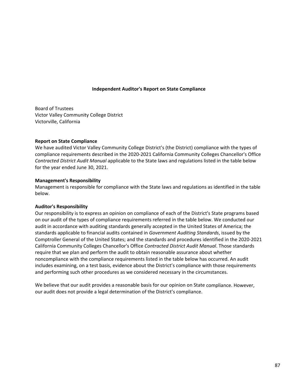## **Independent Auditor's Report on State Compliance**

Board of Trustees Victor Valley Community College District Victorville, California

## **Report on State Compliance**

We have audited Victor Valley Community College District's (the District) compliance with the types of compliance requirements described in the 2020‐2021 California Community Colleges Chancellor's Office *Contracted District Audit Manual* applicable to the State laws and regulations listed in the table below for the year ended June 30, 2021.

## **Management's Responsibility**

Management is responsible for compliance with the State laws and regulations as identified in the table below.

### **Auditor's Responsibility**

Our responsibility is to express an opinion on compliance of each of the District's State programs based on our audit of the types of compliance requirements referred in the table below. We conducted our audit in accordance with auditing standards generally accepted in the United States of America; the standards applicable to financial audits contained in *Government Auditing Standards*, issued by the Comptroller General of the United States; and the standards and procedures identified in the 2020‐2021 California Community Colleges Chancellor's Office *Contracted District Audit Manual*. Those standards require that we plan and perform the audit to obtain reasonable assurance about whether noncompliance with the compliance requirements listed in the table below has occurred. An audit includes examining, on a test basis, evidence about the District's compliance with those requirements and performing such other procedures as we considered necessary in the circumstances.

We believe that our audit provides a reasonable basis for our opinion on State compliance. However, our audit does not provide a legal determination of the District's compliance.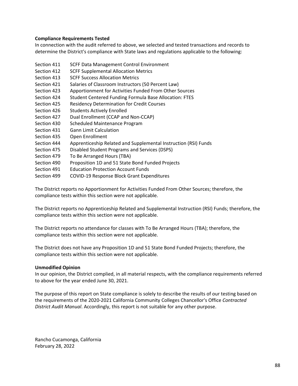## **Compliance Requirements Tested**

In connection with the audit referred to above, we selected and tested transactions and records to determine the District's compliance with State laws and regulations applicable to the following:

- Section 411 SCFF Data Management Control Environment
- Section 412 SCFF Supplemental Allocation Metrics
- Section 413 SCFF Success Allocation Metrics
- Section 421 Salaries of Classroom Instructors (50 Percent Law)
- Section 423 Apportionment for Activities Funded From Other Sources
- Section 424 Student Centered Funding Formula Base Allocation: FTES
- Section 425 Residency Determination for Credit Courses
- Section 426 Students Actively Enrolled
- Section 427 Dual Enrollment (CCAP and Non-CCAP)
- Section 430 Scheduled Maintenance Program
- Section 431 Gann Limit Calculation
- Section 435 Open Enrollment
- Section 444 Apprenticeship Related and Supplemental Instruction (RSI) Funds
- Section 475 Disabled Student Programs and Services (DSPS)
- Section 479 To Be Arranged Hours (TBA)
- Section 490 Proposition 1D and 51 State Bond Funded Projects
- Section 491 Education Protection Account Funds
- Section 499 COVID‐19 Response Block Grant Expenditures

The District reports no Apportionment for Activities Funded From Other Sources; therefore, the compliance tests within this section were not applicable.

The District reports no Apprenticeship Related and Supplemental Instruction (RSI) Funds; therefore, the compliance tests within this section were not applicable.

The District reports no attendance for classes with To Be Arranged Hours (TBA); therefore, the compliance tests within this section were not applicable.

The District does not have any Proposition 1D and 51 State Bond Funded Projects; therefore, the compliance tests within this section were not applicable.

### **Unmodified Opinion**

In our opinion, the District complied, in all material respects, with the compliance requirements referred to above for the year ended June 30, 2021.

The purpose of this report on State compliance is solely to describe the results of our testing based on the requirements of the 2020‐2021 California Community Colleges Chancellor's Office *Contracted District Audit Manual*. Accordingly, this report is not suitable for any other purpose.

Rancho Cucamonga, California February 28, 2022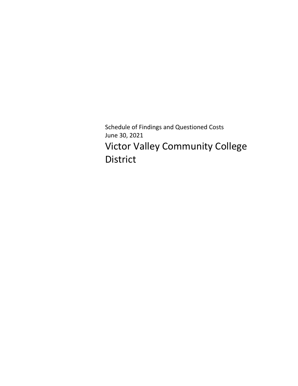Schedule of Findings and Questioned Costs June 30, 2021 Victor Valley Community College District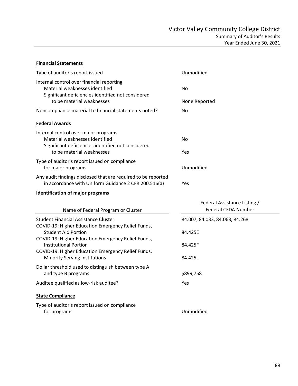| <b>Financial Statements</b>                                                                                                                               |                                                            |
|-----------------------------------------------------------------------------------------------------------------------------------------------------------|------------------------------------------------------------|
| Type of auditor's report issued                                                                                                                           | Unmodified                                                 |
| Internal control over financial reporting<br>Material weaknesses identified<br>Significant deficiencies identified not considered                         | No                                                         |
| to be material weaknesses                                                                                                                                 | None Reported                                              |
| Noncompliance material to financial statements noted?                                                                                                     | No                                                         |
| <b>Federal Awards</b>                                                                                                                                     |                                                            |
| Internal control over major programs<br>Material weaknesses identified<br>Significant deficiencies identified not considered<br>to be material weaknesses | No<br>Yes                                                  |
| Type of auditor's report issued on compliance<br>for major programs                                                                                       | Unmodified                                                 |
| Any audit findings disclosed that are required to be reported<br>in accordance with Uniform Guidance 2 CFR 200.516(a)                                     | Yes                                                        |
| <b>Identification of major programs</b>                                                                                                                   |                                                            |
| Name of Federal Program or Cluster                                                                                                                        | Federal Assistance Listing /<br><b>Federal CFDA Number</b> |
| <b>Student Financial Assistance Cluster</b><br>COVID-19: Higher Education Emergency Relief Funds,                                                         | 84.007, 84.033, 84.063, 84.268                             |
| <b>Student Aid Portion</b>                                                                                                                                | 84.425E                                                    |
| COVID-19: Higher Education Emergency Relief Funds,<br><b>Institutional Portion</b><br>COVID-19: Higher Education Emergency Relief Funds,                  | 84.425F                                                    |
| <b>Minority Serving Institutions</b>                                                                                                                      | 84.425L                                                    |
| Dollar threshold used to distinguish between type A<br>and type B programs                                                                                | \$899,758                                                  |
| Auditee qualified as low-risk auditee?                                                                                                                    | Yes                                                        |
| <b>State Compliance</b>                                                                                                                                   |                                                            |
| Type of auditor's report issued on compliance<br>for programs                                                                                             | Unmodified                                                 |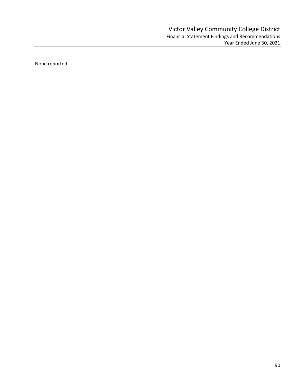None reported.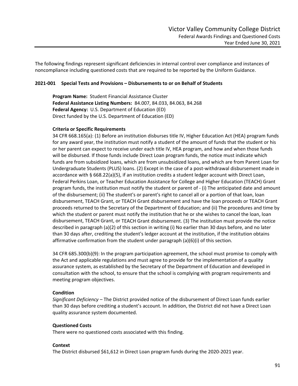The following findings represent significant deficiencies in internal control over compliance and instances of noncompliance including questioned costs that are required to be reported by the Uniform Guidance.

# **2021‐001 Special Tests and Provisions – Disbursements to or on Behalf of Students**

 **Program Name:** Student Financial Assistance Cluster  **Federal Assistance Listing Numbers:** 84.007, 84.033, 84.063, 84.268  **Federal Agency:** U.S. Department of Education (ED) Direct funded by the U.S. Department of Education (ED)

## **Criteria or Specific Requirements**

34 CFR 668.165(a): (1) Before an institution disburses title IV, Higher Education Act (HEA) program funds for any award year, the institution must notify a student of the amount of funds that the student or his or her parent can expect to receive under each title IV, HEA program, and how and when those funds will be disbursed. If those funds include Direct Loan program funds, the notice must indicate which funds are from subsidized loans, which are from unsubsidized loans, and which are from Parent Loan for Undergraduate Students (PLUS) loans. (2) Except in the case of a post‐withdrawal disbursement made in accordance with § 668.22(a)(5), if an institution credits a student ledger account with Direct Loan, Federal Perkins Loan, or Teacher Education Assistance for College and Higher Education (TEACH) Grant program funds, the institution must notify the student or parent of ‐ (i) The anticipated date and amount of the disbursement; (ii) The student's or parent's right to cancel all or a portion of that loan, loan disbursement, TEACH Grant, or TEACH Grant disbursement and have the loan proceeds or TEACH Grant proceeds returned to the Secretary of the Department of Education; and (ii) The procedures and time by which the student or parent must notify the institution that he or she wishes to cancel the loan, loan disbursement, TEACH Grant, or TEACH Grant disbursement. (3) The institution must provide the notice described in paragraph (a)(2) of this section in writing (i) No earlier than 30 days before, and no later than 30 days after, crediting the student's ledger account at the institution, if the institution obtains affirmative confirmation from the student under paragraph (a)(6)(i) of this section.

34 CFR 685.300(b)(9): In the program participation agreement, the school must promise to comply with the Act and applicable regulations and must agree to provide for the implementation of a quality assurance system, as established by the Secretary of the Department of Education and developed in consultation with the school, to ensure that the school is complying with program requirements and meeting program objectives.

# **Condition**

*Significant Deficiency –* The District provided notice of the disbursement of Direct Loan funds earlier than 30 days before crediting a student's account. In addition, the District did not have a Direct Loan quality assurance system documented.

### **Questioned Costs**

There were no questioned costs associated with this finding.

# **Context**

The District disbursed \$61,612 in Direct Loan program funds during the 2020‐2021 year.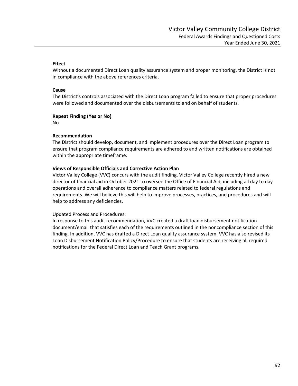# **Effect**

Without a documented Direct Loan quality assurance system and proper monitoring, the District is not in compliance with the above references criteria.

# **Cause**

The District's controls associated with the Direct Loan program failed to ensure that proper procedures were followed and documented over the disbursements to and on behalf of students.

# **Repeat Finding (Yes or No)**

No

# **Recommendation**

The District should develop, document, and implement procedures over the Direct Loan program to ensure that program compliance requirements are adhered to and written notifications are obtained within the appropriate timeframe.

# **Views of Responsible Officials and Corrective Action Plan**

Victor Valley College (VVC) concurs with the audit finding. Victor Valley College recently hired a new director of financial aid in October 2021 to oversee the Office of Financial Aid, including all day to day operations and overall adherence to compliance matters related to federal regulations and requirements. We will believe this will help to improve processes, practices, and procedures and will help to address any deficiencies.

# Updated Process and Procedures:

In response to this audit recommendation, VVC created a draft loan disbursement notification document/email that satisfies each of the requirements outlined in the noncompliance section of this finding. In addition, VVC has drafted a Direct Loan quality assurance system. VVC has also revised its Loan Disbursement Notification Policy/Procedure to ensure that students are receiving all required notifications for the Federal Direct Loan and Teach Grant programs.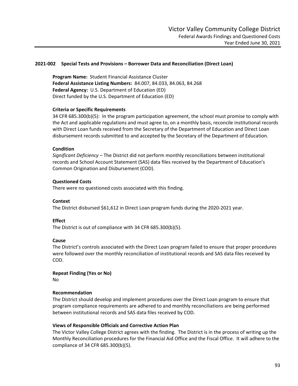# **2021‐002 Special Tests and Provisions – Borrower Data and Reconciliation (Direct Loan)**

 **Program Name:** Student Financial Assistance Cluster  **Federal Assistance Listing Numbers:** 84.007, 84.033, 84.063, 84.268 **Federal Agency:** U.S. Department of Education (ED) Direct funded by the U.S. Department of Education (ED)

## **Criteria or Specific Requirements**

34 CFR 685.300(b)(5): In the program participation agreement, the school must promise to comply with the Act and applicable regulations and must agree to, on a monthly basis, reconcile institutional records with Direct Loan funds received from the Secretary of the Department of Education and Direct Loan disbursement records submitted to and accepted by the Secretary of the Department of Education.

## **Condition**

*Significant Deficiency –* The District did not perform monthly reconciliations between institutional records and School Account Statement (SAS) data files received by the Department of Education's Common Origination and Disbursement (COD).

## **Questioned Costs**

There were no questioned costs associated with this finding.

# **Context**

The District disbursed \$61,612 in Direct Loan program funds during the 2020‐2021 year.

# **Effect**

The District is out of compliance with 34 CFR 685.300(b)(5).

### **Cause**

The District's controls associated with the Direct Loan program failed to ensure that proper procedures were followed over the monthly reconciliation of institutional records and SAS data files received by COD.

 **Repeat Finding (Yes or No)**  No

### **Recommendation**

The District should develop and implement procedures over the Direct Loan program to ensure that program compliance requirements are adhered to and monthly reconciliations are being performed between institutional records and SAS data files received by COD.

### **Views of Responsible Officials and Corrective Action Plan**

The Victor Valley College District agrees with the finding. The District is in the process of writing up the Monthly Reconciliation procedures for the Financial Aid Office and the Fiscal Office. It will adhere to the compliance of 34 CFR 685.300(b)(5).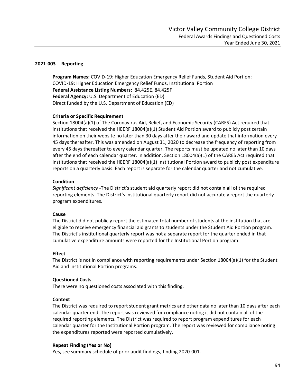# **2021‐003 Reporting**

**Program Names:** COVID‐19: Higher Education Emergency Relief Funds, Student Aid Portion; COVID‐19: Higher Education Emergency Relief Funds, Institutional Portion  **Federal Assistance Listing Numbers:** 84.425E, 84.425F **Federal Agency:** U.S. Department of Education (ED) Direct funded by the U.S. Department of Education (ED)

## **Criteria or Specific Requirement**

Section 18004(a)(1) of The Coronavirus Aid, Relief, and Economic Security (CARES) Act required that institutions that received the HEERF 18004(a)(1) Student Aid Portion award to publicly post certain information on their website no later than 30 days after their award and update that information every 45 days thereafter. This was amended on August 31, 2020 to decrease the frequency of reporting from every 45 days thereafter to every calendar quarter. The reports must be updated no later than 10 days after the end of each calendar quarter. In addition, Section 18004(a)(1) of the CARES Act required that institutions that received the HEERF 18004(a)(1) Institutional Portion award to publicly post expenditure reports on a quarterly basis. Each report is separate for the calendar quarter and not cumulative.

## **Condition**

*Significant deficiency* ‐The District's student aid quarterly report did not contain all of the required reporting elements. The District's institutional quarterly report did not accurately report the quarterly program expenditures.

# **Cause**

The District did not publicly report the estimated total number of students at the institution that are eligible to receive emergency financial aid grants to students under the Student Aid Portion program. The District's institutional quarterly report was not a separate report for the quarter ended in that cumulative expenditure amounts were reported for the Institutional Portion program.

# **Effect**

The District is not in compliance with reporting requirements under Section 18004(a)(1) for the Student Aid and Institutional Portion programs.

# **Questioned Costs**

There were no questioned costs associated with this finding.

### **Context**

The District was required to report student grant metrics and other data no later than 10 days after each calendar quarter end. The report was reviewed for compliance noting it did not contain all of the required reporting elements. The District was required to report program expenditures for each calendar quarter for the Institutional Portion program. The report was reviewed for compliance noting the expenditures reported were reported cumulatively.

# **Repeat Finding (Yes or No)**

Yes, see summary schedule of prior audit findings, finding 2020‐001.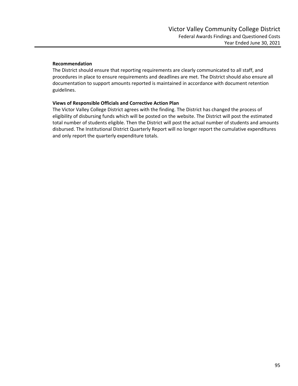# **Recommendation**

The District should ensure that reporting requirements are clearly communicated to all staff, and procedures in place to ensure requirements and deadlines are met. The District should also ensure all documentation to support amounts reported is maintained in accordance with document retention guidelines.

# **Views of Responsible Officials and Corrective Action Plan**

The Victor Valley College District agrees with the finding. The District has changed the process of eligibility of disbursing funds which will be posted on the website. The District will post the estimated total number of students eligible. Then the District will post the actual number of students and amounts disbursed. The Institutional District Quarterly Report will no longer report the cumulative expenditures and only report the quarterly expenditure totals.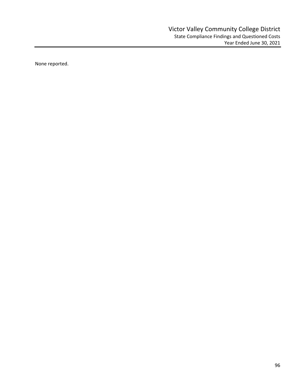None reported.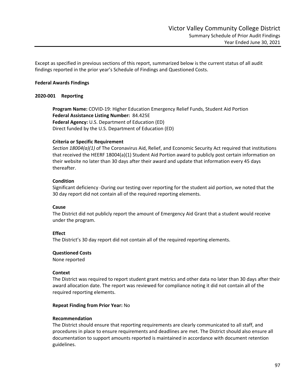Except as specified in previous sections of this report, summarized below is the current status of all audit findings reported in the prior year's Schedule of Findings and Questioned Costs.

## **Federal Awards Findings**

## **2020‐001 Reporting**

**Program Name:** COVID‐19: Higher Education Emergency Relief Funds, Student Aid Portion **Federal Assistance Listing Number:** 84.425E **Federal Agency:** U.S. Department of Education (ED) Direct funded by the U.S. Department of Education (ED)

## **Criteria or Specific Requirement**

*Section 18004(a)(1)* of The Coronavirus Aid, Relief, and Economic Security Act required that institutions that received the HEERF 18004(a)(1) Student Aid Portion award to publicly post certain information on their website no later than 30 days after their award and update that information every 45 days thereafter.

## **Condition**

Significant deficiency ‐During our testing over reporting for the student aid portion, we noted that the 30 day report did not contain all of the required reporting elements.

### **Cause**

The District did not publicly report the amount of Emergency Aid Grant that a student would receive under the program.

# **Effect**

The District's 30 day report did not contain all of the required reporting elements.

### **Questioned Costs**

None reported

# **Context**

The District was required to report student grant metrics and other data no later than 30 days after their award allocation date. The report was reviewed for compliance noting it did not contain all of the required reporting elements.

### **Repeat Finding from Prior Year:** No

### **Recommendation**

The District should ensure that reporting requirements are clearly communicated to all staff, and procedures in place to ensure requirements and deadlines are met. The District should also ensure all documentation to support amounts reported is maintained in accordance with document retention guidelines.